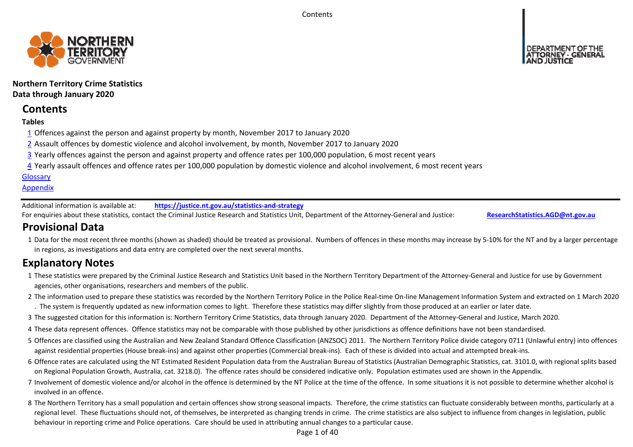**Contents** 



**Northern Territory Crime Statistics Data through January 2020**

# **Contents**

## **Tables**

- 1 Offences against the person and against property by month, November 2017 to January 2020
- 2 Assault offences by domestic violence and alcohol involvement, by month, November 2017 to January 2020
- 3 Yearly offences against the person and against property and offence rates per 100,000 population, 6 most recent years
- 4 Yearly assault offences and offence rates per 100,000 population by domestic violence and alcohol involvement, 6 most recent years

## **Glossary**

## **Appendix**

Additional information is available at:**https://justice.nt.gov.au/statistics‐and‐strategy**

For enquiries about these statistics, contact the Criminal Justice Research and Statistics Unit, Department of the Attorney‐General and Justice: **ResearchStatistics.AGD@nt.gov.au**

# **Provisional Data**

1 Data for the most recent three months (shown as shaded) should be treated as provisional. Numbers of offences in these months may increase by 5‐10% for the NT and by a larger percentage in regions, as investigations and data entry are completed over the next several months.

# **Explanatory Notes**

- 1These statistics were prepared by the Criminal Justice Research and Statistics Unit based in the Northern Territory Department of the Attorney‐General and Justice for use by Government agencies, other organisations, researchers and members of the public.
- 2 The information used to prepare these statistics was recorded by the Northern Territory Police in the Police Real‐time On‐line Management Information System and extracted on 1 March 2020 . The system is frequently updated as new information comes to light. Therefore these statistics may differ slightly from those produced at an earlier or later date.
- 3 The suggested citation for this information is: Northern Territory Crime Statistics, data through January 2020. Department of the Attorney‐General and Justice, March 2020.
- 4These data represent offences. Offence statistics may not be comparable with those published by other jurisdictions as offence definitions have not been standardised.
- 5 Offences are classified using the Australian and New Zealand Standard Offence Classification (ANZSOC) 2011. The Northern Territory Police divide category 0711 (Unlawful entry) into offences against residential properties (House break‐ins) and against other properties (Commercial break‐ins). Each of these is divided into actual and attempted break‐ins.
- 6 Offence rates are calculated using the NT Estimated Resident Population data from the Australian Bureau of Statistics (Australian Demographic Statistics, cat. 3101.0, with regional splits based on Regional Population Growth, Australia, cat. 3218.0). The offence rates should be considered indicative only. Population estimates used are shown in the Appendix.
- 7 Involvement of domestic violence and/or alcohol in the offence is determined by the NT Police at the time of the offence. In some situations it is not possible to determine whether alcohol is involved in an offence.
- 8 The Northern Territory has a small population and certain offences show strong seasonal impacts. Therefore, the crime statistics can fluctuate considerably between months, particularly at a regional level. These fluctuations should not, of themselves, be interpreted as changing trends in crime. The crime statistics are also subject to influence from changes in legislation, public behaviour in reporting crime and Police operations. Care should be used in attributing annual changes to a particular cause.

Page 1 of 40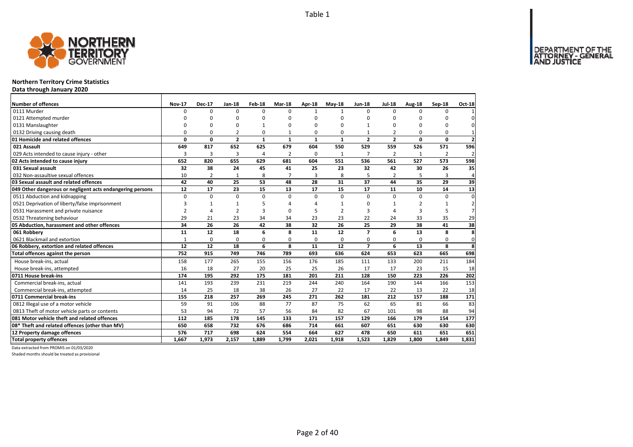

### **Northern Territory Crime Statistics**

**Data through January 2020**

| Number of offences                                        | <b>Nov-17</b>  | <b>Dec-17</b>  | Jan-18         | Feb-18         | Mar-18         | <b>Apr-18</b> | $May-18$       | <b>Jun-18</b>  | <b>Jul-18</b>            | Aug-18         | Sep-18       | Oct-18         |
|-----------------------------------------------------------|----------------|----------------|----------------|----------------|----------------|---------------|----------------|----------------|--------------------------|----------------|--------------|----------------|
| 0111 Murder                                               | <sup>0</sup>   | $\Omega$       | $\Omega$       | $\Omega$       | $\Omega$       |               | $\mathbf{1}$   | $\Omega$       | $\Omega$                 | $\Omega$       | 0            |                |
| 0121 Attempted murder                                     | ŋ              | O              | 0              | $\Omega$       | n              | $\Omega$      | O              | 0              | $\Omega$                 | ŋ              | n            | $\Omega$       |
| 0131 Manslaughter                                         | $\Omega$       | 0              | 0              | $\mathbf{1}$   |                | $\Omega$      | O              | 1              | $\Omega$                 | $\Omega$       | $\Omega$     | $\mathbf{0}$   |
| 0132 Driving causing death                                | 0              | $\Omega$       | $\overline{2}$ | $\Omega$       |                | 0             | $\Omega$       |                | $\overline{\phantom{a}}$ | $\Omega$       | 0            |                |
| 01 Homicide and related offences                          | $\mathbf 0$    | $\mathbf{0}$   | $\overline{2}$ | $\mathbf{1}$   | 1              | 1             | $\mathbf{1}$   | $\overline{2}$ | $\overline{2}$           | 0              | $\mathbf 0$  | $\mathbf{2}$   |
| 021 Assault                                               | 649            | 817            | 652            | 625            | 679            | 604           | 550            | 529            | 559                      | 526            | 571          | 596            |
| 029 Acts intended to cause injury - other                 | 3              | 3              | 3              | $\overline{4}$ | $\overline{2}$ | 0             | 1              | $\overline{7}$ | $\overline{2}$           | 1              | 2            | $\overline{2}$ |
| 02 Acts intended to cause injury                          | 652            | 820            | 655            | 629            | 681            | 604           | 551            | 536            | 561                      | 527            | 573          | 598            |
| 031 Sexual assault                                        | 32             | 38             | 24             | 45             | 41             | 25            | 23             | 32             | 42                       | 30             | 26           | 35             |
| 032 Non-assaultive sexual offences                        | 10             | $\overline{2}$ | 1              | 8              | $\overline{7}$ | 3             | 8              | 5              | $\overline{2}$           | 5              | 3            | $\overline{4}$ |
| 03 Sexual assault and related offences                    | 42             | 40             | 25             | 53             | 48             | 28            | 31             | 37             | 44                       | 35             | 29           | 39             |
| 049 Other dangerous or negligent acts endangering persons | 12             | 17             | 23             | 15             | 13             | 17            | 15             | 17             | 11                       | 10             | 14           | 13             |
| 0511 Abduction and kidnapping                             | $\Omega$       | $\Omega$       | $\mathbf 0$    | $\Omega$       | $\Omega$       | 0             | $\Omega$       | $\Omega$       | $\Omega$                 | $\Omega$       | 0            | $\mathbf 0$    |
| 0521 Deprivation of liberty/false imprisonment            | 3              | 1              | $\mathbf{1}$   | 5              |                | Δ             | $\mathbf{1}$   | 0              | $\mathbf{1}$             | 2              | $\mathbf{1}$ | $\overline{2}$ |
| 0531 Harassment and private nuisance                      | $\overline{2}$ | $\overline{a}$ | $\overline{2}$ | 3              | n              | 5             | $\overline{2}$ | 3              | $\Delta$                 | $\overline{3}$ | 5            | 7 <sup>1</sup> |
| 0532 Threatening behaviour                                | 29             | 21             | 23             | 34             | 34             | 23            | 23             | 22             | 24                       | 33             | 35           | 29             |
| 05 Abduction, harassment and other offences               | 34             | 26             | 26             | 42             | 38             | 32            | 26             | 25             | 29                       | 38             | 41           | 38             |
| 061 Robberv                                               | 11             | 12             | 18             | 6              | 8              | 11            | 12             | $\overline{7}$ | 6                        | 13             | 8            | 8              |
| 0621 Blackmail and extortion                              | $\mathbf{1}$   | 0              | 0              | 0              | $\Omega$       | 0             | 0              | 0              | $\Omega$                 | $\Omega$       | 0            | $\mathbf 0$    |
| 06 Robbery, extortion and related offences                | 12             | 12             | 18             | 6              | 8              | 11            | 12             | $\overline{7}$ | 6                        | 13             | 8            | 8              |
| Total offences against the person                         | 752            | 915            | 749            | 746            | 789            | 693           | 636            | 624            | 653                      | 623            | 665          | 698            |
| House break-ins, actual                                   | 158            | 177            | 265            | 155            | 156            | 176           | 185            | 111            | 133                      | 200            | 211          | 184            |
| House break-ins, attempted                                | 16             | 18             | 27             | 20             | 25             | 25            | 26             | 17             | 17                       | 23             | 15           | 18             |
| 0711 House break-ins                                      | 174            | 195            | 292            | 175            | 181            | 201           | 211            | 128            | 150                      | 223            | 226          | 202            |
| Commercial break-ins, actual                              | 141            | 193            | 239            | 231            | 219            | 244           | 240            | 164            | 190                      | 144            | 166          | 153            |
| Commercial break-ins, attempted                           | 14             | 25             | 18             | 38             | 26             | 27            | 22             | 17             | 22                       | 13             | 22           | 18             |
| 0711 Commercial break-ins                                 | 155            | 218            | 257            | 269            | 245            | 271           | 262            | 181            | 212                      | 157            | 188          | 171            |
| 0812 Illegal use of a motor vehicle                       | 59             | 91             | 106            | 88             | 77             | 87            | 75             | 62             | 65                       | 81             | 66           | 83             |
| 0813 Theft of motor vehicle parts or contents             | 53             | 94             | 72             | 57             | 56             | 84            | 82             | 67             | 101                      | 98             | 88           | 94             |
| 081 Motor vehicle theft and related offences              | 112            | 185            | 178            | 145            | 133            | 171           | 157            | 129            | 166                      | 179            | 154          | 177            |
| 08* Theft and related offences (other than MV)            | 650            | 658            | 732            | 676            | 686            | 714           | 661            | 607            | 651                      | 630            | 630          | 630            |
| 12 Property damage offences                               | 576            | 717            | 698            | 624            | 554            | 664           | 627            | 478            | 650                      | 611            | 651          | 651            |
| <b>Total property offences</b>                            | 1,667          | 1.973          | 2,157          | 1.889          | 1.799          | 2,021         | 1,918          | 1,523          | 1.829                    | 1.800          | 1.849        | 1,831          |

Data extracted from PROMIS on 01/03/2020

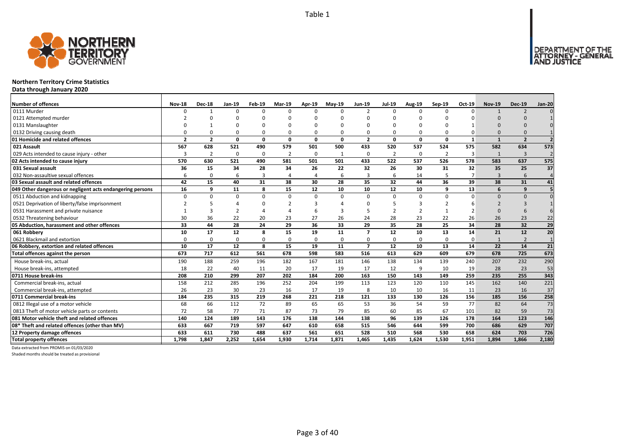

### **Northern Territory Crime Statistics**

**Data through January 2020**

| <b>Number of offences</b>                                 | <b>Nov-18</b>            | <b>Dec-18</b>  | Jan-19   | Feb-19         | <b>Mar-19</b>  | Apr-19   | $May-19$ | Jun-19                   | <b>Jul-19</b>  | <b>Aug-19</b>  | Sep-19         | Oct-19         | <b>Nov-19</b> | <b>Dec-19</b>            | <b>Jan-20</b>   |
|-----------------------------------------------------------|--------------------------|----------------|----------|----------------|----------------|----------|----------|--------------------------|----------------|----------------|----------------|----------------|---------------|--------------------------|-----------------|
| 0111 Murder                                               | $\Omega$                 |                | $\Omega$ | $\Omega$       | $\Omega$       | n        | $\Omega$ | $\mathfrak{p}$           | $\Omega$       | $\Omega$       | $\Omega$       | $\Omega$       | $\mathbf{1}$  | $\overline{z}$           |                 |
| 0121 Attempted murder                                     |                          |                | $\Omega$ | n              | ŋ              |          |          | n                        | n              | U              |                |                | $\Omega$      |                          |                 |
| 0131 Manslaughter                                         |                          |                |          | n              | ŋ              |          |          | n                        | ∩              |                |                |                |               |                          |                 |
| 0132 Driving causing death                                |                          |                | $\Omega$ | $\Omega$       | 0              |          |          | $\Omega$                 | $\Omega$       | $\Omega$       |                |                | $\Omega$      |                          |                 |
| 01 Homicide and related offences                          | $\overline{\phantom{a}}$ | $\overline{2}$ | $\Omega$ | $\mathbf{0}$   | $\mathbf{0}$   | $\Omega$ | $\Omega$ | $\overline{2}$           | $\mathbf{0}$   | 0              | $\Omega$       | $\mathbf{1}$   |               | $\overline{\phantom{a}}$ |                 |
| 021 Assault                                               | 567                      | 628            | 521      | 490            | 579            | 501      | 500      | 433                      | 520            | 537            | 524            | 575            | 582           | 634                      | 573             |
| 029 Acts intended to cause injury - other                 | 3                        | 2              | $\Omega$ | 0              | 2              | $\Omega$ | -1       | O                        | $\overline{2}$ | 0              | $\overline{2}$ | 3              | $\mathbf{1}$  | 3                        | $\overline{2}$  |
| 02 Acts intended to cause injury                          | 570                      | 630            | 521      | 490            | 581            | 501      | 501      | 433                      | 522            | 537            | 526            | 578            | 583           | 637                      | 575             |
| 031 Sexual assault                                        | 36                       | 15             | 34       | 28             | 34             | 26       | 22       | 32                       | 26             | 30             | 31             | 32             | 35            | 25                       | $\overline{37}$ |
| 032 Non-assaultive sexual offences                        | 6                        | 0              | 6        | $\overline{3}$ | $\overline{4}$ |          | 6        | 3                        | 6              | 14             |                | $\overline{7}$ | 3             | 6                        | $\overline{4}$  |
| 03 Sexual assault and related offences                    | 42                       | 15             | 40       | 31             | 38             | 30       | 28       | 35                       | 32             | 44             | 36             | 39             | 38            | 31                       | 41              |
| 049 Other dangerous or negligent acts endangering persons | 16                       | q              | 11       | 8              | 15             | 12       | 10       | 10                       | 12             | 10             | q              | 13             | 6             | 9                        |                 |
| 0511 Abduction and kidnapping                             | $\Omega$                 |                | $\Omega$ | 0              | 0              | $\Omega$ | $\Omega$ | $\Omega$                 | $\Omega$       | 0              | $\Omega$       | $\Omega$       | $\Omega$      | $\Omega$                 |                 |
| 0521 Deprivation of liberty/false imprisonment            |                          |                |          | $\Omega$       | $\mathcal{P}$  |          |          | n                        |                | 3              |                |                |               |                          |                 |
| 0531 Harassment and private nuisance                      |                          |                | ີ        |                |                |          |          |                          |                | $\overline{2}$ |                |                | $\Omega$      | 6                        |                 |
| 0532 Threatening behaviour                                | 30                       | 36             | 22       | 20             | 23             | 27       | 26       | 24                       | 28             | 23             | 22             | 26             | 26            | 23                       | 22              |
| 05 Abduction, harassment and other offences               | 33                       | 44             | 28       | 24             | 29             | 36       | 33       | 29                       | 35             | 28             | 25             | 34             | 28            | 32                       | 29              |
| 061 Robbery                                               | 10                       | 17             | 12       | 8              | 15             | 19       | 11       | $\overline{\phantom{a}}$ | 12             | 10             | 13             | 14             | 21            | 12                       | $\overline{20}$ |
| 0621 Blackmail and extortion                              | $\Omega$                 | $\Omega$       | $\Omega$ | $\Omega$       | 0              | $\Omega$ | $\Omega$ | $\Omega$                 | $\Omega$       | 0              | $\Omega$       | $\Omega$       |               | $\overline{z}$           |                 |
| 06 Robbery, extortion and related offences                | 10                       | 17             | 12       | 8              | 15             | 19       | 11       | $\overline{z}$           | 12             | 10             | 13             | 14             | 22            | 14                       | 21              |
| Total offences against the person                         | 673                      | 717            | 612      | 561            | 678            | 598      | 583      | 516                      | 613            | 629            | 609            | 679            | 678           | $\overline{725}$         | 673             |
| House break-ins, actual                                   | 190                      | 188            | 259      | 196            | 182            | 167      | 181      | 146                      | 138            | 134            | 139            | 240            | 207           | 232                      | 290             |
| House break-ins, attempted                                | 18                       | 22             | 40       | 11             | 20             | 17       | 19       | 17                       | 12             | 9              | 10             | 19             | 28            | 23                       | 53              |
| 0711 House break-ins                                      | 208                      | 210            | 299      | 207            | 202            | 184      | 200      | 163                      | 150            | 143            | 149            | 259            | 235           | 255                      | 343             |
| Commercial break-ins, actual                              | 158                      | 212            | 285      | 196            | 252            | 204      | 199      | 113                      | 123            | 120            | 110            | 145            | 162           | 140                      | 221             |
| Commercial break-ins, attempted                           | 26                       | 23             | 30       | 23             | 16             | 17       | 19       | 8                        | 10             | 10             | 16             | 11             | 23            | 16                       | 37              |
| 0711 Commercial break-ins                                 | 184                      | 235            | 315      | 219            | 268            | 221      | 218      | 121                      | 133            | 130            | 126            | 156            | 185           | 156                      | 258             |
| 0812 Illegal use of a motor vehicle                       | 68                       | 66             | 112      | 72             | 89             | 65       | 65       | 53                       | 36             | 54             | 59             | 77             | 82            | 64                       | 73              |
| 0813 Theft of motor vehicle parts or contents             | 72                       | 58             | 77       | 71             | 87             | 73       | 79       | 85                       | 60             | 85             | 67             | 101            | 82            | 59                       | 73              |
| 081 Motor vehicle theft and related offences              | 140                      | 124            | 189      | 143            | 176            | 138      | 144      | 138                      | 96             | 139            | 126            | 178            | 164           | 123                      | 146             |
| 08* Theft and related offences (other than MV)            | 633                      | 667            | 719      | 597            | 647            | 610      | 658      | 515                      | 546            | 644            | 599            | 700            | 686           | 629                      | 707             |
| 12 Property damage offences                               | 633                      | 611            | 730      | 488            | 637            | 561      | 651      | 528                      | 510            | 568            | 530            | 658            | 624           | 703                      | 726             |
| <b>Total property offences</b>                            | 1.798                    | 1.847          | 2.252    | 1.654          | 1.930          | 1.714    | 1.871    | 1.465                    | 1.435          | 1.624          | 1.530          | 1.951          | 1,894         | 1.866                    | 2,180           |

Data extracted from PROMIS on 01/03/2020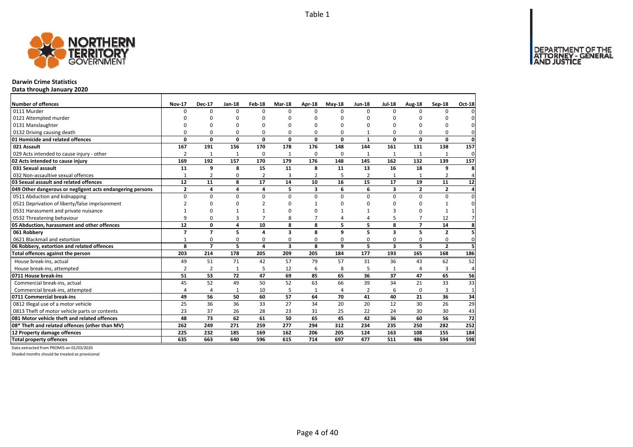

#### **Darwin Crime Statistics**

**Data through January 2020**

| <b>Number of offences</b>                                 | <b>Nov-17</b>  | <b>Dec-17</b>  | Jan-18      | Feb-18          | <b>Mar-18</b>           | Apr-18         | $Mav-18$        | <b>Jun-18</b>  | <b>Jul-18</b>           | Aug-18         | Sep-18         | Oct-18         |
|-----------------------------------------------------------|----------------|----------------|-------------|-----------------|-------------------------|----------------|-----------------|----------------|-------------------------|----------------|----------------|----------------|
| 0111 Murder                                               | 0              | 0              | $\Omega$    | $\Omega$        | $\Omega$                | $\Omega$       | <sup>0</sup>    | $\Omega$       | $\Omega$                | $\Omega$       | $\Omega$       |                |
| 0121 Attempted murder                                     | U              | ŋ              | ŋ           | 0               |                         | O              | n               | ŋ              | O                       |                | ŋ              |                |
| 0131 Manslaughter                                         | $\Omega$       | 0              | $\Omega$    | $\Omega$        |                         | $\Omega$       | $\Omega$        | O              | $\Omega$                |                | $\Omega$       | 0              |
| 0132 Driving causing death                                | 0              | 0              | 0           | 0               | 0                       | 0              | 0               |                | 0                       | O              | 0              | 0              |
| 01 Homicide and related offences                          | 0              | 0              | 0           | $\mathbf 0$     | 0                       | 0              | 0               | $\mathbf{1}$   | $\mathbf 0$             | $\mathbf{0}$   | 0              | $\mathbf 0$    |
| 021 Assault                                               | 167            | 191            | 156         | 170             | 178                     | 176            | 148             | 144            | 161                     | 131            | 138            | 157            |
| 029 Acts intended to cause injury - other                 | $\overline{2}$ | $\mathbf{1}$   | 1           | 0               | 1                       | $\Omega$       | 0               | $\mathbf{1}$   | 1                       |                | $\mathbf{1}$   | 0              |
| 02 Acts intended to cause injury                          | 169            | 192            | 157         | 170             | 179                     | 176            | 148             | 145            | 162                     | 132            | 139            | 157            |
| 031 Sexual assault                                        | 11             | 9              | 8           | 15              | 11                      | 8              | 11              | 13             | 16                      | 18             | 9              | Я              |
| 032 Non-assaultive sexual offences                        | $\mathbf{1}$   | $\overline{2}$ | 0           | $\overline{2}$  | 3                       | $\overline{2}$ | 5               | $\overline{2}$ |                         |                | $\overline{2}$ |                |
| 03 Sexual assault and related offences                    | 12             | 11             | 8           | $\overline{17}$ | 14                      | 10             | $\overline{16}$ | 15             | 17                      | 19             | 11             | 12             |
| 049 Other dangerous or negligent acts endangering persons | $\mathbf{2}$   | 4              | 4           | 4               | 5                       | 3              | 6               | 6              | 3                       | $\mathbf{2}$   | $\mathbf{2}$   | $\overline{a}$ |
| 0511 Abduction and kidnapping                             | 0              | 0              | 0           | $\mathbf 0$     | $\Omega$                | $\Omega$       | $\Omega$        | $\Omega$       | $\mathbf 0$             | $\Omega$       | 0              | $\Omega$       |
| 0521 Deprivation of liberty/false imprisonment            | $\mathfrak{p}$ | 0              | $\Omega$    | $\overline{2}$  | n                       |                | $\Omega$        | O              | $\Omega$                | $\Omega$       | 1              | 0              |
| 0531 Harassment and private nuisance                      | 1              | 0              |             | $\mathbf{1}$    | n                       | $\Omega$       |                 |                | 3                       | O              | 1              |                |
| 0532 Threatening behaviour                                | 9              | 0              | 3           | $\overline{7}$  | 8                       | $\overline{7}$ | 4               | 4              | 5                       | $\overline{7}$ | 12             |                |
| 05 Abduction, harassment and other offences               | 12             | 0              | 4           | 10              | 8                       | 8              | 5               | 5              | 8                       | $\overline{7}$ | 14             | 8              |
| 061 Robbery                                               | $\overline{7}$ | $\overline{7}$ | 5           | $\overline{a}$  | 3                       | 8              | 9               | 5              | $\overline{\mathbf{3}}$ | 5              | $\overline{2}$ | 5              |
| 0621 Blackmail and extortion                              | $\mathbf{1}$   | 0              | $\mathbf 0$ | 0               | 0                       | 0              | 0               | 0              | $\mathbf 0$             | 0              | 0              | 0              |
| 06 Robbery, extortion and related offences                | 8              | $\overline{7}$ | 5           | $\overline{a}$  | $\overline{\mathbf{3}}$ | 8              | 9               | 5              | $\overline{\mathbf{3}}$ | 5              | $\overline{2}$ | 5              |
| Total offences against the person                         | 203            | 214            | 178         | 205             | 209                     | 205            | 184             | 177            | 193                     | 165            | 168            | 186            |
| House break-ins, actual                                   | 49             | 51             | 71          | 42              | 57                      | 79             | 57              | 31             | 36                      | 43             | 62             | 52             |
| House break-ins, attempted                                | $\overline{2}$ | $\overline{2}$ | 1           | 5               | 12                      | 6              | 8               | 5              | $\mathbf{1}$            | $\Lambda$      | 3              | 4              |
| 0711 House break-ins                                      | 51             | 53             | 72          | 47              | 69                      | 85             | 65              | 36             | 37                      | 47             | 65             | 56             |
| Commercial break-ins, actual                              | 45             | 52             | 49          | 50              | 52                      | 63             | 66              | 39             | 34                      | 21             | 33             | 33             |
| Commercial break-ins, attempted                           | 4              | 4              | 1           | 10              | 5                       | $\mathbf{1}$   | 4               | 2              | 6                       | 0              | 3              | $\mathbf{1}$   |
| 0711 Commercial break-ins                                 | 49             | 56             | 50          | 60              | 57                      | 64             | 70              | 41             | 40                      | 21             | 36             | 34             |
| 0812 Illegal use of a motor vehicle                       | 25             | 36             | 36          | 33              | 27                      | 34             | 20              | 20             | 12                      | 30             | 26             | 29             |
| 0813 Theft of motor vehicle parts or contents             | 23             | 37             | 26          | 28              | 23                      | 31             | 25              | 22             | 24                      | 30             | 30             | 43             |
| 081 Motor vehicle theft and related offences              | 48             | 73             | 62          | 61              | 50                      | 65             | 45              | 42             | 36                      | 60             | 56             | 72             |
| 08* Theft and related offences (other than MV)            | 262            | 249            | 271         | 259             | 277                     | 294            | 312             | 234            | 235                     | 250            | 282            | 252            |
| 12 Property damage offences                               | 225            | 232            | 185         | 169             | 162                     | 206            | 205             | 124            | 163                     | 108            | 155            | 184            |
| <b>Total property offences</b>                            | 635            | 663            | 640         | 596             | 615                     | 714            | 697             | 477            | 511                     | 486            | 594            | 598            |

Data extracted from PROMIS on 01/03/2020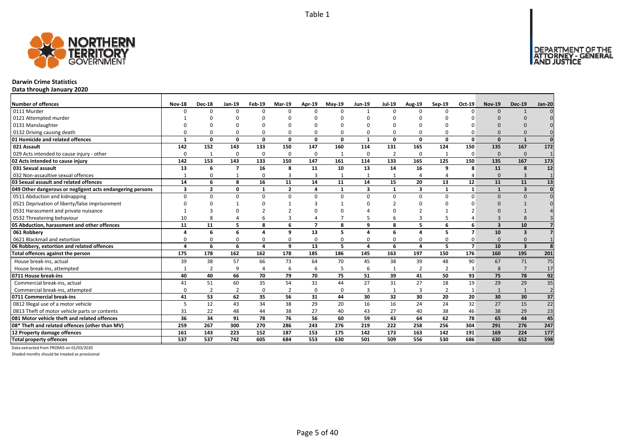

#### **Darwin Crime Statistics**

**Data through January 2020**

| <b>Number of offences</b>                                 | <b>Nov-18</b> | <b>Dec-18</b>  | Jan-19         | Feb-19         | Mar-19         | Apr-19                  | <b>Mav-19</b> | <b>Jun-19</b> | <b>Jul-19</b>  | Aug-19         | Sep-19         | Oct-19                   | <b>Nov-19</b>           | <b>Dec-19</b>           | <b>Jan-20</b>   |
|-----------------------------------------------------------|---------------|----------------|----------------|----------------|----------------|-------------------------|---------------|---------------|----------------|----------------|----------------|--------------------------|-------------------------|-------------------------|-----------------|
| 0111 Murder                                               | n             | $\Omega$       | $\Omega$       | $\Omega$       | $\Omega$       | n                       | $\Omega$      | $\mathbf{1}$  | $\Omega$       | $\Omega$       | $\Omega$       | $\Omega$                 | $\Omega$                | $\mathbf{1}$            |                 |
| 0121 Attempted murder                                     |               |                | n              |                | ŋ              |                         |               | n             |                | U              |                |                          |                         |                         |                 |
| 0131 Manslaughter                                         |               |                |                |                |                |                         |               |               |                |                |                |                          |                         |                         |                 |
| 0132 Driving causing death                                |               |                | $\Omega$       | $\Omega$       | $\Omega$       |                         |               | O             | $\Omega$       | 0              |                |                          | $\Omega$                |                         |                 |
| 01 Homicide and related offences                          |               | n              | $\Omega$       | $\mathbf{0}$   | $\mathbf{0}$   | $\Omega$                | $\Omega$      | $\mathbf{1}$  | $\mathbf{0}$   | $\mathbf{0}$   | $\Omega$       | $\Omega$                 | $\Omega$                | $\mathbf{1}$            | $\Omega$        |
| 021 Assault                                               | 142           | 152            | 143            | 133            | 150            | 147                     | 160           | 114           | 131            | 165            | 124            | 150                      | 135                     | 167                     | 172             |
| 029 Acts intended to cause injury - other                 | $\Omega$      | -1             | $\Omega$       | $\mathbf 0$    | 0              | $\Omega$                | -1            | $\Omega$      | $\overline{2}$ | 0              | $\mathbf{1}$   | $\Omega$                 | $\Omega$                | $\Omega$                |                 |
| 02 Acts intended to cause injury                          | 142           | 153            | 143            | 133            | 150            | 147                     | 161           | 114           | 133            | 165            | 125            | 150                      | 135                     | 167                     | 173             |
| 031 Sexual assault                                        | 13            | 6              | $\overline{ }$ | 16             | 8              | 11                      | 10            | 13            | 14             | 16             | 9              | 8                        | 11                      | 8                       | 12              |
| 032 Non-assaultive sexual offences                        |               |                |                | $\mathbf 0$    | 3              |                         |               | $\mathbf{1}$  | $\mathbf{1}$   | $\overline{4}$ |                |                          | $\Omega$                | $\overline{3}$          |                 |
| 03 Sexual assault and related offences                    | 14            | 6              | 8              | 16             | 11             | 14                      | 11            | 14            | 15             | 20             | 13             | 12                       | 11                      | 11                      | 13              |
| 049 Other dangerous or negligent acts endangering persons | 3             | $\overline{2}$ | 0              | $\mathbf{1}$   | $\overline{2}$ | $\Delta$                | $\mathbf{1}$  | 3             | $\mathbf{1}$   | 3              |                | $\mathbf{1}$             |                         | $\overline{\mathbf{3}}$ | $\Omega$        |
| 0511 Abduction and kidnapping                             | $\Omega$      | U              | $\Omega$       | $\mathbf 0$    | $\Omega$       | U                       | $\Omega$      | $\Omega$      | $\Omega$       | $\Omega$       | $\Omega$       | $\Omega$                 | $\Omega$                | $\Omega$                |                 |
| 0521 Deprivation of liberty/false imprisonment            |               |                |                | n              | $\mathbf{1}$   |                         |               | n             |                | U              |                |                          | $\Omega$                |                         |                 |
| 0531 Harassment and private nuisance                      |               |                |                |                |                |                         |               |               |                |                |                |                          |                         |                         |                 |
| 0532 Threatening behaviour                                | 10            |                |                | 6              | 3              |                         |               |               | 6              | 3              |                |                          |                         |                         |                 |
| 05 Abduction, harassment and other offences               | 11            | 11             | 5              | 8              | 6              | $\overline{\mathbf{z}}$ | 8             | 9             | 8              | 5              | 6              | 6                        | $\overline{\mathbf{3}}$ | 10                      |                 |
| 061 Robbery                                               |               | 6              | 6              | $\Delta$       | 9              | 13                      | 5             |               | 6              | 4              |                | $\overline{\phantom{a}}$ | 10                      | 3                       |                 |
| 0621 Blackmail and extortion                              |               |                | $\Omega$       | $\Omega$       | 0              |                         |               | O             | $\Omega$       | 0              |                |                          | $\Omega$                | $\Omega$                |                 |
| 06 Robbery, extortion and related offences                |               | 6              | 6              | $\overline{a}$ | 9              | 13                      | 5             | 4             | 6              | 4              | 5              | $\overline{7}$           | 10                      | $\overline{\mathbf{3}}$ |                 |
| Total offences against the person                         | 175           | 178            | 162            | 162            | 178            | 185                     | 186           | 145           | 163            | 197            | 150            | 176                      | 160                     | 195                     | 201             |
| House break-ins, actual                                   | 39            | 38             | 57             | 66             | 73             | 64                      | 70            | 45            | 38             | 39             | 48             | 90                       | 67                      | 71                      | 75              |
| House break-ins, attempted                                |               | $\overline{2}$ | 9              | $\overline{4}$ | 6              | 6                       | 5             | 6             | $\mathbf{1}$   | $\overline{2}$ | $\mathcal{P}$  | В                        | 8                       | $\overline{7}$          | 17              |
| 0711 House break-ins                                      | 40            | 40             | 66             | 70             | 79             | 70                      | 75            | 51            | 39             | 41             | 50             | 93                       | 75                      | 78                      | 92              |
| Commercial break-ins, actual                              | 41            | 51             | 60             | 35             | 54             | 31                      | 44            | 27            | 31             | 27             | 18             | 19                       | 29                      | 29                      | 35              |
| Commercial break-ins, attempted                           | $\Omega$      | $\overline{2}$ | $\overline{2}$ | 0              | $\overline{2}$ | $\Omega$                | $\Omega$      | 3             | $\mathbf{1}$   | 3              | $\overline{2}$ |                          | $\mathbf{1}$            | 1                       | $\overline{2}$  |
| 0711 Commercial break-ins                                 | 41            | 53             | 62             | 35             | 56             | 31                      | 44            | 30            | 32             | 30             | 20             | 20                       | 30                      | 30                      | $\overline{37}$ |
| 0812 Illegal use of a motor vehicle                       | 5             | 12             | 43             | 34             | 38             | 29                      | 20            | 16            | 16             | 24             | 24             | 32                       | 27                      | 15                      | $\overline{22}$ |
| 0813 Theft of motor vehicle parts or contents             | 31            | 22             | 48             | 44             | 38             | 27                      | 40            | 43            | 27             | 40             | 38             | 46                       | 38                      | 29                      | 23              |
| 081 Motor vehicle theft and related offences              | 36            | 34             | 91             | 78             | 76             | 56                      | 60            | 59            | 43             | 64             | 62             | 78                       | 65                      | 44                      | 45              |
| 08* Theft and related offences (other than MV)            | 259           | 267            | 300            | 270            | 286            | 243                     | 276           | 219           | 222            | 258            | 256            | 304                      | 291                     | 276                     | 247             |
| 12 Property damage offences                               | 161           | 143            | 223            | 152            | 187            | 153                     | 175           | 142           | 173            | 163            | 142            | 191                      | 169                     | 224                     | 177             |
| <b>Total property offences</b>                            | 537           | 537            | 742            | 605            | 684            | 553                     | 630           | 501           | 509            | 556            | 530            | 686                      | 630                     | 652                     | 598             |

Data extracted from PROMIS on 01/03/2020

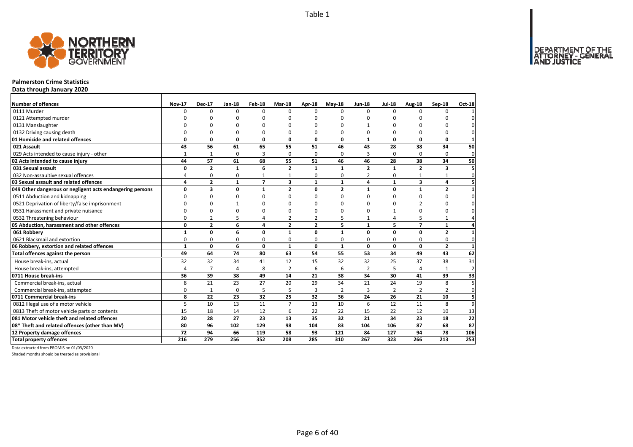DEPARTMENT OF THE<br>ATTORNEY - GENERAL



#### **Palmerston Crime Statistics**

**Data through January 2020**

| <b>Number of offences</b>                                 | <b>Nov-17</b>  | <b>Dec-17</b>  | Jan-18          | Feb-18         | <b>Mar-18</b>           | Apr-18         | <b>May-18</b>  | <b>Jun-18</b>   | <b>Jul-18</b>  | Aug-18                  | Sep-18         | Oct-18         |
|-----------------------------------------------------------|----------------|----------------|-----------------|----------------|-------------------------|----------------|----------------|-----------------|----------------|-------------------------|----------------|----------------|
| 0111 Murder                                               | 0              | 0              | $\Omega$        | $\Omega$       | $\Omega$                | $\Omega$       | $\Omega$       | $\Omega$        | $\Omega$       | $\Omega$                | 0              | $\mathbf{1}$   |
| 0121 Attempted murder                                     |                | U              | n               | n              | n                       | n              | ŋ              | n               |                | ŋ                       | n              | 0              |
| 0131 Manslaughter                                         |                | $\Omega$       | n               | n              |                         |                |                |                 |                | ŋ                       | $\Omega$       | $\mathbf 0$    |
| 0132 Driving causing death                                | 0              | 0              | 0               | $\Omega$       | 0                       | $\Omega$       | 0              | O               | $\Omega$       | 0                       | 0              | 0              |
| 01 Homicide and related offences                          | 0              | 0              | $\mathbf 0$     | 0              | 0                       | $\mathbf{0}$   | 0              | $\mathbf{1}$    | 0              | 0                       | $\mathbf{0}$   | $\mathbf{1}$   |
| 021 Assault                                               | 43             | 56             | 61              | 65             | 55                      | 51             | 46             | 43              | 28             | 38                      | 34             | 50             |
| 029 Acts intended to cause injury - other                 | $\mathbf{1}$   | $\mathbf{1}$   | $\Omega$        | $\overline{3}$ | $\Omega$                | $\Omega$       | 0              | 3               | $\Omega$       | $\Omega$                | $\Omega$       | 0              |
| 02 Acts intended to cause injury                          | 44             | 57             | 61              | 68             | 55                      | 51             | 46             | 46              | 28             | 38                      | 34             | 50             |
| 031 Sexual assault                                        | 0              | $\overline{2}$ | $\mathbf{1}$    | 6              | $\overline{2}$          | $\mathbf{1}$   | 1              | $\overline{2}$  | 1              | $\overline{2}$          | 3              | 5              |
| 032 Non-assaultive sexual offences                        | 4              | 0              | 0               | $\mathbf{1}$   | 1                       | 0              | 0              | $\overline{2}$  | 0              | 1                       | $\mathbf{1}$   | $\mathbf 0$    |
| 03 Sexual assault and related offences                    | 4              | $\mathbf{2}$   | $\mathbf{1}$    | $\overline{7}$ | $\overline{\mathbf{3}}$ | $\mathbf{1}$   | $\mathbf{1}$   | 4               | $\mathbf{1}$   | $\overline{\mathbf{3}}$ | 4              | 5 <sub>l</sub> |
| 049 Other dangerous or negligent acts endangering persons | 0              | 3              | 0               | $\mathbf{1}$   | $\overline{2}$          | 0              | $\overline{2}$ | $\mathbf{1}$    | 0              | $\mathbf{1}$            | $\overline{2}$ | $\mathbf{1}$   |
| 0511 Abduction and kidnapping                             | $\Omega$       | 0              | $\mathbf 0$     | $\mathbf 0$    | $\Omega$                | $\Omega$       | $\Omega$       | $\Omega$        | $\Omega$       | 0                       | $\Omega$       | $\pmb{0}$      |
| 0521 Deprivation of liberty/false imprisonment            | $\Omega$       | O              | 1               | n              | n                       | n              | ŋ              | ŋ               | <sup>0</sup>   | $\overline{2}$          | $\Omega$       | 0              |
| 0531 Harassment and private nuisance                      | $\Omega$       | O              | 0               | O              |                         |                | O              | O               |                | $\Omega$                | O              | $\mathbf 0$    |
| 0532 Threatening behaviour                                | 0              | 2              | 5               | 4              | 2                       | $\overline{2}$ | 5              | $\mathbf{1}$    | 4              | 5                       | $\mathbf{1}$   | $\overline{a}$ |
| 05 Abduction, harassment and other offences               | 0              | $\overline{2}$ | 6               | 4              | $\overline{2}$          | $\overline{2}$ | 5              | $\mathbf{1}$    | 5              | $\overline{7}$          | $\mathbf{1}$   | 4              |
| 061 Robberv                                               | $\mathbf{1}$   | 0              | 6               | 0              | $\mathbf{1}$            | $\mathbf{0}$   | $\mathbf{1}$   | 0               | 0              | 0                       | $\overline{2}$ | $\mathbf{1}$   |
| 0621 Blackmail and extortion                              | $\Omega$       | 0              | 0               | $\Omega$       | 0                       | $\Omega$       | 0              | 0               | $\Omega$       | $\Omega$                | $\mathbf 0$    | $\mathbf{0}$   |
| 06 Robbery, extortion and related offences                | $\mathbf{1}$   | 0              | 6               | $\mathbf{0}$   | $\mathbf{1}$            | $\mathbf{0}$   | $\mathbf{1}$   | 0               | 0              | 0                       | $\mathbf{2}$   | $\mathbf{1}$   |
| Total offences against the person                         | 49             | 64             | $\overline{74}$ | 80             | 63                      | 54             | 55             | $\overline{53}$ | 34             | 49                      | 43             | 62             |
| House break-ins, actual                                   | 32             | 32             | 34              | 41             | 12                      | 15             | 32             | 32              | 25             | 37                      | 38             | 31             |
| House break-ins, attempted                                | $\overline{4}$ | $\overline{7}$ | 4               | 8              | $\overline{2}$          | 6              | 6              | 2               | 5              |                         | $\mathbf{1}$   | $\overline{2}$ |
| 0711 House break-ins                                      | 36             | 39             | 38              | 49             | 14                      | 21             | 38             | 34              | 30             | 41                      | 39             | 33             |
| Commercial break-ins, actual                              | 8              | 21             | 23              | 27             | 20                      | 29             | 34             | 21              | 24             | 19                      | 8              | 5 <sup>1</sup> |
| Commercial break-ins, attempted                           | 0              | $\mathbf{1}$   | 0               | 5              | 5                       | 3              | $\overline{2}$ | 3               | $\overline{2}$ | 2                       | $\overline{2}$ | 0              |
| 0711 Commercial break-ins                                 | 8              | 22             | 23              | 32             | 25                      | 32             | 36             | 24              | 26             | 21                      | 10             | 5 <sup>1</sup> |
| 0812 Illegal use of a motor vehicle                       | 5              | 10             | 13              | 11             | $\overline{7}$          | 13             | 10             | 6               | 12             | 11                      | 8              | 9              |
| 0813 Theft of motor vehicle parts or contents             | 15             | 18             | 14              | 12             | 6                       | 22             | 22             | 15              | 22             | 12                      | 10             | 13             |
| 081 Motor vehicle theft and related offences              | 20             | 28             | 27              | 23             | 13                      | 35             | 32             | 21              | 34             | 23                      | 18             | 22             |
| 08* Theft and related offences (other than MV)            | 80             | 96             | 102             | 129            | 98                      | 104            | 83             | 104             | 106            | 87                      | 68             | 87             |
| 12 Property damage offences                               | 72             | 94             | 66              | 119            | 58                      | 93             | 121            | 84              | 127            | 94                      | 78             | 106            |
| <b>Total property offences</b>                            | 216            | 279            | 256             | 352            | 208                     | 285            | 310            | 267             | 323            | 266                     | 213            | 253            |

Data extracted from PROMIS on 01/03/2020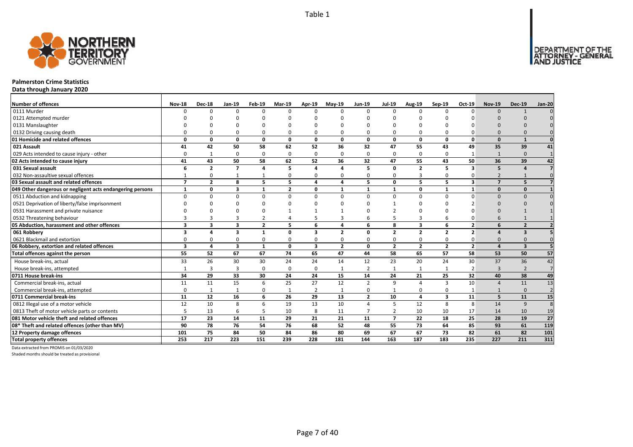

## **Palmerston Crime Statistics**

**Data through January 2020**

| <b>Number of offences</b>                                 | <b>Nov-18</b>            | <b>Dec-18</b>           | Jan-19                  | Feb-19                  | Mar-19          | Apr-19                  | <b>Mav-19</b>  | <b>Jun-19</b>  | <b>Jul-19</b>  | Aug-19         | Sep-19                  | Oct-19         | <b>Nov-19</b>            | <b>Dec-19</b>           | <b>Jan-20</b>  |
|-----------------------------------------------------------|--------------------------|-------------------------|-------------------------|-------------------------|-----------------|-------------------------|----------------|----------------|----------------|----------------|-------------------------|----------------|--------------------------|-------------------------|----------------|
| 0111 Murder                                               | n                        | <sup>0</sup>            | $\Omega$                | $\Omega$                | $\Omega$        | n                       | $\Omega$       | $\Omega$       | $\Omega$       | $\Omega$       | $\Omega$                | $\Omega$       | $\Omega$                 | $\mathbf{1}$            |                |
| 0121 Attempted murder                                     |                          |                         |                         |                         | n               |                         |                | n              |                |                |                         |                |                          |                         |                |
| 0131 Manslaughter                                         |                          |                         |                         |                         |                 |                         |                |                |                |                |                         |                |                          |                         |                |
| 0132 Driving causing death                                |                          |                         | $\Omega$                | $\Omega$                | $\Omega$        |                         |                | O              | $\Omega$       | 0              |                         |                | $\Omega$                 |                         |                |
| 01 Homicide and related offences                          | O                        | n                       | $\Omega$                | $\mathbf{0}$            | $\mathbf{0}$    | $\Omega$                | $\Omega$       | $\Omega$       | $\mathbf{0}$   | $\mathbf{0}$   | $\Omega$                | $\Omega$       | $\Omega$                 | $\mathbf{1}$            |                |
| 021 Assault                                               | 41                       | 42                      | 50                      | 58                      | 62              | 52                      | 36             | 32             | 47             | 55             | 43                      | 49             | 35                       | 39                      | 41             |
| 029 Acts intended to cause injury - other                 | O                        | 1                       | $\Omega$                | $\Omega$                | 0               | $\Omega$                | $\Omega$       | $\Omega$       | $\Omega$       | 0              | $\Omega$                | -1             | $\mathbf{1}$             | $\Omega$                |                |
| 02 Acts intended to cause injury                          | 41                       | 43                      | 50                      | 58                      | 62              | 52                      | 36             | 32             | 47             | 55             | 43                      | 50             | 36                       | 39                      | 42             |
| 031 Sexual assault                                        | 6                        | $\overline{\mathbf{z}}$ | $\overline{7}$          | $\overline{a}$          | 5               |                         | Δ              | 5              | $\mathbf{0}$   | $\overline{2}$ | 5                       | 3              | 5                        |                         |                |
| 032 Non-assaultive sexual offences                        |                          |                         |                         | $\mathbf{1}$            | 0               |                         | O              | $\Omega$       | $\Omega$       | 3              | $\Omega$                |                | $\overline{\phantom{0}}$ |                         |                |
| 03 Sexual assault and related offences                    | $\overline{\phantom{a}}$ | $\overline{2}$          | 8                       | 5                       | 5               | 4                       | Δ              | 5              | $\mathbf 0$    | 5              | 5                       | 3              | $\overline{ }$           | 5                       |                |
| 049 Other dangerous or negligent acts endangering persons | $\mathbf{1}$             | O                       | $\overline{\mathbf{3}}$ | $\overline{\mathbf{1}}$ | $\overline{2}$  | $\Omega$                |                | $\mathbf{1}$   | $\mathbf{1}$   | 0              |                         |                | $\Omega$                 | $\Omega$                |                |
| 0511 Abduction and kidnapping                             | n                        |                         | $\Omega$                | $\Omega$                | $\Omega$        | n                       | $\Omega$       | $\Omega$       | $\Omega$       | $\Omega$       | $\Omega$                | $\Omega$       | $\Omega$                 | $\Omega$                |                |
| 0521 Deprivation of liberty/false imprisonment            |                          |                         | $\Omega$                |                         | ŋ               |                         |                | n              |                | O              |                         |                | $\Omega$                 |                         |                |
| 0531 Harassment and private nuisance                      |                          |                         |                         |                         |                 |                         |                |                |                |                |                         |                |                          |                         |                |
| 0532 Threatening behaviour                                |                          |                         |                         |                         | 4               |                         |                |                |                | 3              |                         |                |                          |                         |                |
| 05 Abduction, harassment and other offences               | $\overline{3}$           | 3                       | 3                       | $\overline{2}$          | 5               | 6                       |                | 6              | 8              | 3              | 6                       | $\overline{2}$ | 6                        | $\overline{2}$          |                |
| 061 Robbery                                               | R                        |                         | 3                       | $\mathbf{1}$            | 0               | 3                       | $\overline{2}$ | O              | $\overline{2}$ | $\overline{2}$ | $\overline{2}$          | $\overline{2}$ |                          | $\overline{\mathbf{3}}$ |                |
| 0621 Blackmail and extortion                              |                          |                         | $\Omega$                | $\Omega$                | 0               |                         |                | O              | $\Omega$       | 0              |                         |                | $\Omega$                 |                         |                |
| 06 Robbery, extortion and related offences                | $\overline{\mathbf{3}}$  | 4                       | $\overline{\mathbf{3}}$ | $\mathbf{1}$            | $\mathbf{0}$    | $\overline{\mathbf{3}}$ | $\overline{2}$ | 0              | $\overline{2}$ | $\overline{2}$ | $\overline{2}$          | $\overline{2}$ | $\Delta$                 | $\overline{\mathbf{3}}$ |                |
| Total offences against the person                         | 55                       | 52                      | 67                      | 67                      | $\overline{74}$ | 65                      | 47             | 44             | 58             | 65             | 57                      | 58             | 53                       | 50                      | 57             |
| House break-ins, actual                                   | 33                       | 26                      | 30                      | 30                      | 24              | 24                      | 14             | 12             | 23             | 20             | 24                      | 30             | 37                       | 36                      | 42             |
| House break-ins, attempted                                |                          | 3                       | $\overline{3}$          | $\mathbf 0$             | 0               | $\Omega$                |                | $\overline{2}$ | $\mathbf{1}$   | $\mathbf{1}$   |                         | $\overline{2}$ | $\mathbf{3}$             | $\mathcal{D}$           | $\overline{7}$ |
| 0711 House break-ins                                      | 34                       | 29                      | 33                      | 30                      | 24              | 24                      | 15             | 14             | 24             | 21             | 25                      | 32             | 40                       | 38                      | 49             |
| Commercial break-ins, actual                              | 11                       | 11                      | 15                      | 6                       | 25              | 27                      | 12             | $\overline{2}$ | 9              | $\overline{a}$ | 3                       | 10             | Δ                        | 11                      | 13             |
| Commercial break-ins, attempted                           | $\Omega$                 | -1                      |                         | 0                       | 1               | $\overline{2}$          |                | $\Omega$       | $\mathbf{1}$   | 0              | 0                       |                |                          | $\Omega$                | $\overline{2}$ |
| 0711 Commercial break-ins                                 | 11                       | 12                      | 16                      | 6                       | 26              | 29                      | 13             | $\overline{2}$ | 10             | 4              | $\overline{\mathbf{3}}$ | 11             | 5                        | 11                      | 15             |
| 0812 Illegal use of a motor vehicle                       | 12                       | 10                      | 8                       | 6                       | 19              | 13                      | 10             | $\Delta$       | 5              | 12             | 8                       | 8              | 14                       | 9                       | 8              |
| 0813 Theft of motor vehicle parts or contents             |                          | 13                      | 6                       | 5                       | 10              | 8                       | 11             | $\overline{7}$ | $\overline{2}$ | 10             | 10                      | 17             | 14                       | 10                      | 19             |
| 081 Motor vehicle theft and related offences              | 17                       | 23                      | 14                      | 11                      | 29              | 21                      | 21             | 11             | $\overline{7}$ | 22             | 18                      | 25             | 28                       | 19                      | 27             |
| 08* Theft and related offences (other than MV)            | 90                       | 78                      | 76                      | 54                      | 76              | 68                      | 52             | 48             | 55             | 73             | 64                      | 85             | 93                       | 61                      | 119            |
| 12 Property damage offences                               | 101                      | 75                      | 84                      | 50                      | 84              | 86                      | 80             | 69             | 67             | 67             | 73                      | 82             | 61                       | 82                      | 101            |
| <b>Total property offences</b>                            | 253                      | 217                     | 223                     | 151                     | 239             | 228                     | 181            | 144            | 163            | 187            | 183                     | 235            | 227                      | 211                     | 311            |

Data extracted from PROMIS on 01/03/2020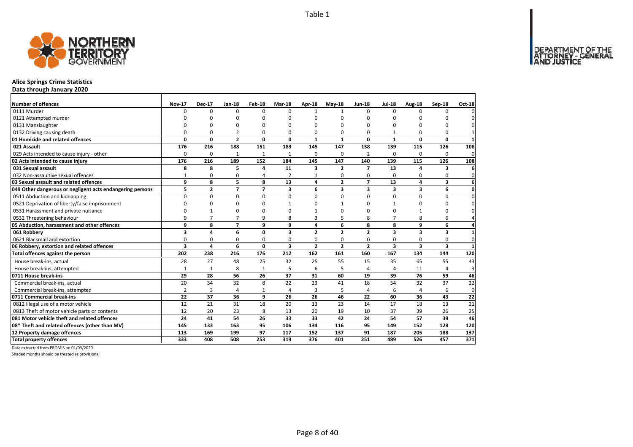

## **Alice Springs Crime Statistics**

**Data through January 2020**

| <b>Number of offences</b>                                 | <b>Nov-17</b>           | <b>Dec-17</b>  | Jan-18         | Feb-18         | Mar-18                  | Apr-18         | $May-18$       | <b>Jun-18</b>            | <b>Jul-18</b>           | Aug-18                  | Sep-18                  | <b>Oct-18</b>   |
|-----------------------------------------------------------|-------------------------|----------------|----------------|----------------|-------------------------|----------------|----------------|--------------------------|-------------------------|-------------------------|-------------------------|-----------------|
| 0111 Murder                                               | <sup>0</sup>            | $\Omega$       | 0              | $\Omega$       | $\Omega$                |                | $\mathbf{1}$   | $\Omega$                 | $\Omega$                | $\Omega$                | 0                       | $\Omega$        |
| 0121 Attempted murder                                     | O                       | O              | $\Omega$       | $\Omega$       |                         | $\Omega$       | U              | 0                        | $\Omega$                |                         | ŋ                       | $\mathbf{0}$    |
| 0131 Manslaughter                                         | $\Omega$                | O              | $\Omega$       | $\Omega$       |                         | $\Omega$       | O              | <sup>0</sup>             | $\Omega$                | $\Omega$                | $\Omega$                | 0               |
| 0132 Driving causing death                                | 0                       | 0              | 2              | $\Omega$       | O                       | 0              | $\Omega$       | 0                        | $\mathbf 1$             | $\Omega$                | 0                       | $\mathbf{1}$    |
| 01 Homicide and related offences                          | $\mathbf 0$             | $\mathbf{0}$   | $\overline{2}$ | 0              | 0                       | 1              | $\mathbf{1}$   | 0                        | $\mathbf{1}$            | 0                       | $\mathbf{0}$            | $\mathbf{1}$    |
| 021 Assault                                               | 176                     | 216            | 188            | 151            | 183                     | 145            | 147            | 138                      | 139                     | 115                     | 126                     | 108             |
| 029 Acts intended to cause injury - other                 | $\Omega$                | 0              | 1              | $\mathbf{1}$   | 1                       | 0              | 0              | 2                        | $\Omega$                | $\Omega$                | 0                       | $\mathbf{0}$    |
| 02 Acts intended to cause injury                          | 176                     | 216            | 189            | 152            | 184                     | 145            | 147            | 140                      | 139                     | 115                     | 126                     | 108             |
| 031 Sexual assault                                        | 8                       | 8              | 5              | $\overline{a}$ | 11                      | 3              | $\overline{2}$ | $\overline{\phantom{a}}$ | 13                      | Δ                       | 3                       | 6               |
| 032 Non-assaultive sexual offences                        | $\mathbf{1}$            | 0              | 0              | $\overline{4}$ | 2                       | 1              | 0              | 0                        | 0                       | 0                       | 0                       | $\mathbf 0$     |
| 03 Sexual assault and related offences                    | 9                       | 8              | 5              | 8              | 13                      | 4              | $\overline{2}$ | $\overline{7}$           | 13                      | 4                       | 3                       | $6 \mid$        |
| 049 Other dangerous or negligent acts endangering persons | 5                       | $\overline{2}$ | $\overline{7}$ | $\overline{z}$ | 3                       | 6              | 3              | 3                        | $\overline{\mathbf{3}}$ | 3                       | 6                       | $\mathbf{0}$    |
| 0511 Abduction and kidnapping                             | $\Omega$                | $\Omega$       | $\mathbf 0$    | $\Omega$       | $\Omega$                | $\Omega$       | $\Omega$       | $\Omega$                 | $\Omega$                | $\Omega$                | 0                       | $\mathbf 0$     |
| 0521 Deprivation of liberty/false imprisonment            | $\Omega$                | $\Omega$       | 0              | $\Omega$       |                         | ŋ              | 1              | 0                        | -1                      | $\Omega$                | 0                       | $\mathbf 0$     |
| 0531 Harassment and private nuisance                      | $\Omega$                | 1              | 0              | $\Omega$       |                         |                | O              | 0                        | $\Omega$                |                         | $\Omega$                | $\mathbf{0}$    |
| 0532 Threatening behaviour                                | 9                       | $\overline{7}$ | $\overline{7}$ | 9              | 8                       | 3              | 5              | 8                        | $\overline{7}$          | 8                       | 6                       | $\overline{4}$  |
| 05 Abduction, harassment and other offences               | 9                       | 8              | $\overline{7}$ | 9              | 9                       | 4              | 6              | 8                        | 8                       | 9                       | 6                       | $\overline{4}$  |
| 061 Robberv                                               | 3                       | 4              | 6              | $\mathbf 0$    | 3                       | $\overline{2}$ | $\overline{2}$ | $\overline{2}$           | $\overline{\mathbf{3}}$ | $\overline{\mathbf{3}}$ | 3                       | $1\overline{ }$ |
| 0621 Blackmail and extortion                              | 0                       | 0              | 0              | 0              | $\Omega$                | 0              | 0              | 0                        | $\Omega$                | $\Omega$                | 0                       | $\mathbf 0$     |
| 06 Robbery, extortion and related offences                | $\overline{\mathbf{3}}$ | 4              | 6              | $\mathbf 0$    | $\overline{\mathbf{3}}$ | $\overline{2}$ | $\overline{2}$ | $\overline{2}$           | $\overline{\mathbf{3}}$ | $\overline{\mathbf{3}}$ | $\overline{\mathbf{3}}$ | $\mathbf{1}$    |
| Total offences against the person                         | 202                     | 238            | 216            | 176            | 212                     | 162            | 161            | 160                      | 167                     | 134                     | 144                     | 120             |
| House break-ins, actual                                   | 28                      | 27             | 48             | 25             | 32                      | 25             | 55             | 15                       | 35                      | 65                      | 55                      | 43              |
| House break-ins, attempted                                | $\mathbf{1}$            | $\mathbf{1}$   | 8              | $\mathbf{1}$   | 5                       | 6              | 5              | 4                        | $\overline{4}$          | 11                      | 4                       | 3               |
| 0711 House break-ins                                      | 29                      | 28             | 56             | 26             | 37                      | 31             | 60             | 19                       | 39                      | 76                      | 59                      | 46              |
| Commercial break-ins, actual                              | 20                      | 34             | 32             | 8              | 22                      | 23             | 41             | 18                       | 54                      | 32                      | 37                      | 22              |
| Commercial break-ins, attempted                           | $\overline{2}$          | 3              | 4              | 1              | $\overline{4}$          | 3              | 5              | 4                        | 6                       | 4                       | 6                       | $\mathbf{0}$    |
| 0711 Commercial break-ins                                 | 22                      | 37             | 36             | 9              | 26                      | 26             | 46             | 22                       | 60                      | 36                      | 43                      | 22              |
| 0812 Illegal use of a motor vehicle                       | 12                      | 21             | 31             | 18             | 20                      | 13             | 23             | 14                       | 17                      | 18                      | 13                      | 21              |
| 0813 Theft of motor vehicle parts or contents             | 12                      | 20             | 23             | 8              | 13                      | 20             | 19             | 10                       | 37                      | 39                      | 26                      | 25              |
| 081 Motor vehicle theft and related offences              | 24                      | 41             | 54             | 26             | 33                      | 33             | 42             | 24                       | 54                      | 57                      | 39                      | 46              |
| 08* Theft and related offences (other than MV)            | 145                     | 133            | 163            | 95             | 106                     | 134            | 116            | 95                       | 149                     | 152                     | 128                     | 120             |
| 12 Property damage offences                               | 113                     | 169            | 199            | 97             | 117                     | 152            | 137            | 91                       | 187                     | 205                     | 188                     | 137             |
| <b>Total property offences</b>                            | 333                     | 408            | 508            | 253            | 319                     | 376            | 401            | 251                      | 489                     | 526                     | 457                     | 371             |

Data extracted from PROMIS on 01/03/2020

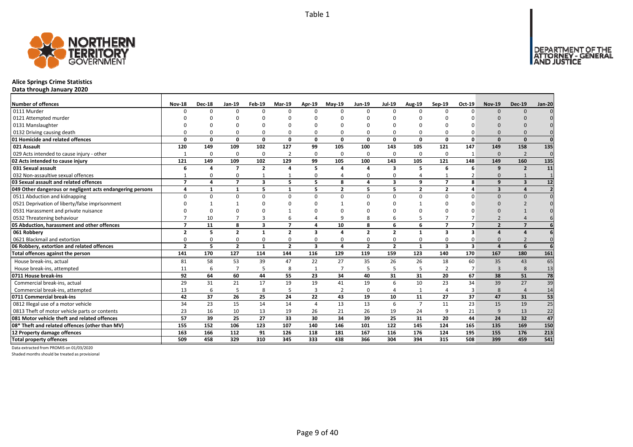

## **Alice Springs Crime Statistics**

**Data through January 2020**

| <b>Number of offences</b>                                 | <b>Nov-18</b>            | <b>Dec-18</b> | $Jan-19$                 | Feb-19                  | <b>Mar-19</b>  | Apr-19                  | $May-19$       | Jun-19                   | <b>Jul-19</b>           | <b>Aug-19</b>  | Sep-19                  | Oct-19         | <b>Nov-19</b>           | <b>Dec-19</b>  | <b>Jan-20</b>   |
|-----------------------------------------------------------|--------------------------|---------------|--------------------------|-------------------------|----------------|-------------------------|----------------|--------------------------|-------------------------|----------------|-------------------------|----------------|-------------------------|----------------|-----------------|
| 0111 Murder                                               | $\Omega$                 | $\Omega$      | $\Omega$                 | $\Omega$                | 0              | $\Omega$                | $\Omega$       | $\Omega$                 | $\Omega$                | 0              | $\Omega$                | $\Omega$       | $\Omega$                | $\Omega$       |                 |
| 0121 Attempted murder                                     |                          |               | n                        |                         |                |                         |                | n                        |                         |                |                         |                |                         |                |                 |
| 0131 Manslaughter                                         |                          |               |                          |                         |                |                         |                | n                        |                         |                |                         |                |                         |                |                 |
| 0132 Driving causing death                                |                          |               | $\Omega$                 | $\Omega$                | 0              |                         |                | $\Omega$                 | $\Omega$                | $\Omega$       |                         |                | $\Omega$                |                |                 |
| 01 Homicide and related offences                          | n                        | $\Omega$      | 0                        | $\mathbf{0}$            | 0              | $\Omega$                | $\Omega$       | 0                        | $\Omega$                | 0              | $\Omega$                | $\Omega$       | $\Omega$                | $\Omega$       | $\Omega$        |
| 021 Assault                                               | 120                      | 149           | 109                      | 102                     | 127            | 99                      | 105            | 100                      | 143                     | 105            | 121                     | 147            | 149                     | 158            | 135             |
| 029 Acts intended to cause injury - other                 | $\mathbf{1}$             | $\Omega$      | O                        | 0                       | $\overline{2}$ | $\Omega$                | $\Omega$       | <sup>0</sup>             | 0                       | 0              | $\Omega$                | $\mathbf{1}$   | $\Omega$                | $\overline{2}$ | $\Omega$        |
| 02 Acts intended to cause injury                          | 121                      | 149           | 109                      | 102                     | 129            | 99                      | 105            | 100                      | 143                     | 105            | 121                     | 148            | 149                     | 160            | 135             |
| 031 Sexual assault                                        | 6                        | Δ             | $\overline{z}$           | $\overline{2}$          | 4              | 5                       |                | Δ                        | $\overline{\mathbf{3}}$ | 5              | 6                       |                | $\mathbf{q}$            | $\overline{2}$ | 11              |
| 032 Non-assaultive sexual offences                        |                          | O             | $\Omega$                 | $\mathbf{1}$            | $\mathbf{1}$   | $\Omega$                |                | $\Omega$                 | $\Omega$                | $\overline{4}$ |                         | $\overline{2}$ | $\Omega$                | $\mathbf{1}$   |                 |
| 03 Sexual assault and related offences                    | $\overline{\phantom{a}}$ | Δ             | $\overline{\phantom{a}}$ | 3                       | 5              | 5.                      | 8              | Δ                        | 3                       | 9              | $\overline{ }$          | 8              | q                       | 3              | 12              |
| 049 Other dangerous or negligent acts endangering persons | 4                        |               | 1                        | 5                       | $\mathbf{1}$   |                         | $\overline{2}$ | 5                        | 5                       | $\mathbf{2}$   | $\overline{2}$          | Δ              | $\overline{\mathbf{3}}$ | $\Delta$       |                 |
| 0511 Abduction and kidnapping                             |                          | $\Omega$      | $\Omega$                 | $\Omega$                | 0              | <sup>0</sup>            | <sup>0</sup>   | $\Omega$                 | $\Omega$                | 0              | $\Omega$                | O              | $\Omega$                | $\Omega$       |                 |
| 0521 Deprivation of liberty/false imprisonment            |                          |               |                          | $\Omega$                |                |                         |                | n                        |                         |                |                         |                | $\Omega$                |                |                 |
| 0531 Harassment and private nuisance                      |                          |               | C                        |                         |                |                         |                | n                        |                         |                |                         |                |                         |                |                 |
| 0532 Threatening behaviour                                |                          | 10            |                          | 3                       | 6              |                         |                | 8                        | 6                       | 5              |                         |                |                         |                |                 |
| 05 Abduction, harassment and other offences               | $\overline{\phantom{a}}$ | 11            | 8                        | $\overline{\mathbf{3}}$ | $\overline{7}$ | 4                       | 10             | 8                        | 6                       | 6              | $\overline{7}$          | $\overline{ }$ | $\overline{2}$          | $\overline{z}$ |                 |
| 061 Robberv                                               | $\overline{\phantom{a}}$ | 5             | $\overline{\phantom{a}}$ | $\mathbf{1}$            | $\overline{2}$ | ₹                       |                | $\overline{\phantom{a}}$ | $\overline{2}$          | $\mathbf{1}$   | ર                       | R              |                         |                |                 |
| 0621 Blackmail and extortion                              |                          |               | $\Omega$                 | $\Omega$                | 0              |                         |                | $\Omega$                 | $\Omega$                | $\Omega$       | $\Omega$                |                | $\Omega$                |                | $\Omega$        |
| 06 Robbery, extortion and related offences                | $\overline{2}$           | 5             | $\overline{2}$           | $\mathbf{1}$            | $\overline{2}$ | $\overline{\mathbf{3}}$ | $\Delta$       | $\overline{2}$           | $\overline{2}$          | $\mathbf{1}$   | $\overline{\mathbf{3}}$ | $\mathbf{3}$   | $\mathbf{A}$            | 6              | 6               |
| Total offences against the person                         | 141                      | 170           | 127                      | 114                     | 144            | 116                     | 129            | 119                      | 159                     | 123            | 140                     | 170            | 167                     | 180            | 161             |
| House break-ins, actual                                   | 81                       | 58            | 53                       | 39                      | 47             | 22                      | 27             | 35                       | 26                      | 26             | 18                      | 60             | 35                      | 43             | 65              |
| House break-ins, attempted                                | 11                       | 6             | $\overline{7}$           | 5                       | 8              | $\mathbf{1}$            | $\overline{ }$ | 5                        | 5                       | 5              |                         | $\overline{7}$ | 3                       | 8              | 13              |
| 0711 House break-ins                                      | 92                       | 64            | 60                       | 44                      | 55             | 23                      | 34             | 40                       | 31                      | 31             | 20                      | 67             | 38                      | 51             | 78              |
| Commercial break-ins, actual                              | 29                       | 31            | 21                       | 17                      | 19             | 19                      | 41             | 19                       | 6                       | 10             | 23                      | 34             | 39                      | 27             | 39              |
| Commercial break-ins, attempted                           | 13                       | 6             | 5                        | 8                       | 5              |                         | 2              | $\Omega$                 | $\overline{4}$          | $\mathbf{1}$   | $\Delta$                | 3              | 8                       | $\overline{4}$ | 14              |
| 0711 Commercial break-ins                                 | 42                       | 37            | 26                       | 25                      | 24             | 22                      | 43             | 19                       | 10                      | 11             | 27                      | 37             | 47                      | 31             | 53              |
| 0812 Illegal use of a motor vehicle                       | 34                       | 23            | 15                       | 14                      | 14             | 4                       | 13             | 13                       | 6                       | $\overline{7}$ | 11                      | 23             | 15                      | 19             | $\overline{25}$ |
| 0813 Theft of motor vehicle parts or contents             | 23                       | 16            | 10                       | 13                      | 19             | 26                      | 21             | 26                       | 19                      | 24             | 9                       | 21             | $\mathbf{q}$            | 13             | 22              |
| 081 Motor vehicle theft and related offences              | 57                       | 39            | 25                       | 27                      | 33             | 30                      | 34             | 39                       | 25                      | 31             | 20                      | 44             | 24                      | 32             | 47              |
| 08* Theft and related offences (other than MV)            | 155                      | 152           | 106                      | 123                     | 107            | 140                     | 146            | 101                      | 122                     | 145            | 124                     | 165            | 135                     | 169            | 150             |
| 12 Property damage offences                               | 163                      | 166           | 112                      | 91                      | 126            | 118                     | 181            | 167                      | 116                     | 176            | 124                     | 195            | 155                     | 176            | 213             |
| <b>Total property offences</b>                            | 509                      | 458           | 329                      | 310                     | 345            | 333                     | 438            | 366                      | 304                     | 394            | 315                     | 508            | 399                     | 459            | 541             |

Data extracted from PROMIS on 01/03/2020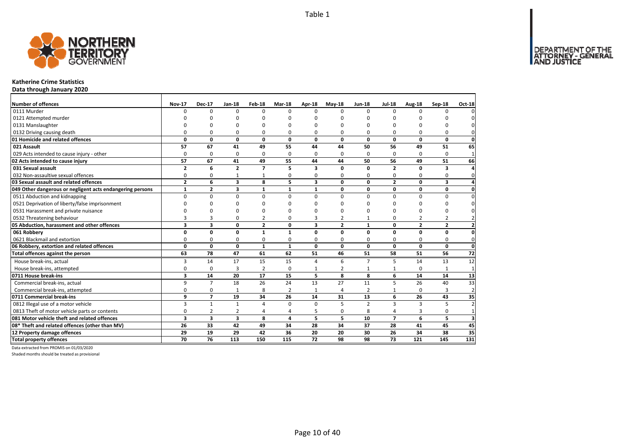DEPARTMENT OF THE<br>ATTORNEY - GENERAL



#### **Katherine Crime Statistics**

**Data through January 2020**

| Number of offences                                        | <b>Nov-17</b>           | <b>Dec-17</b>           | Jan-18                  | Feb-18         | <b>Mar-18</b>   | Apr-18          | $May-18$       | <b>Jun-18</b>  | <b>Jul-18</b>  | Aug-18          | Sep-18         | Oct-18          |
|-----------------------------------------------------------|-------------------------|-------------------------|-------------------------|----------------|-----------------|-----------------|----------------|----------------|----------------|-----------------|----------------|-----------------|
| 0111 Murder                                               | $\Omega$                | $\Omega$                | $\Omega$                | $\Omega$       | $\Omega$        | $\Omega$        | <sup>0</sup>   | $\Omega$       | $\Omega$       | $\Omega$        | $\Omega$       |                 |
| 0121 Attempted murder                                     |                         | ŋ                       | O                       | C              |                 | n               | n              | ŋ              | O              |                 |                |                 |
| 0131 Manslaughter                                         |                         | $\Omega$                | 0                       | $\Omega$       |                 | O               | O              | O              | $\Omega$       |                 | 0              |                 |
| 0132 Driving causing death                                | 0                       | 0                       | 0                       | 0              | O               | 0               | 0              | 0              | $\Omega$       | O               | 0              |                 |
| 01 Homicide and related offences                          | 0                       | 0                       | 0                       | 0              | 0               | 0               | 0              | 0              | $\mathbf{0}$   | $\mathbf{0}$    | 0              | $\mathbf 0$     |
| 021 Assault                                               | 57                      | 67                      | 41                      | 49             | 55              | 44              | 44             | 50             | 56             | 49              | 51             | 65              |
| 029 Acts intended to cause injury - other                 | $\Omega$                | 0                       | 0                       | 0              | $\Omega$        | 0               | 0              | $\Omega$       | $\Omega$       | $\Omega$        | $\Omega$       | $\mathbf{1}$    |
| 02 Acts intended to cause injury                          | 57                      | 67                      | 41                      | 49             | 55              | 44              | 44             | 50             | 56             | 49              | 51             | 66              |
| 031 Sexual assault                                        | $\overline{2}$          | 6                       | $\overline{2}$          | $\overline{7}$ |                 | 3               | 0              | 0              | $\overline{2}$ | n               | 3              | Δ               |
| 032 Non-assaultive sexual offences                        | 0                       | 0                       | $\mathbf{1}$            | $\mathbf 1$    | $\Omega$        | $\Omega$        | 0              | O              | 0              | $\Omega$        | 0              | 0               |
| 03 Sexual assault and related offences                    | $\overline{2}$          | 6                       | $\overline{\mathbf{3}}$ | 8              | 5.              | 3               | $\Omega$       | $\mathbf{0}$   | $\overline{2}$ | O               | 3              |                 |
| 049 Other dangerous or negligent acts endangering persons | $\mathbf{1}$            | 2                       | 3                       | 1              | $\mathbf{1}$    | 1               | 0              | 0              | $\mathbf 0$    | 0               | 0              | 0               |
| 0511 Abduction and kidnapping                             | $\Omega$                | $\Omega$                | $\mathbf 0$             | $\Omega$       | $\Omega$        | $\Omega$        | 0              | $\Omega$       | $\Omega$       | $\Omega$        | 0              | $\Omega$        |
| 0521 Deprivation of liberty/false imprisonment            | n                       | $\Omega$                | 0                       | $\Omega$       |                 | n               | <sup>0</sup>   | ŋ              | O              | C               | O              |                 |
| 0531 Harassment and private nuisance                      | n                       | $\Omega$                | 0                       | $\Omega$       |                 | ŋ               | U              | ŋ              | $\Omega$       | $\Omega$        | 0              |                 |
| 0532 Threatening behaviour                                | 3                       | 3                       | 0                       | $\overline{2}$ | $\Omega$        | 3               | $\overline{2}$ |                | 0              | $\overline{2}$  | $\overline{2}$ |                 |
| 05 Abduction, harassment and other offences               | 3                       | 3                       | 0                       | $\overline{2}$ | 0               | 3               | $\overline{2}$ | $\mathbf{1}$   | $\mathbf 0$    | $\overline{2}$  | $\overline{2}$ | $\overline{2}$  |
| 061 Robbery                                               | 0                       | 0                       | 0                       | $\mathbf{1}$   | 1               | $\Omega$        | $\Omega$       | 0              | $\mathbf{0}$   | $\Omega$        | 0              | $\mathbf{0}$    |
| 0621 Blackmail and extortion                              | 0                       | 0                       | 0                       | 0              | $\Omega$        | 0               | 0              | 0              | 0              | 0               | 0              | 0               |
| 06 Robbery, extortion and related offences                | $\mathbf 0$             | $\mathbf{0}$            | $\mathbf{0}$            | $\mathbf{1}$   | $\mathbf{1}$    | $\mathbf{0}$    | $\mathbf{0}$   | $\mathbf{0}$   | $\mathbf 0$    | $\mathbf 0$     | 0              | $\mathbf 0$     |
| Total offences against the person                         | 63                      | 78                      | $\overline{47}$         | 61             | 62              | 51              | 46             | 51             | 58             | 51              | 56             | $\overline{72}$ |
| House break-ins, actual                                   | 3                       | 14                      | 17                      | 15             | 15              | 4               | 6              | $\overline{7}$ | 5              | 14              | 13             | 12              |
| House break-ins, attempted                                | 0                       | 0                       | 3                       | $\overline{2}$ | $\mathbf 0$     | $\mathbf{1}$    | 2              | $\mathbf{1}$   | $\mathbf{1}$   | $\Omega$        | $\mathbf{1}$   | $\mathbf{1}$    |
| 0711 House break-ins                                      | 3                       | 14                      | 20                      | 17             | 15              | 5               | 8              | 8              | 6              | 14              | 14             | 13              |
| Commercial break-ins, actual                              | 9                       | $\overline{7}$          | 18                      | 26             | $\overline{24}$ | 13              | 27             | 11             | 5              | $\overline{26}$ | 40             | 33              |
| Commercial break-ins, attempted                           | $\Omega$                | 0                       | 1                       | 8              | $\overline{2}$  | $\mathbf{1}$    | 4              | $\overline{2}$ | 1              | $\Omega$        | 3              | $\overline{2}$  |
| 0711 Commercial break-ins                                 | 9                       | $\overline{7}$          | 19                      | 34             | 26              | 14              | 31             | 13             | 6              | 26              | 43             | 35              |
| 0812 Illegal use of a motor vehicle                       | 3                       | $\mathbf{1}$            | $\mathbf{1}$            | $\overline{a}$ | $\Omega$        | 0               | 5              | $\overline{2}$ | $\overline{3}$ | 3               | 5              | $\overline{a}$  |
| 0813 Theft of motor vehicle parts or contents             | 0                       | $\overline{2}$          | $\overline{2}$          | $\overline{4}$ | 4               | 5               | 0              | 8              | $\overline{4}$ | 3               | 0              | $\overline{1}$  |
| 081 Motor vehicle theft and related offences              | $\overline{\mathbf{3}}$ | $\overline{\mathbf{3}}$ | $\overline{\mathbf{3}}$ | 8              | 4               | 5               | 5              | 10             | $\overline{7}$ | 6               | 5              | 3               |
| 08* Theft and related offences (other than MV)            | 26                      | 33                      | 42                      | 49             | 34              | 28              | 34             | 37             | 28             | 41              | 45             | 45              |
| 12 Property damage offences                               | 29                      | 19                      | 29                      | 42             | 36              | 20              | 20             | 30             | 26             | 34              | 38             | 35              |
| <b>Total property offences</b>                            | $\overline{70}$         | $\overline{76}$         | 113                     | 150            | 115             | $\overline{72}$ | 98             | 98             | 73             | 121             | 145            | 131             |

Data extracted from PROMIS on 01/03/2020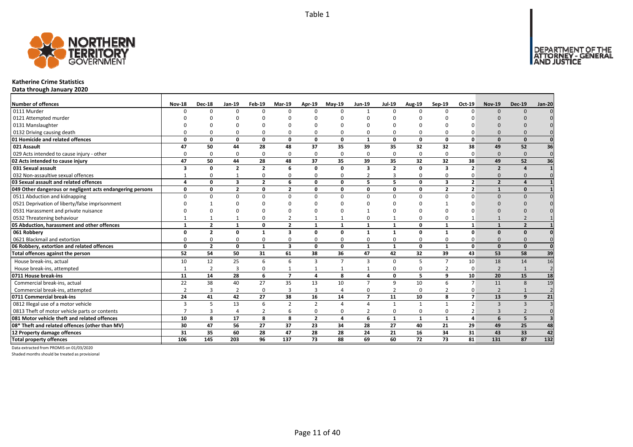

#### **Katherine Crime Statistics**

**Data through January 2020**

| <b>Number of offences</b>                                 | <b>Nov-18</b> | <b>Dec-18</b>  | $Jan-19$                | Feb-19                  | <b>Mar-19</b>           | Apr-19         | <b>Mav-19</b>  | <b>Jun-19</b>            | <b>Jul-19</b>  | Aug-19          | Sep-19         | Oct-19                   | <b>Nov-19</b>            | <b>Dec-19</b>  | <b>Jan-20</b>   |
|-----------------------------------------------------------|---------------|----------------|-------------------------|-------------------------|-------------------------|----------------|----------------|--------------------------|----------------|-----------------|----------------|--------------------------|--------------------------|----------------|-----------------|
| 0111 Murder                                               | n             | $\Omega$       | $\Omega$                | $\Omega$                | $\Omega$                | $\Omega$       | $\Omega$       | $\mathbf{1}$             | $\Omega$       | $\Omega$        | $\Omega$       | $\Omega$                 | $\Omega$                 | $\Omega$       |                 |
| 0121 Attempted murder                                     |               |                |                         |                         |                         |                |                | $\Omega$                 |                |                 |                |                          |                          |                |                 |
| 0131 Manslaughter                                         |               |                |                         |                         |                         |                |                |                          |                |                 |                |                          |                          |                |                 |
| 0132 Driving causing death                                |               |                | O                       | $\Omega$                | 0                       |                |                | $\Omega$                 | $\Omega$       | 0               |                |                          |                          |                |                 |
| 01 Homicide and related offences                          | n             | $\Omega$       | 0                       | $\mathbf{0}$            | $\mathbf{0}$            | $\Omega$       | $\Omega$       | $\mathbf{1}$             | $\Omega$       | $\mathbf{0}$    | $\Omega$       | $\Omega$                 | $\Omega$                 | $\Omega$       |                 |
| 021 Assault                                               | 47            | 50             | 44                      | 28                      | 48                      | 37             | 35             | 39                       | 35             | 32              | 32             | 38                       | 49                       | 52             | 36              |
| 029 Acts intended to cause injury - other                 | n             | $\Omega$       | 0                       | $\Omega$                | 0                       | $\Omega$       | $\Omega$       | $\Omega$                 | $\Omega$       | 0               | $\Omega$       | 0                        | $\Omega$                 | $\Omega$       | $\mathbf 0$     |
| 02 Acts intended to cause injury                          | 47            | 50             | 44                      | 28                      | 48                      | 37             | 35             | 39                       | 35             | 32              | 32             | 38                       | 49                       | 52             | $\overline{36}$ |
| 031 Sexual assault                                        | з             | 0              | $\overline{2}$          | $\overline{2}$          | 6                       | $\Omega$       | $\mathbf 0$    | 3                        | $\overline{2}$ | 0               | $\mathbf{3}$   | $\overline{\phantom{a}}$ | $\overline{2}$           |                |                 |
| 032 Non-assaultive sexual offences                        |               | O              | $\mathbf{1}$            | $\mathbf 0$             | 0                       | ŋ              | 0              | $\overline{2}$           | $\overline{3}$ | 0               | $\Omega$       |                          | $\Omega$                 |                |                 |
| 03 Sexual assault and related offences                    | 4             | 0              | 3                       | $\overline{\mathbf{2}}$ | 6                       | $\Omega$       | $\mathbf 0$    | 5                        | 5              | 0               | 3              | $\overline{2}$           | $\overline{2}$           |                |                 |
| 049 Other dangerous or negligent acts endangering persons | $\Omega$      | O              | $\overline{\mathbf{z}}$ | $\mathbf 0$             | $\mathbf{2}$            | $\Omega$       | 0              | <sup>0</sup>             | $\mathbf{0}$   | 0               | $\overline{2}$ | $\overline{2}$           |                          | $\Omega$       |                 |
| 0511 Abduction and kidnapping                             |               |                | $\Omega$                | $\Omega$                | 0                       | n              | $\Omega$       | $\Omega$                 | $\Omega$       | 0               | $\Omega$       | O                        | $\Omega$                 | $\Omega$       |                 |
| 0521 Deprivation of liberty/false imprisonment            |               |                | U                       |                         |                         |                |                | n                        |                |                 |                |                          | n                        |                |                 |
| 0531 Harassment and private nuisance                      |               |                | C                       |                         |                         |                |                |                          |                |                 |                |                          |                          |                |                 |
| 0532 Threatening behaviour                                |               |                |                         | $\Omega$                | $\overline{2}$          |                |                | $\Omega$                 |                | 0               |                |                          |                          |                |                 |
| 05 Abduction, harassment and other offences               | $\mathbf{1}$  | $\overline{2}$ | 1                       | $\mathbf 0$             | $\overline{2}$          | $\mathbf{1}$   | $\mathbf{1}$   | $\mathbf{1}$             | $\mathbf{1}$   | 0               | $\mathbf{1}$   | $\mathbf{1}$             | $\mathbf{1}$             | $\overline{2}$ |                 |
| 061 Robbery                                               | n             | $\overline{2}$ | O                       | $\mathbf{1}$            | 3                       | $\Omega$       | 0              | $\mathbf 1$              | $\mathbf{1}$   | 0               |                | $\Omega$                 | $\Omega$                 | $\Omega$       |                 |
| 0621 Blackmail and extortion                              |               |                | <sup>0</sup>            | $\Omega$                | 0                       |                | O              | <sup>0</sup>             | $\Omega$       | 0               |                |                          | $\Omega$                 |                |                 |
| 06 Robbery, extortion and related offences                | 0             | $\overline{2}$ | 0                       | $\mathbf{1}$            | $\overline{\mathbf{3}}$ | 0              | $\mathbf 0$    | $\mathbf{1}$             | 1              | 0               | 1              | $\mathbf{0}$             | $\Omega$                 | $\Omega$       | $\Omega$        |
| Total offences against the person                         | 52            | 54             | 50                      | 31                      | 61                      | 38             | 36             | 47                       | 42             | $\overline{32}$ | 39             | 43                       | 53                       | 58             | 39              |
| House break-ins, actual                                   | 10            | 12             | 25                      | 6                       | 6                       | 3              | $\overline{7}$ | 3                        | $\mathbf 0$    | 5               | $\overline{7}$ | 10                       | 18                       | 14             | 16              |
| House break-ins, attempted                                |               | $\overline{2}$ | 3                       | 0                       | $\mathbf{1}$            |                |                |                          | 0              | 0               | $\mathcal{P}$  | 0                        | $\overline{\phantom{0}}$ | $\overline{1}$ | $\overline{2}$  |
| 0711 House break-ins                                      | 11            | 14             | 28                      | 6                       | $\overline{z}$          | 4              | 8              | 4                        | $\mathbf{0}$   | 5               | 9              | 10                       | 20                       | 15             | 18              |
| Commercial break-ins, actual                              | 22            | 38             | 40                      | 27                      | 35                      | 13             | 10             | $\overline{7}$           | 9              | 10              | 6              | $\overline{7}$           | 11                       | 8              | 19              |
| Commercial break-ins, attempted                           |               |                | $\overline{2}$          | 0                       | 3                       | 3              |                | $\Omega$                 | $\overline{2}$ | 0               | $\overline{2}$ | 0                        | $\overline{2}$           |                |                 |
| 0711 Commercial break-ins                                 | 24            | 41             | 42                      | 27                      | 38                      | 16             | 14             | $\overline{\phantom{a}}$ | 11             | 10              | 8              | $\overline{ }$           | 13                       | $\mathbf{q}$   | 21              |
| 0812 Illegal use of a motor vehicle                       | 3             | 5              | 13                      | 6                       | $\overline{2}$          | $\overline{2}$ | $\Delta$       |                          | $\mathbf{1}$   | $\mathbf{1}$    |                | $\mathfrak{p}$           | $\mathbf{3}$             | $\mathbf{B}$   |                 |
| 0813 Theft of motor vehicle parts or contents             |               |                | 4                       | $\overline{2}$          | 6                       | $\Omega$       | 0              | $\overline{2}$           | 0              | 0               | $\Omega$       |                          | $\mathbf{3}$             |                |                 |
| 081 Motor vehicle theft and related offences              | 10            | 8              | 17                      | 8                       | 8                       | $\overline{2}$ | 4              | 6                        | $\mathbf{1}$   | $\mathbf{1}$    | $\mathbf{1}$   | 4                        | 6                        | 5              |                 |
| 08* Theft and related offences (other than MV)            | 30            | 47             | 56                      | 27                      | 37                      | 23             | 34             | 28                       | 27             | 40              | 21             | 29                       | 49                       | 25             | 48              |
| 12 Property damage offences                               | 31            | 35             | 60                      | 28                      | 47                      | 28             | 28             | 24                       | 21             | 16              | 34             | 31                       | 43                       | 33             | 42              |
| <b>Total property offences</b>                            | 106           | 145            | 203                     | 96                      | 137                     | 73             | 88             | 69                       | 60             | $\overline{72}$ | 73             | 81                       | 131                      | 87             | 132             |

Data extracted from PROMIS on 01/03/2020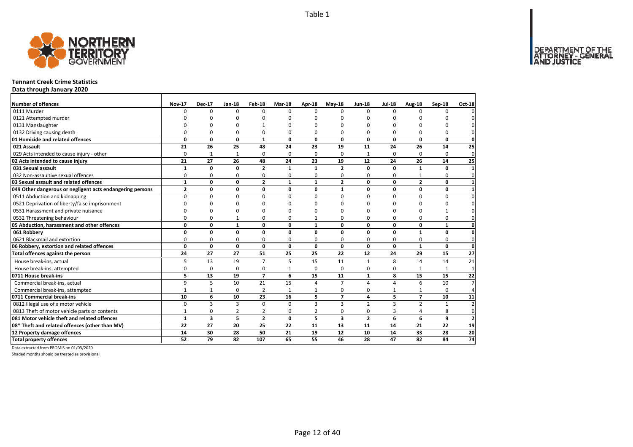DEPARTMENT OF THE<br>ATTORNEY - GENERAL



#### **Tennant Creek Crime Statistics**

**Data through January 2020**

| Number of offences                                        | <b>Nov-17</b> | <b>Dec-17</b> | Jan-18       | Feb-18         | <b>Mar-18</b> | Apr-18         | $May-18$                | <b>Jun-18</b>  | <b>Jul-18</b>  | Aug-18          | <b>Sep-18</b> | Oct-18         |
|-----------------------------------------------------------|---------------|---------------|--------------|----------------|---------------|----------------|-------------------------|----------------|----------------|-----------------|---------------|----------------|
| 0111 Murder                                               | $\Omega$      | $\Omega$      | $\Omega$     | $\Omega$       | $\Omega$      | $\Omega$       | $\Omega$                | $\Omega$       | $\Omega$       | $\Omega$        | 0             | $\Omega$       |
| 0121 Attempted murder                                     |               | ŋ             | n            |                |               |                | O                       | O              | $\Omega$       |                 |               | $\Omega$       |
| 0131 Manslaughter                                         |               | O             | U            |                |               |                | $\Omega$                | O              | $\Omega$       |                 | 0             | $\Omega$       |
| 0132 Driving causing death                                | $\Omega$      | 0             | 0            | 0              | ŋ             | 0              | 0                       | 0              | $\Omega$       | 0               | 0             | $\mathbf{0}$   |
| 01 Homicide and related offences                          | 0             | 0             | $\mathbf 0$  | $\mathbf{1}$   | 0             | 0              | 0                       | 0              | 0              | 0               | $\mathbf 0$   | $\mathbf{0}$   |
| 021 Assault                                               | 21            | 26            | 25           | 48             | 24            | 23             | 19                      | 11             | 24             | 26              | 14            | 25             |
| 029 Acts intended to cause injury - other                 | 0             | 1             | 1            | 0              | $\Omega$      | $\Omega$       | 0                       | 1              | $\Omega$       | $\Omega$        | 0             | $\mathbf 0$    |
| 02 Acts intended to cause injury                          | 21            | 27            | 26           | 48             | 24            | 23             | 19                      | 12             | 24             | 26              | 14            | 25             |
| 031 Sexual assault                                        | $\mathbf{1}$  | 0             | 0            | $\overline{2}$ | 1             | 1              | $\overline{2}$          | 0              | $\mathbf 0$    | 1               | $\Omega$      | $\mathbf{1}$   |
| 032 Non-assaultive sexual offences                        | 0             | 0             | 0            | $\Omega$       | 0             | $\Omega$       | 0                       | 0              | 0              |                 | 0             | $\mathbf{0}$   |
| 03 Sexual assault and related offences                    | $\mathbf{1}$  | 0             | $\mathbf{0}$ | $\overline{2}$ | $\mathbf{1}$  | $\mathbf{1}$   | $\overline{2}$          | $\mathbf{0}$   | $\mathbf{0}$   | $\overline{2}$  | O             | $\mathbf{1}$   |
| 049 Other dangerous or negligent acts endangering persons | $\mathbf{2}$  | 0             | 0            | 0              | 0             | 0              | $\mathbf{1}$            | 0              | 0              | 0               | 0             | $\mathbf{1}$   |
| 0511 Abduction and kidnapping                             | 0             | 0             | $\mathbf 0$  | $\Omega$       | $\Omega$      | $\Omega$       | $\Omega$                | $\Omega$       | $\Omega$       | 0               | 0             | $\overline{0}$ |
| 0521 Deprivation of liberty/false imprisonment            | $\Omega$      | $\Omega$      | 0            | $\Omega$       |               | n              | ŋ                       | <sup>0</sup>   | $\Omega$       | $\Omega$        | 0             | $\mathbf{0}$   |
| 0531 Harassment and private nuisance                      | $\Omega$      | O             | 0            | O              |               | n              | O                       | O              | O              | O               |               | $\mathbf 0$    |
| 0532 Threatening behaviour                                | 0             | 0             | $\mathbf{1}$ | 0              | 0             |                | 0                       | 0              | 0              | 0               | 0             | $\mathbf 0$    |
| 05 Abduction, harassment and other offences               | 0             | 0             | $\mathbf{1}$ | 0              | $\mathbf{0}$  | $\mathbf{1}$   | 0                       | $\Omega$       | 0              | 0               | $\mathbf{1}$  | $\mathbf{0}$   |
| 061 Robbery                                               | 0             | 0             | 0            | 0              | 0             | 0              | 0                       | 0              | 0              | $\mathbf{1}$    | 0             | $\mathbf{0}$   |
| 0621 Blackmail and extortion                              | 0             | 0             | 0            | 0              | 0             | $\Omega$       | 0                       | 0              | $\Omega$       | 0               | 0             | $\mathbf{0}$   |
| 06 Robbery, extortion and related offences                | $\mathbf{0}$  | 0             | $\mathbf{0}$ | $\mathbf 0$    | 0             | $\mathbf{0}$   | 0                       | 0              | 0              | $\mathbf{1}$    | $\mathbf 0$   | <sub>0</sub>   |
| Total offences against the person                         | 24            | 27            | 27           | 51             | 25            | 25             | 22                      | 12             | 24             | 29              | 15            | 27             |
| House break-ins, actual                                   | 5             | 13            | 19           | $\overline{7}$ | 5             | 15             | 11                      | $\mathbf{1}$   | 8              | 14              | 14            | 21             |
| House break-ins, attempted                                | 0             | 0             | 0            | 0              |               | $\Omega$       | 0                       | 0              | $\Omega$       |                 | 1             | $\mathbf{1}$   |
| 0711 House break-ins                                      | 5             | 13            | 19           | $\overline{7}$ | 6             | 15             | 11                      | $\mathbf{1}$   | 8              | 15              | 15            | 22             |
| Commercial break-ins, actual                              | 9             | 5             | 10           | 21             | 15            | 4              | $\overline{7}$          | 4              | $\overline{4}$ | 6               | 10            | 7 <sup>1</sup> |
| Commercial break-ins, attempted                           | $\mathbf{1}$  | 1             | 0            | $\overline{2}$ | 1             |                | 0                       | 0              | $\mathbf{1}$   | 1               | 0             | $\overline{4}$ |
| 0711 Commercial break-ins                                 | 10            | 6             | 10           | 23             | 16            | 5              | $\overline{7}$          | 4              | 5              | $\overline{7}$  | 10            | 11             |
| 0812 Illegal use of a motor vehicle                       | $\Omega$      | 3             | 3            | $\Omega$       | $\Omega$      | 3              | 3                       | $\overline{2}$ | $\overline{3}$ | $\overline{2}$  | $\mathbf{1}$  | $\overline{2}$ |
| 0813 Theft of motor vehicle parts or contents             | $\mathbf{1}$  | 0             | 2            | $\overline{2}$ | $\Omega$      | $\overline{2}$ | 0                       | 0              | 3              | 4               | 8             | $\mathbf 0$    |
| 081 Motor vehicle theft and related offences              | $\mathbf{1}$  | 3             | 5            | $\overline{2}$ | $\mathbf{0}$  | 5              | $\overline{\mathbf{3}}$ | $\overline{2}$ | 6              | 6               | 9             | $\mathbf{2}$   |
| 08* Theft and related offences (other than MV)            | 22            | 27            | 20           | 25             | 22            | 11             | 13                      | 11             | 14             | 21              | 22            | 19             |
| 12 Property damage offences                               | 14            | 30            | 28           | 50             | 21            | 19             | 12                      | 10             | 14             | 33              | 28            | 20             |
| <b>Total property offences</b>                            | 52            | 79            | 82           | 107            | 65            | 55             | 46                      | 28             | 47             | $\overline{82}$ | 84            | 74             |

Data extracted from PROMIS on 01/03/2020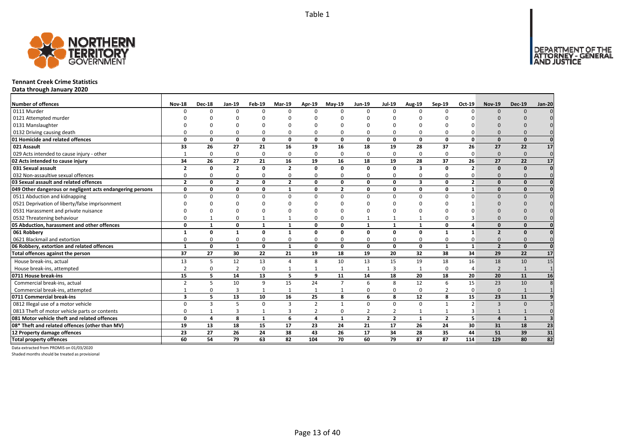

#### **Tennant Creek Crime Statistics**

**Data through January 2020**

| <b>Number of offences</b>                                 | <b>Nov-18</b>           | <b>Dec-18</b> | <b>Jan-19</b>  | Feb-19       | <b>Mar-19</b>  | Apr-19         | $May-19$       | <b>Jun-19</b>  | <b>Jul-19</b>  | Aug-19                  | Sep-19         | Oct-19         | <b>Nov-19</b>  | <b>Dec-19</b> | <b>Jan-20</b>  |
|-----------------------------------------------------------|-------------------------|---------------|----------------|--------------|----------------|----------------|----------------|----------------|----------------|-------------------------|----------------|----------------|----------------|---------------|----------------|
| 0111 Murder                                               | $\Omega$                | $\Omega$      | $\Omega$       | $\Omega$     | $\Omega$       | n              | n              | $\Omega$       | $\Omega$       | $\Omega$                |                | $\Omega$       | $\Omega$       | $\Omega$      |                |
| 0121 Attempted murder                                     |                         |               |                |              |                |                |                |                |                |                         |                |                |                |               |                |
| 0131 Manslaughter                                         |                         |               |                |              |                |                |                |                |                |                         |                |                |                |               |                |
| 0132 Driving causing death                                |                         |               |                | O            | $\Omega$       |                |                | $\Omega$       | $\Omega$       | O                       |                |                |                |               |                |
| 01 Homicide and related offences                          | $\Omega$                | 0             | 0              | $\mathbf{0}$ | 0              | $\Omega$       | $\Omega$       | 0              | $\mathbf{0}$   | $\mathbf{0}$            | $\Omega$       | $\Omega$       | $\Omega$       | $\Omega$      |                |
| 021 Assault                                               | 33                      | 26            | 27             | 21           | 16             | 19             | 16             | 18             | 19             | 28                      | 37             | 26             | 27             | 22            | 17             |
| 029 Acts intended to cause injury - other                 |                         | $\Omega$      | $\Omega$       | $\mathbf 0$  | $\mathbf 0$    | $\Omega$       | $\Omega$       | $\Omega$       | $\Omega$       | 0                       | $\Omega$       | $\Omega$       | $\Omega$       | $\Omega$      | $\mathbf 0$    |
| 02 Acts intended to cause injury                          | 34                      | 26            | 27             | 21           | 16             | 19             | 16             | 18             | 19             | 28                      | 37             | 26             | 27             | 22            | 17             |
| 031 Sexual assault                                        | $\overline{2}$          | 0             | $\overline{2}$ | $\mathbf{0}$ | $\overline{2}$ | $\Omega$       | O              | $\Omega$       | $\mathbf{0}$   | $\overline{\mathbf{3}}$ | $\Omega$       | $\overline{2}$ | $\Omega$       | $\Omega$      |                |
| 032 Non-assaultive sexual offences                        | $\Omega$                | O             | $\Omega$       | $\Omega$     | 0              | $\Omega$       | ŋ              | $\Omega$       | 0              | 0                       | $\Omega$       |                | $\Omega$       | $\Omega$      |                |
| 03 Sexual assault and related offences                    | $\overline{2}$          | $\Omega$      | $\overline{2}$ | $\mathbf{0}$ | $\overline{2}$ | $\Omega$       | $\Omega$       | $\Omega$       | $\mathbf{0}$   | 3                       | $\Omega$       | $\overline{2}$ | $\Omega$       | $\Omega$      |                |
| 049 Other dangerous or negligent acts endangering persons | 0                       | 0             | 0              | 0            | $\mathbf{1}$   | $\Omega$       | $\overline{2}$ | 0              | 0              | 0                       | 0              | $\mathbf{1}$   | $\Omega$       | $\Omega$      |                |
| 0511 Abduction and kidnapping                             | $\Omega$                | <sup>0</sup>  | $\Omega$       | $\Omega$     | $\Omega$       | $\Omega$       | $\Omega$       | $\Omega$       | $\Omega$       | $\Omega$                | $\Omega$       | $\Omega$       | $\Omega$       | $\Omega$      |                |
| 0521 Deprivation of liberty/false imprisonment            |                         |               |                |              | ŋ              |                |                |                |                | U                       |                |                | $\Omega$       |               |                |
| 0531 Harassment and private nuisance                      |                         |               |                |              | O              |                |                |                |                | O                       |                |                |                |               |                |
| 0532 Threatening behaviour                                |                         |               |                |              | $\mathbf{1}$   |                |                |                | $\mathbf{1}$   | $\mathbf{1}$            |                |                |                |               |                |
| 05 Abduction, harassment and other offences               | $\Omega$                | $\mathbf{1}$  | $\Omega$       | 1            | $\mathbf{1}$   | $\mathbf{0}$   | O              | $\mathbf{1}$   | $\mathbf{1}$   | $\mathbf{1}$            | $\Omega$       |                | $\Omega$       | $\Omega$      |                |
| 061 Robbery                                               | $\mathbf{1}$            | 0             |                | 0            | $\mathbf{1}$   | $\Omega$       | O              | 0              | 0              | 0                       | 1              | $\mathbf{1}$   | $\overline{2}$ | $\Omega$      |                |
| 0621 Blackmail and extortion                              |                         | 0             | $\Omega$       | 0            | 0              | 0              | 0              | $\Omega$       | 0              | 0                       | $\Omega$       |                | $\Omega$       |               |                |
| 06 Robbery, extortion and related offences                | $\mathbf{1}$            | 0             | $\mathbf{1}$   | $\mathbf 0$  | 1              | $\mathbf{0}$   | 0              | 0              | $\mathbf 0$    | 0                       | 1              | $\mathbf{1}$   | $\overline{2}$ | $\Omega$      | $\Omega$       |
| Total offences against the person                         | 37                      | 27            | 30             | 22           | 21             | 19             | 18             | 19             | 20             | 32                      | 38             | 34             | 29             | 22            | 17             |
| House break-ins, actual                                   | 13                      | 5             | 12             | 13           | 4              | 8              | 10             | 13             | 15             | 19                      | 18             | 16             | 18             | 10            | 15             |
| House break-ins, attempted                                | $\overline{2}$          | <sup>0</sup>  | $\overline{2}$ | $\Omega$     | 1              |                | -1             |                | $\overline{3}$ | $\mathbf{1}$            | $\Omega$       | Δ              | $\overline{2}$ | $\mathbf{1}$  | $\overline{1}$ |
| 0711 House break-ins                                      | 15                      | 5             | 14             | 13           | 5              | 9              | 11             | 14             | 18             | 20                      | 18             | 20             | 20             | 11            | 16             |
| Commercial break-ins, actual                              |                         | 5             | 10             | 9            | 15             | 24             | $\overline{7}$ | 6              | 8              | 12                      | 6              | 15             | 23             | 10            |                |
| Commercial break-ins, attempted                           |                         |               | 3              | $\mathbf{1}$ | $\mathbf{1}$   |                |                | $\Omega$       | 0              | 0                       | 2              | $\Omega$       | $\Omega$       | $\mathbf{1}$  |                |
| 0711 Commercial break-ins                                 | $\overline{\mathbf{3}}$ | 5             | 13             | 10           | 16             | 25             | 8              | 6              | 8              | 12                      | 8              | 15             | 23             | 11            |                |
| 0812 Illegal use of a motor vehicle                       | $\Omega$                | 3             | 5              | 0            | 3              | $\overline{2}$ |                | $\Omega$       | $\Omega$       | 0                       |                | $\mathcal{P}$  | $\mathbf{3}$   | $\Omega$      |                |
| 0813 Theft of motor vehicle parts or contents             | $\Omega$                |               | 3              | $\mathbf{1}$ | 3              | $\overline{2}$ | ŋ              | $\overline{2}$ | $\overline{2}$ | $\mathbf{1}$            |                |                |                |               |                |
| 081 Motor vehicle theft and related offences              | $\Omega$                | 4             | 8              | $\mathbf{1}$ | 6              | 4              | $\mathbf{1}$   | $\overline{2}$ | $\overline{2}$ | $\mathbf{1}$            | $\overline{2}$ | 5              | $\mathbf{A}$   | $\mathbf{1}$  |                |
| 08* Theft and related offences (other than MV)            | 19                      | 13            | 18             | 15           | 17             | 23             | 24             | 21             | 17             | 26                      | 24             | 30             | 31             | 18            | 23             |
| 12 Property damage offences                               | 23                      | 27            | 26             | 24           | 38             | 43             | 26             | 17             | 34             | 28                      | 35             | 44             | 51             | 39            | 31             |
| <b>Total property offences</b>                            | 60                      | 54            | 79             | 63           | 82             | 104            | 70             | 60             | 79             | $\overline{87}$         | 87             | 114            | 129            | 80            | 82             |

Data extracted from PROMIS on 01/03/2020

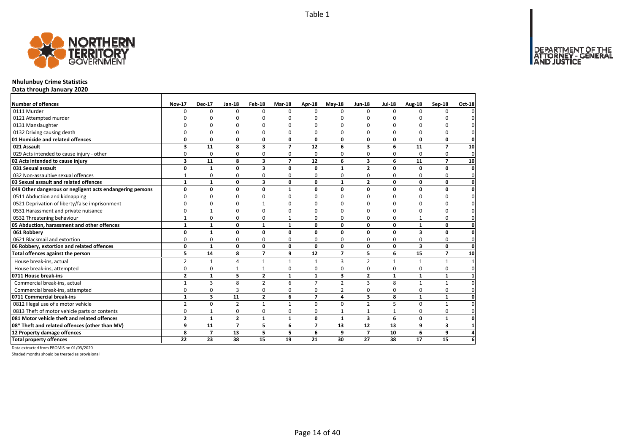

## **Nhulunbuy Crime Statistics**

**Data through January 2020**

| Number of offences                                        | <b>Nov-17</b>  | <b>Dec-17</b>           | <b>Jan-18</b>  | Feb-18                  | <b>Mar-18</b>            | <b>Apr-18</b>  | <b>May-18</b>  | <b>Jun-18</b>           | <b>Jul-18</b> | Aug-18                  | Sep-18                   | <b>Oct-18</b> |
|-----------------------------------------------------------|----------------|-------------------------|----------------|-------------------------|--------------------------|----------------|----------------|-------------------------|---------------|-------------------------|--------------------------|---------------|
| 0111 Murder                                               | $\Omega$       | $\Omega$                | $\Omega$       | $\Omega$                | $\Omega$                 | $\Omega$       | $\Omega$       | $\Omega$                | $\Omega$      | $\Omega$                | <sup>0</sup>             |               |
| 0121 Attempted murder                                     |                |                         |                |                         |                          | n              | n              | n                       |               |                         |                          |               |
| 0131 Manslaughter                                         |                |                         |                |                         |                          |                |                |                         |               |                         |                          |               |
| 0132 Driving causing death                                | U              | $\Omega$                | 0              | $\Omega$                | $\Omega$                 | 0              | $\Omega$       | $\Omega$                | $\Omega$      | $\Omega$                | 0                        |               |
| 01 Homicide and related offences                          | 0              | $\mathbf{0}$            | $\mathbf{0}$   | $\mathbf 0$             | 0                        | 0              | 0              | 0                       | 0             | 0                       | 0                        | $\Omega$      |
| 021 Assault                                               | 3              | 11                      | 8              | $\overline{\mathbf{3}}$ | $\overline{\phantom{a}}$ | 12             | 6              | $\overline{\mathbf{3}}$ | 6             | 11                      | $\overline{\phantom{a}}$ | 10            |
| 029 Acts intended to cause injury - other                 | 0              | 0                       | 0              | 0                       | $\Omega$                 | 0              | $\Omega$       | 0                       | $\Omega$      | $\Omega$                | 0                        | $\mathbf 0$   |
| 02 Acts intended to cause injury                          | 3              | 11                      | 8              | 3                       | $\overline{7}$           | 12             | 6              | $\overline{\mathbf{3}}$ | 6             | 11                      | $\overline{ }$           | 10            |
| 031 Sexual assault                                        | 0              | $\mathbf{1}$            | 0              | $\overline{\mathbf{3}}$ | $\Omega$                 | $\Omega$       | $\mathbf{1}$   | $\overline{2}$          | $\Omega$      | $\Omega$                | 0                        | $\mathbf 0$   |
| 032 Non-assaultive sexual offences                        | $\mathbf{1}$   | 0                       | 0              | 0                       | 0                        | 0              | 0              | 0                       | $\Omega$      | 0                       | 0                        | $\Omega$      |
| 03 Sexual assault and related offences                    | $\mathbf{1}$   | $\mathbf{1}$            | 0              | $\overline{\mathbf{3}}$ | $\Omega$                 | $\Omega$       | $\mathbf{1}$   | $\overline{2}$          | $\Omega$      | $\Omega$                | 0                        | O             |
| 049 Other dangerous or negligent acts endangering persons | 0              | 0                       | 0              | $\mathbf 0$             | $\mathbf{1}$             | 0              | 0              | 0                       | 0             | 0                       | 0                        | 0             |
| 0511 Abduction and kidnapping                             | <sup>0</sup>   | $\Omega$                | $\mathbf 0$    | $\Omega$                | $\Omega$                 | $\Omega$       | $\Omega$       | $\Omega$                | $\Omega$      | $\Omega$                | 0                        |               |
| 0521 Deprivation of liberty/false imprisonment            | n              | n                       | O              |                         | n                        | n              | n              | O                       | C             | ŋ                       | n                        |               |
| 0531 Harassment and private nuisance                      |                |                         | $\Omega$       |                         |                          |                | O              | O                       | O             | ŋ                       | U                        |               |
| 0532 Threatening behaviour                                |                | 0                       | 0              | 0                       |                          | 0              | 0              | $\Omega$                | 0             | 1                       | 0                        |               |
| 05 Abduction, harassment and other offences               | $\mathbf{1}$   | $\mathbf{1}$            | 0              | $\mathbf{1}$            | $\mathbf{1}$             | O.             | 0              | 0                       | 0             | $\mathbf{1}$            | $\mathbf{0}$             |               |
| 061 Robberv                                               | 0              | $\mathbf{1}$            | 0              | $\mathbf{0}$            | 0                        | 0              | 0              | 0                       | $\mathbf{0}$  | 3                       | 0                        |               |
| 0621 Blackmail and extortion                              | 0              | $\mathbf 0$             | $\mathbf 0$    | $\Omega$                | $\Omega$                 | 0              | $\Omega$       | $\Omega$                | $\Omega$      | $\Omega$                | 0                        | 0             |
| 06 Robbery, extortion and related offences                | 0              | $\mathbf{1}$            | 0              | $\mathbf{0}$            | 0                        | 0              | 0              | 0                       | $\mathbf{0}$  | $\overline{\mathbf{3}}$ | 0                        | 0             |
| Total offences against the person                         | 5              | 14                      | 8              | $\overline{7}$          | 9                        | 12             | $\overline{7}$ | 5                       | 6             | 15                      | $\overline{7}$           | 10            |
| House break-ins, actual                                   | $\overline{2}$ | $\mathbf{1}$            | $\overline{4}$ | $\mathbf{1}$            | $\mathbf{1}$             | $\mathbf{1}$   | 3              | $\overline{2}$          | $\mathbf{1}$  | $\mathbf{1}$            | $\mathbf{1}$             |               |
| House break-ins, attempted                                | 0              | 0                       | $\mathbf{1}$   | $\mathbf{1}$            | 0                        | 0              | $\Omega$       | 0                       | $\Omega$      | $\Omega$                | 0                        | O             |
| 0711 House break-ins                                      | $\overline{2}$ | $\mathbf{1}$            | 5              | $\overline{\mathbf{2}}$ | $\mathbf{1}$             | $\mathbf{1}$   | 3              | $\overline{2}$          | $\mathbf{1}$  | $\mathbf{1}$            | $\mathbf 1$              |               |
| Commercial break-ins, actual                              | 1              | $\overline{3}$          | 8              | $\overline{2}$          | 6                        | $\overline{7}$ | $\overline{2}$ | $\overline{3}$          | 8             | $\mathbf{1}$            | $\mathbf{1}$             |               |
| Commercial break-ins, attempted                           | 0              | 0                       | 3              | 0                       | 0                        | 0              | 2              | 0                       | $\Omega$      | 0                       | 0                        | O             |
| 0711 Commercial break-ins                                 | $\mathbf{1}$   | $\overline{\mathbf{3}}$ | 11             | $\overline{2}$          | 6                        | $\overline{ }$ | 4              | $\overline{\mathbf{3}}$ | 8             | $\mathbf{1}$            | $\mathbf{1}$             | O             |
| 0812 Illegal use of a motor vehicle                       | $\overline{2}$ | 0                       | $\overline{2}$ | $\mathbf{1}$            | $\mathbf{1}$             | $\Omega$       | $\Omega$       | $\overline{2}$          | 5             | $\Omega$                | $\mathbf{1}$             |               |
| 0813 Theft of motor vehicle parts or contents             | 0              | $\mathbf{1}$            | $\mathbf 0$    | $\mathbf 0$             | 0                        | 0              | $\mathbf{1}$   | $\mathbf{1}$            | $\mathbf{1}$  | 0                       | 0                        | $\Omega$      |
| 081 Motor vehicle theft and related offences              | $\overline{2}$ | $\mathbf{1}$            | $\overline{2}$ | $\mathbf{1}$            | $\mathbf{1}$             | $\Omega$       | $\mathbf{1}$   | $\overline{\mathbf{3}}$ | 6             | 0                       | $\mathbf{1}$             | O             |
| 08* Theft and related offences (other than MV)            | 9              | 11                      | $\overline{7}$ | 5                       | 6                        | $\overline{ }$ | 13             | 12                      | 13            | 9                       | 3                        |               |
| 12 Property damage offences                               | 8              | $\overline{7}$          | 13             | 5                       | 5                        | 6              | 9              | $\overline{ }$          | 10            | 6                       | 9                        |               |
| <b>Total property offences</b>                            | 22             | 23                      | 38             | 15                      | 19                       | 21             | 30             | 27                      | 38            | 17                      | 15                       | 6             |

Data extracted from PROMIS on 01/03/2020

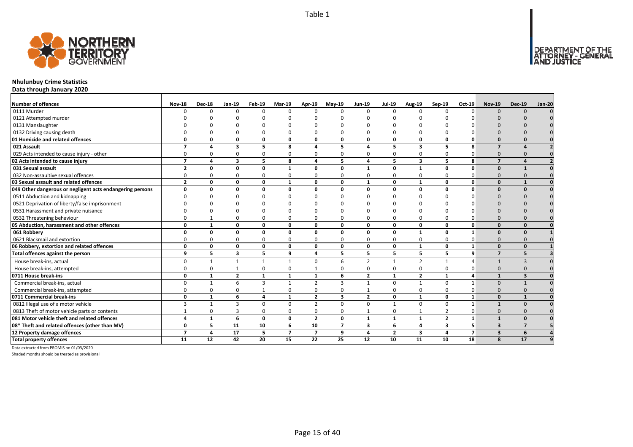

## **Nhulunbuy Crime Statistics**

**Data through January 2020**

| <b>Number of offences</b>                                 | <b>Nov-18</b>            | <b>Dec-18</b>  | <b>Jan-19</b>           | Feb-19         | <b>Mar-19</b>  | <b>Apr-19</b>           | $May-19$       | <b>Jun-19</b>           | <b>Jul-19</b>  | <b>Aug-19</b>  | Sep-19                  | Oct-19         | <b>Nov-19</b>            | <b>Dec-19</b>           | <b>Jan-20</b> |
|-----------------------------------------------------------|--------------------------|----------------|-------------------------|----------------|----------------|-------------------------|----------------|-------------------------|----------------|----------------|-------------------------|----------------|--------------------------|-------------------------|---------------|
| 0111 Murder                                               | n                        | $\Omega$       | $\Omega$                | $\Omega$       | $\Omega$       | $\Omega$                | U              | $\Omega$                | $\Omega$       | $\Omega$       |                         |                | $\Omega$                 | $\Omega$                |               |
| 0121 Attempted murder                                     |                          |                |                         |                |                |                         |                |                         |                |                |                         |                |                          |                         |               |
| 0131 Manslaughter                                         |                          |                |                         |                |                |                         |                |                         |                |                |                         |                |                          |                         |               |
| 0132 Driving causing death                                |                          |                |                         | O              | $\Omega$       |                         |                |                         | $\Omega$       | $\Omega$       |                         |                |                          |                         |               |
| 01 Homicide and related offences                          | $\Omega$                 | 0              | 0                       | $\mathbf{0}$   | 0              | $\Omega$                | n              | $\Omega$                | $\mathbf{0}$   | 0              | 0                       | O              | $\Omega$                 |                         |               |
| 021 Assault                                               | $\overline{\phantom{a}}$ |                | 3                       | 5              | 8              |                         | 5              |                         | 5              | 3              | 5                       | 8              | $\overline{\phantom{a}}$ |                         |               |
| 029 Acts intended to cause injury - other                 |                          |                | $\Omega$                | $\Omega$       | 0              |                         | o              |                         | $\Omega$       | 0              |                         |                | $\Omega$                 |                         |               |
| 02 Acts intended to cause injury                          | $\overline{\phantom{a}}$ | $\Delta$       | $\overline{\mathbf{3}}$ | 5              | 8              | 4                       | 5              | $\mathbf{A}$            | 5              | 3              | 5                       | 8              | $\overline{ }$           |                         |               |
| 031 Sexual assault                                        | $\overline{2}$           | n              | n                       | $\Omega$       | 1              | O                       | O              |                         | $\Omega$       | 1              | <sup>0</sup>            | ŋ              |                          |                         |               |
| 032 Non-assaultive sexual offences                        | 0                        |                | $\Omega$                | $\Omega$       | 0              | 0                       | O              | $\Omega$                | $\Omega$       | 0              | 0                       |                | $\Omega$                 |                         |               |
| 03 Sexual assault and related offences                    | $\overline{2}$           | 0              | 0                       | $\mathbf{0}$   | $\mathbf{1}$   | $\mathbf{0}$            | 0              | $\mathbf{1}$            | $\mathbf{0}$   | $\mathbf{1}$   | $\mathbf{0}$            | O              | $\Omega$                 |                         |               |
| 049 Other dangerous or negligent acts endangering persons | $\mathbf 0$              | 0              | 0                       | $\mathbf{0}$   | 0              | 0                       | O              | 0                       | $\mathbf{0}$   | 0              | 0                       | U              | $\Omega$                 | $\Omega$                |               |
| 0511 Abduction and kidnapping                             | $\Omega$                 |                | $\Omega$                | $\Omega$       | $\Omega$       | $\Omega$                | n              | $\Omega$                | $\Omega$       | $\Omega$       | $\Omega$                |                | $\Omega$                 |                         |               |
| 0521 Deprivation of liberty/false imprisonment            |                          |                |                         |                | ŋ              |                         |                |                         |                | n              |                         |                |                          |                         |               |
| 0531 Harassment and private nuisance                      |                          |                |                         |                | ŋ              |                         |                |                         |                | n              |                         |                |                          |                         |               |
| 0532 Threatening behaviour                                |                          |                | $\Omega$                | $\Omega$       | $\mathbf 0$    | $\Omega$                |                | $\Omega$                | $\Omega$       | 0              | O                       |                | $\Omega$                 |                         |               |
| 05 Abduction, harassment and other offences               | $\Omega$                 |                | $\Omega$                | $\mathbf 0$    | 0              | $\Omega$                | O              | $\Omega$                | 0              | 0              | $\mathbf{0}$            | O              | $\Omega$                 | $\Omega$                |               |
| 061 Robbery                                               | $\Omega$                 | 0              | 0                       | $\mathbf{0}$   | 0              | 0                       | 0              | $\Omega$                | $\mathbf{0}$   | $\mathbf{1}$   | $\mathbf{0}$            | 1              | $\Omega$                 | $\Omega$                |               |
| 0621 Blackmail and extortion                              |                          | O              | $\Omega$                | $\Omega$       | 0              | $\Omega$                | n              | $\Omega$                | $\Omega$       | 0              | 0                       |                | $\Omega$                 |                         |               |
| 06 Robbery, extortion and related offences                | $\Omega$                 | 0              | 0                       | $\mathbf 0$    | 0              | $\mathbf{0}$            | 0              | 0                       | $\mathbf 0$    | 1              | $\mathbf{0}$            | $\mathbf{1}$   | $\Omega$                 | $\Omega$                |               |
| Total offences against the person                         | 9                        | 5              | $\overline{\mathbf{3}}$ | 5              | 9              | $\overline{\mathbf{4}}$ | 5              | 5                       | 5              | 5              | 5                       | 9              | $\overline{ }$           | 5                       |               |
| House break-ins, actual                                   | $\Omega$                 | $\mathbf{1}$   |                         | 1              | $\mathbf{1}$   | $\Omega$                | 6              | $\mathcal{P}$           | 1              | $\overline{2}$ | $\mathbf{1}$            | $\Delta$       | $\mathbf{1}$             | $\mathbf{R}$            |               |
| House break-ins, attempted                                | O                        | <sup>0</sup>   |                         | $\Omega$       | 0              |                         | O              | $\Omega$                | $\Omega$       | 0              | 0                       |                | $\Omega$                 |                         |               |
| 0711 House break-ins                                      | 0                        | $\mathbf{1}$   | $\overline{2}$          | $\mathbf{1}$   | $\mathbf{1}$   | 1                       | 6              | $\overline{2}$          | $\mathbf{1}$   | $\overline{2}$ | $\mathbf{1}$            | Δ              |                          | $\overline{\mathbf{z}}$ |               |
| Commercial break-ins, actual                              | ŋ                        | $\mathbf 1$    | 6                       | $\overline{3}$ | $\mathbf{1}$   | $\overline{2}$          | 3              |                         | $\Omega$       | $\mathbf{1}$   | $\Omega$                |                | $\Omega$                 |                         |               |
| Commercial break-ins, attempted                           |                          |                |                         |                | 0              | $\Omega$                |                |                         | $\Omega$       | 0              | 0                       |                | $\Omega$                 |                         |               |
| 0711 Commercial break-ins                                 | 0                        | $\mathbf{1}$   | 6                       | $\overline{a}$ | $\mathbf{1}$   | $\overline{2}$          | 3              | $\overline{2}$          | 0              | $\mathbf{1}$   | 0                       | $\mathbf{1}$   | $\Omega$                 |                         |               |
| 0812 Illegal use of a motor vehicle                       | 3                        | $\overline{1}$ | $\overline{\mathbf{z}}$ | $\Omega$       | $\mathbf 0$    | $\overline{2}$          | $\Omega$       | $\Omega$                | $\overline{1}$ | $\mathbf 0$    | $\Omega$                | $\mathbf{1}$   |                          | $\Omega$                |               |
| 0813 Theft of motor vehicle parts or contents             |                          | $\Omega$       | 3                       | $\Omega$       | $\mathbf 0$    | $\Omega$                | O              |                         | $\Omega$       | $\mathbf{1}$   | $\overline{2}$          | O              | $\Omega$                 |                         |               |
| 081 Motor vehicle theft and related offences              | 4                        | $\mathbf{1}$   | 6                       | 0              | 0              | $\overline{2}$          | 0              | $\mathbf{1}$            | 1              | 1              | $\overline{2}$          | $\mathbf{1}$   | $\mathbf{1}$             | $\Omega$                |               |
| 08* Theft and related offences (other than MV)            | $\Omega$                 | 5              | 11                      | 10             | 6              | 10                      | $\overline{7}$ | $\overline{\mathbf{3}}$ | 6              | 4              | $\overline{\mathbf{3}}$ | 5              | $\overline{\mathbf{3}}$  | 7                       |               |
| 12 Property damage offences                               | $\overline{\phantom{a}}$ | 4              | 17                      | 5              | $\overline{7}$ | $\overline{7}$          | 9              | 4                       | $\overline{2}$ | 3              | 4                       | $\overline{7}$ | $\overline{\mathbf{3}}$  | 6                       |               |
| <b>Total property offences</b>                            | 11                       | 12             | 42                      | 20             | 15             | 22                      | 25             | 12                      | 10             | 11             | 10                      | 18             | 8                        | 17                      |               |

Data extracted from PROMIS on 01/03/2020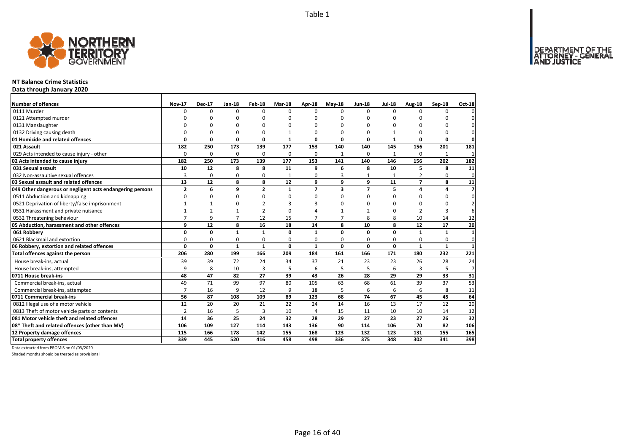Page 16 of 40



## **NT Balance Crime Statistics**

**Data through January 2020**

| Number of offences                                        | <b>Nov-17</b>  | <b>Dec-17</b>  | Jan-18         | Feb-18         | Mar-18       | Apr-18         | $Mav-18$       | <b>Jun-18</b>  | <b>Jul-18</b> | Aug-18         | Sep-18       | Oct-18                  |
|-----------------------------------------------------------|----------------|----------------|----------------|----------------|--------------|----------------|----------------|----------------|---------------|----------------|--------------|-------------------------|
| 0111 Murder                                               | $\Omega$       | $\Omega$       | $\Omega$       | $\Omega$       | $\Omega$     | $\Omega$       | <sup>0</sup>   | $\Omega$       | $\Omega$      | $\Omega$       | $\Omega$     | 0                       |
| 0121 Attempted murder                                     |                | O              | 0              | O              | ŋ            | n              | O              | O              | <sup>0</sup>  | O              |              | 0                       |
| 0131 Manslaughter                                         |                | O              | U              | O              | ŋ            | n              | O              | 0              | 0             | 0              | $\Omega$     | $\mathbf 0$             |
| 0132 Driving causing death                                | 0              | 0              | 0              | 0              |              | $\Omega$       | 0              | 0              | -1            | 0              | 0            | $\mathbf{0}$            |
| 01 Homicide and related offences                          | 0              | $\mathbf 0$    | $\mathbf 0$    | 0              | $\mathbf{1}$ | 0              | 0              | 0              | $\mathbf{1}$  | 0              | 0            | $\mathbf{0}$            |
| 021 Assault                                               | 182            | 250            | 173            | 139            | 177          | 153            | 140            | 140            | 145           | 156            | 201          | 181                     |
| 029 Acts intended to cause injury - other                 | 0              | 0              | 0              | 0              | 0            | 0              | $\mathbf{1}$   | 0              | 1             | 0              | $\mathbf{1}$ | $\mathbf{1}$            |
| 02 Acts intended to cause injury                          | 182            | 250            | 173            | 139            | 177          | 153            | 141            | 140            | 146           | 156            | 202          | 182                     |
| 031 Sexual assault                                        | 10             | 12             | 8              | 8              | 11           | 9              | 6              | 8              | 10            | 5              | 8            | 11                      |
| 032 Non-assaultive sexual offences                        | 3              | $\mathbf 0$    | $\Omega$       | $\Omega$       | $\mathbf{1}$ | $\Omega$       | 3              | 1              | -1            | 2              | 0            | $\mathbf 0$             |
| 03 Sexual assault and related offences                    | 13             | 12             | 8              | 8              | 12           | 9              | 9              | 9              | 11            | $\overline{7}$ | 8            | 11                      |
| 049 Other dangerous or negligent acts endangering persons | $\mathbf{2}$   | 6              | 9              | $\overline{2}$ | $\mathbf{1}$ | $\overline{7}$ | 3              | $\overline{7}$ | 5             | 4              | 4            | $\overline{\mathbf{z}}$ |
| 0511 Abduction and kidnapping                             | 0              | $\mathbf 0$    | 0              | 0              | $\mathbf 0$  | $\Omega$       | $\Omega$       | 0              | 0             | 0              | 0            | 0                       |
| 0521 Deprivation of liberty/false imprisonment            | $\mathbf{1}$   |                | 0              | $\overline{2}$ | 3            | 3              | O              | $\Omega$       | 0             | $\mathbf 0$    | $\Omega$     | $\overline{2}$          |
| 0531 Harassment and private nuisance                      | $\mathbf{1}$   | $\overline{2}$ | $\mathbf{1}$   | $\overline{2}$ | ŋ            |                |                | $\overline{2}$ | 0             | $\overline{2}$ | 3            | 6                       |
| 0532 Threatening behaviour                                | $\overline{7}$ | 9              | $\overline{7}$ | 12             | 15           | $\overline{7}$ | $\overline{7}$ | 8              | 8             | 10             | 14           | 12                      |
| 05 Abduction, harassment and other offences               | 9              | 12             | 8              | 16             | 18           | 14             | 8              | 10             | 8             | 12             | 17           | 20                      |
| 061 Robbery                                               | 0              | $\mathbf 0$    | $\mathbf{1}$   | $\mathbf{1}$   | $\Omega$     | $\mathbf{1}$   | $\Omega$       | 0              | 0             | $\mathbf{1}$   | $\mathbf{1}$ | $\mathbf{1}$            |
| 0621 Blackmail and extortion                              | 0              | $\mathbf 0$    | 0              | $\mathbf 0$    | 0            | 0              | 0              | 0              | 0             | 0              | $\mathbf 0$  | $\mathbf{0}$            |
| 06 Robbery, extortion and related offences                | $\mathbf{0}$   | $\mathbf 0$    | $\mathbf{1}$   | $\mathbf{1}$   | 0            | $\mathbf{1}$   | 0              | 0              | 0             | $\mathbf{1}$   | $\mathbf{1}$ | $\mathbf{1}$            |
| Total offences against the person                         | 206            | 280            | 199            | 166            | 209          | 184            | 161            | 166            | 171           | 180            | 232          | 221                     |
| House break-ins, actual                                   | 39             | 39             | 72             | 24             | 34           | 37             | 21             | 23             | 23            | 26             | 28           | 24                      |
| House break-ins, attempted                                | 9              | 8              | 10             | 3              | 5            | 6              | 5              | 5              | 6             |                | 5            | $\overline{7}$          |
| 0711 House break-ins                                      | 48             | 47             | 82             | 27             | 39           | 43             | 26             | 28             | 29            | 29             | 33           | 31                      |
| Commercial break-ins, actual                              | 49             | 71             | 99             | 97             | 80           | 105            | 63             | 68             | 61            | 39             | 37           | 53                      |
| Commercial break-ins, attempted                           | $\overline{7}$ | 16             | 9              | 12             | 9            | 18             | 5              | 6              | 6             | 6              | 8            | 11                      |
| 0711 Commercial break-ins                                 | 56             | 87             | 108            | 109            | 89           | 123            | 68             | 74             | 67            | 45             | 45           | 64                      |
| 0812 Illegal use of a motor vehicle                       | 12             | 20             | 20             | 21             | 22           | 24             | 14             | 16             | 13            | 17             | 12           | 20                      |
| 0813 Theft of motor vehicle parts or contents             | $\overline{2}$ | 16             | 5              | 3              | 10           | 4              | 15             | 11             | 10            | 10             | 14           | 12                      |
| 081 Motor vehicle theft and related offences              | 14             | 36             | 25             | 24             | 32           | 28             | 29             | 27             | 23            | 27             | 26           | 32                      |
| 08* Theft and related offences (other than MV)            | 106            | 109            | 127            | 114            | 143          | 136            | 90             | 114            | 106           | 70             | 82           | 106                     |
| 12 Property damage offences                               | 115            | 166            | 178            | 142            | 155          | 168            | 123            | 132            | 123           | 131            | 155          | 165                     |
| <b>Total property offences</b>                            | 339            | 445            | 520            | 416            | 458          | 498            | 336            | 375            | 348           | 302            | 341          | 398                     |

Data extracted from PROMIS on 01/03/2020

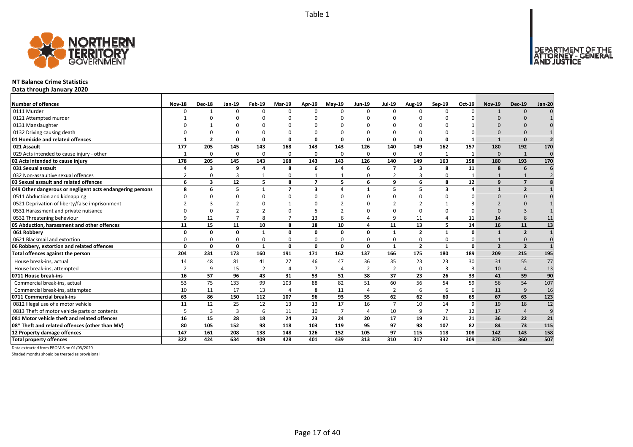

#### **NT Balance Crime Statistics**

**Data through January 2020**

| Number of offences                                        | <b>Nov-18</b> | <b>Dec-18</b>  | Jan-19   | Feb-19         | <b>Mar-19</b>  | Apr-19                   | $Mav-19$       | Jun-19         | <b>Jul-19</b>  | Aug-19                  | Sep-19       | Oct-19       | <b>Nov-19</b>  | <b>Dec-19</b>  | Jan-20         |
|-----------------------------------------------------------|---------------|----------------|----------|----------------|----------------|--------------------------|----------------|----------------|----------------|-------------------------|--------------|--------------|----------------|----------------|----------------|
| 0111 Murder                                               | $\Omega$      |                | $\Omega$ | $\Omega$       | $\Omega$       | n                        | n              | $\Omega$       | $\Omega$       | $\Omega$                |              | $\Omega$     |                | $\Omega$       |                |
| 0121 Attempted murder                                     |               |                |          |                |                |                          |                |                |                |                         |              |              |                |                |                |
| 0131 Manslaughter                                         |               |                |          |                | O              |                          |                |                |                |                         |              |              |                |                |                |
| 0132 Driving causing death                                |               |                |          | 0              | $\Omega$       |                          |                | $\Omega$       | $\Omega$       | 0                       |              |              |                |                |                |
| 01 Homicide and related offences                          | $\mathbf{1}$  | $\overline{2}$ | 0        | 0              | 0              | $\Omega$                 | 0              | 0              | 0              | $\mathbf 0$             | 0            | $\mathbf{1}$ | $\mathbf{1}$   | $\Omega$       |                |
| 021 Assault                                               | 177           | 205            | 145      | 143            | 168            | 143                      | 143            | 126            | 140            | 149                     | 162          | 157          | 180            | 192            | 170            |
| 029 Acts intended to cause injury - other                 |               | $\Omega$       | $\Omega$ | $\mathbf 0$    | $\mathbf 0$    | $\Omega$                 | 0              | $\Omega$       | $\mathbf 0$    | 0                       |              |              | $\Omega$       | 1              | $\Omega$       |
| 02 Acts intended to cause injury                          | 178           | 205            | 145      | 143            | 168            | 143                      | 143            | 126            | 140            | 149                     | 163          | 158          | 180            | 193            | 170            |
| 031 Sexual assault                                        |               | 3              | 9        | $\Delta$       | 8              | 6                        | Δ              | 6              | $\overline{7}$ | $\overline{\mathbf{3}}$ | 8            | 11           | 8              | 6              |                |
| 032 Non-assaultive sexual offences                        |               | $\Omega$       | 3        |                | 0              |                          |                | $\Omega$       | $\overline{2}$ | 3                       |              |              |                |                |                |
| 03 Sexual assault and related offences                    | 6             | 3              | 12       | 5              | 8              | $\overline{\phantom{a}}$ | 5              | 6              | 9              | 6                       | 8            | 12           | $\mathbf{q}$   | $\overline{7}$ |                |
| 049 Other dangerous or negligent acts endangering persons | 8             | 6              | 5        | $\mathbf{1}$   | $\overline{7}$ | 3                        | 4              | $\mathbf{1}$   | 5              | 5                       | 3            | 4            | $\mathbf{1}$   | $\overline{2}$ |                |
| 0511 Abduction and kidnapping                             | $\Omega$      | <sup>0</sup>   | $\Omega$ | $\Omega$       | $\Omega$       | $\Omega$                 | $\Omega$       | $\Omega$       | $\Omega$       | 0                       | $\Omega$     | n            | $\Omega$       | $\Omega$       |                |
| 0521 Deprivation of liberty/false imprisonment            |               |                |          |                |                |                          |                | n              |                | $\overline{2}$          |              |              |                |                |                |
| 0531 Harassment and private nuisance                      |               |                |          |                |                |                          |                |                |                | $\Omega$                |              |              |                |                |                |
| 0532 Threatening behaviour                                |               | 12             |          | 8              | $\overline{7}$ | 13                       |                |                | 9              | 11                      |              | 11           | 14             |                | 11             |
| 05 Abduction, harassment and other offences               | 11            | 15             | 11       | 10             | 8              | 18                       | 10             | 4              | 11             | 13                      | 5            | 14           | 16             | 11             | 13             |
| 061 Robbery                                               | Ω             | 0              | 0        | 1              | 0              | $\Omega$                 | 0              | 0              | $\mathbf{1}$   | $\overline{2}$          | $\mathbf{1}$ | 0            | $\mathbf{1}$   | $\overline{2}$ |                |
| 0621 Blackmail and extortion                              |               | O              | $\Omega$ | $\Omega$       | 0              | $\Omega$                 | ŋ              | $\Omega$       | 0              | 0                       |              | 0            |                | $\Omega$       |                |
| 06 Robbery, extortion and related offences                | $\Omega$      | 0              | 0        | $\mathbf{1}$   | 0              | $\mathbf{0}$             | 0              | 0              | $\mathbf{1}$   | $\overline{2}$          | 1            | $\mathbf{0}$ | $\overline{2}$ | $\overline{2}$ |                |
| Total offences against the person                         | 204           | 231            | 173      | 160            | 191            | 171                      | 162            | 137            | 166            | 175                     | 180          | 189          | 209            | 215            | 195            |
| House break-ins, actual                                   | 14            | 48             | 81       | 41             | 27             | 46                       | 47             | 36             | 35             | 23                      | 23           | 30           | 31             | 55             | 77             |
| House break-ins, attempted                                |               | 9              | 15       | $\overline{2}$ | 4              |                          | $\overline{a}$ | $\overline{2}$ | $\overline{2}$ | 0                       |              | 3            | 10             |                | 13             |
| 0711 House break-ins                                      | 16            | 57             | 96       | 43             | 31             | 53                       | 51             | 38             | 37             | 23                      | 26           | 33           | 41             | 59             | 90             |
| Commercial break-ins, actual                              | 53            | 75             | 133      | 99             | 103            | 88                       | 82             | 51             | 60             | 56                      | 54           | 59           | 56             | 54             | 107            |
| Commercial break-ins, attempted                           | 10            | 11             | 17       | 13             | 4              | 8                        | 11             | 4              | $\overline{2}$ | 6                       | 6            | 6            | 11             | 9              | 16             |
| 0711 Commercial break-ins                                 | 63            | 86             | 150      | 112            | 107            | 96                       | 93             | 55             | 62             | 62                      | 60           | 65           | 67             | 63             | 123            |
| 0812 Illegal use of a motor vehicle                       | 11            | 12             | 25       | 12             | 13             | 13                       | 17             | 16             | $\overline{7}$ | 10                      | 14           | 9            | 19             | 18             | 12             |
| 0813 Theft of motor vehicle parts or contents             |               | 3              | 3        | 6              | 11             | 10                       | $\overline{7}$ | $\overline{a}$ | 10             | 9                       |              | 12           | 17             | $\overline{4}$ | $\overline{9}$ |
| 081 Motor vehicle theft and related offences              | 16            | 15             | 28       | 18             | 24             | 23                       | 24             | 20             | 17             | 19                      | 21           | 21           | 36             | 22             | 21             |
| 08* Theft and related offences (other than MV)            | 80            | 105            | 152      | 98             | 118            | 103                      | 119            | 95             | 97             | 98                      | 107          | 82           | 84             | 73             | 115            |
| 12 Property damage offences                               | 147           | 161            | 208      | 138            | 148            | 126                      | 152            | 105            | 97             | 115                     | 118          | 108          | 142            | 143            | 158            |
| <b>Total property offences</b>                            | 322           | 424            | 634      | 409            | 428            | 401                      | 439            | 313            | 310            | 317                     | 332          | 309          | 370            | 360            | 507            |

Data extracted from PROMIS on 01/03/2020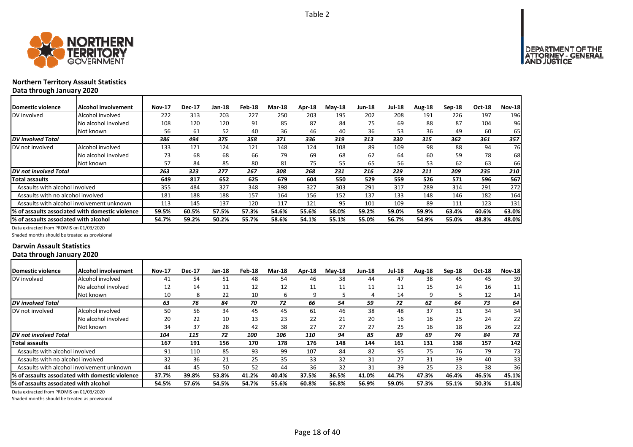

### **Northern Territory Assault Statistics Data through January 2020**

| <b>Domestic violence</b>              | <b>Alcohol involvement</b>                      | <b>Nov-17</b> | <b>Dec-17</b> | <b>Jan-18</b> | Feb-18 | Mar-18 | Apr-18 | $Mav-18$ | <b>Jun-18</b> | Jul-18 | Aug-18 | $Sep-18$ | <b>Oct-18</b> | <b>Nov-18</b> |
|---------------------------------------|-------------------------------------------------|---------------|---------------|---------------|--------|--------|--------|----------|---------------|--------|--------|----------|---------------|---------------|
| DV involved                           | Alcohol involved                                | 222           | 313           | 203           | 227    | 250    | 203    | 195      | 202           | 208    | 191    | 226      | 197           | 196           |
|                                       | No alcohol involved                             | 108           | 120           | 120           | 91     | 85     | 87     | 84       | 75            | 69     | 88     | 87       | 104           | 96            |
|                                       | Not known                                       | 56            | 61            | 52            | 40     | 36     | 46     | 40       | 36            | 53     | 36     | 49       | 60            | 65            |
| DV involved Total                     |                                                 | 386           | 494           | 375           | 358    | 371    | 336    | 319      | 313           | 330    | 315    | 362      | 361           | 357           |
| DV not involved                       | Alcohol involved                                | 133           | 171           | 124           | 121    | 148    | 124    | 108      | 89            | 109    | 98     | 88       | 94            | 76            |
|                                       | No alcohol involved                             | 73            | 68            | 68            | 66     | 79     | 69     | 68       | 62            | 64     | 60     | 59       | 78            | 68            |
|                                       | Not known                                       | 57            | 84            | 85            | 80     | 81     | 75     | 55       | 65            | 56     | 53     | 62       | 63            | 66            |
| DV not involved Total                 |                                                 | 263           | 323           | 277           | 267    | 308    | 268    | 231      | 216           | 229    | 211    | 209      | 235           | 210           |
| Total assaults                        |                                                 | 649           | 817           | 652           | 625    | 679    | 604    | 550      | 529           | 559    | 526    | 571      | 596           | 567           |
| Assaults with alcohol involved        |                                                 | 355           | 484           | 327           | 348    | 398    | 327    | 303      | 291           | 317    | 289    | 314      | 291           | 272           |
| Assaults with no alcohol involved     |                                                 | 181           | 188           | 188           | 157    | 164    | 156    | 152      | 137           | 133    | 148    | 146      | 182           | 164           |
|                                       | Assaults with alcohol involvement unknown       | 113           | 145           | 137           | 120    | 117    | 121    | 95       | 101           | 109    | 89     | 111      | 123           | 131           |
|                                       | % of assaults associated with domestic violence | 59.5%         | 60.5%         | 57.5%         | 57.3%  | 54.6%  | 55.6%  | 58.0%    | 59.2%         | 59.0%  | 59.9%  | 63.4%    | 60.6%         | 63.0%         |
| % of assaults associated with alcohol |                                                 | 54.7%         | 59.2%         | 50.2%         | 55.7%  | 58.6%  | 54.1%  | 55.1%    | 55.0%         | 56.7%  | 54.9%  | 55.0%    | 48.8%         | 48.0%         |

Data extracted from PROMIS on 01/03/2020

Shaded months should be treated as provisional

#### **Darwin Assault Statistics Data through January 2020**

| Domestic violence                             | <b>Alcohol involvement</b>                       | <b>Nov-17</b> | <b>Dec-17</b> | <b>Jan-18</b> | Feb-18 | <b>Mar-18</b> | Apr-18 | $May-18$ | <b>Jun-18</b> | <b>Jul-18</b> | Aug-18 | Sep-18 | Oct-18 | <b>Nov-18</b> |
|-----------------------------------------------|--------------------------------------------------|---------------|---------------|---------------|--------|---------------|--------|----------|---------------|---------------|--------|--------|--------|---------------|
| DV involved                                   | Alcohol involved                                 | 41            | 54            | 51            | 48     | 54            | 46     | 38       | 44            | 47            | 38     | 45     | 45     | 39            |
|                                               | No alcohol involved                              | 12            | 14            | 11            | 12     | 12            | 11     | 11       | 11            | 11            | 15     | 14     | 16     | 11            |
|                                               | Not known                                        | 10            | 8             | 22            | 10     | 6             | 9      |          |               | 14            | 9      |        | 12     | 14            |
| <b>DV</b> involved Total                      |                                                  | 63            | 76            | 84            | 70     | 72            | 66     | 54       | 59            | 72            | 62     | 64     | 73     | 64            |
| DV not involved                               | Alcohol involved                                 | 50            | 56            | 34            | 45     | 45            | 61     | 46       | 38            | 48            | 37     | 31     | 34     | 34            |
|                                               | No alcohol involved                              | 20            | 22            | 10            | 13     | 23            | 22     | 21       | 20            | 16            | 16     | 25     | 24     | 22            |
|                                               | Not known                                        | 34            | 37            | 28            | 42     | 38            | 27     | 27       | 27            | 25            | 16     | 18     | 26     | 22            |
| DV not involved Total                         |                                                  | 104           | 115           | 72            | 100    | 106           | 110    | 94       | 85            | 89            | 69     | 74     | 84     | 78            |
| <b>Total assaults</b>                         |                                                  | 167           | 191           | 156           | 170    | 178           | 176    | 148      | 144           | 161           | 131    | 138    | 157    | 142           |
| Assaults with alcohol involved                |                                                  | 91            | 110           | 85            | 93     | 99            | 107    | 84       | 82            | 95            | 75     | 76     | 79     | 73            |
| Assaults with no alcohol involved             |                                                  | 32            | 36            | 21            | 25     | 35            | 33     | 32       | 31            | 27            | 31     | 39     | 40     | 33            |
|                                               | Assaults with alcohol involvement unknown        | 44            | 45            | 50            | 52     | 44            | 36     | 32       | 31            | 39            | 25     | 23     | 38     | 36            |
|                                               | l% of assaults associated with domestic violence | 37.7%         | 39.8%         | 53.8%         | 41.2%  | 40.4%         | 37.5%  | 36.5%    | 41.0%         | 44.7%         | 47.3%  | 46.4%  | 46.5%  | 45.1%         |
| <b>1% of assaults associated with alcohol</b> |                                                  | 54.5%         | 57.6%         | 54.5%         | 54.7%  | 55.6%         | 60.8%  | 56.8%    | 56.9%         | 59.0%         | 57.3%  | 55.1%  | 50.3%  | 51.4%         |

Data extracted from PROMIS on 01/03/2020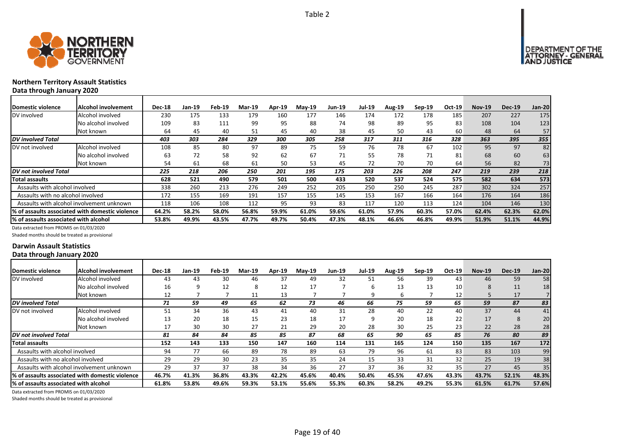



# **Northern Territory Assault Statistics**

**Data through January 2020**

| Domestic violence                         | Alcohol involvement                              | <b>Dec-18</b> | Jan-19 | Feb-19 | Mar-19 | Apr-19 | <b>May-19</b> | Jun-19 | <b>Jul-19</b> | <b>Aug-19</b> | $Sep-19$ | Oct-19 | <b>Nov-19</b> | <b>Dec-19</b> | <b>Jan-20</b> |
|-------------------------------------------|--------------------------------------------------|---------------|--------|--------|--------|--------|---------------|--------|---------------|---------------|----------|--------|---------------|---------------|---------------|
| DV involved                               | Alcohol involved                                 | 230           | 175    | 133    | 179    | 160    | 177           | 146    | 174           | 172           | 178      | 185    | 207           | 227           | 175           |
|                                           | No alcohol involved                              | 109           | 83     | 111    | 99     | 95     | 88            | 74     | 98            | 89            | 95       | 83     | 108           | 104           | 123           |
|                                           | Not known                                        | 64            | 45     | 40     | 51     | 45     | 40            | 38     | 45            | 50            | 43       | 60     | 48            | 64            | 57            |
| <b>DV</b> involved Total                  |                                                  | 403           | 303    | 284    | 329    | 300    | 305           | 258    | 317           | 311           | 316      | 328    | 363           | 395           | 355           |
| DV not involved                           | Alcohol involved                                 | 108           | 85     | 80     | 97     | 89     | 75            | 59     | 76            | 78            | 67       | 102    | 95            | 97            | 82            |
|                                           | No alcohol involved                              | 63            | 72     | 58     | 92     | 62     | 67            | 71     | 55            | 78            | 71       | 81     | 68            | 60            | 63            |
|                                           | Not known                                        | 54            | 61     | 68     | 61     | 50     | 53            | 45     | 72            | 70            | 70       | 64     | 56            | 82            | 73            |
| DV not involved Total                     |                                                  | 225           | 218    | 206    | 250    | 201    | 195           | 175    | 203           | 226           | 208      | 247    | 219           | 239           | 218           |
| Total assaults                            |                                                  | 628           | 521    | 490    | 579    | 501    | 500           | 433    | 520           | 537           | 524      | 575    | 582           | 634           | 573           |
| Assaults with alcohol involved            |                                                  | 338           | 260    | 213    | 276    | 249    | 252           | 205    | 250           | 250           | 245      | 287    | 302           | 324           | 257           |
| Assaults with no alcohol involved         |                                                  | 172           | 155    | 169    | 191    | 157    | 155           | 145    | 153           | 167           | 166      | 164    | 176           | 164           | 186           |
| Assaults with alcohol involvement unknown |                                                  | 118           | 106    | 108    | 112    | 95     | 93            | 83     | 117           | 120           | 113      | 124    | 104           | 146           | 130           |
|                                           | 1% of assaults associated with domestic violence | 64.2%         | 58.2%  | 58.0%  | 56.8%  | 59.9%  | 61.0%         | 59.6%  | 61.0%         | 57.9%         | 60.3%    | 57.0%  | 62.4%         | 62.3%         | 62.0%         |
| I% of assaults associated with alcohol    |                                                  | 53.8%         | 49.9%  | 43.5%  | 47.7%  | 49.7%  | 50.4%         | 47.3%  | 48.1%         | 46.6%         | 46.8%    | 49.9%  | 51.9%         | 51.1%         | 44.9%         |

Data extracted from PROMIS on 01/03/2020

Shaded months should be treated as provisional

#### **Darwin Assault Statistics Data through January 2020**

| Domestic violence                      | Alcohol involvement                              | <b>Dec-18</b> | Jan-19 | Feb-19 | Mar-19 | Apr-19 | $Mav-19$ | <b>Jun-19</b> | Jul-19 | <b>Aug-19</b> | $Sep-19$ | Oct-19 | <b>Nov-19</b> | <b>Dec-19</b> | <b>Jan-20</b> |
|----------------------------------------|--------------------------------------------------|---------------|--------|--------|--------|--------|----------|---------------|--------|---------------|----------|--------|---------------|---------------|---------------|
| DV involved                            | Alcohol involved                                 | 43            | 43     | 30     | 46     | 37     | 49       | 32            | 51     | 56            | 39       | 43     | 46            | 59            | 58            |
|                                        | No alcohol involved                              | 16            |        | 12     | 8      | 12     | 17       |               | h      | 13            | 13       | 10     | 8             | 11            | 18            |
|                                        | Not known                                        | 12            |        |        | 11     | 13     |          |               | 9      | ь             |          | 12     |               | 17            |               |
| <b>DV</b> involved Total               |                                                  | 71            | 59     | 49     | 65     | 62     | 73       | 46            | 66     | 75            | 59       | 65     | 59            | 87            | 83            |
| DV not involved                        | Alcohol involved                                 | 51            | 34     | 36     | 43     | 41     | 40       | 31            | 28     | 40            | 22       | 40     | 37            | 44            | 41            |
|                                        | No alcohol involved                              | 13            | 20     | 18     | 15     | 23     | 18       | 17            | 9      | 20            | 18       | 22     | 17            | 8             | 20            |
|                                        | Not known                                        |               | 30     | 30     | 27     | 21     | 29       | 20            | 28     | 30            | 25       | 23     | 22            | 28            | 28            |
| DV not involved Total                  |                                                  | 81            | 84     | 84     | 85     | 85     | 87       | 68            | 65     | 90            | 65       | 85     | 76            | 80            | 89            |
| Total assaults                         |                                                  | 152           | 143    | 133    | 150    | 147    | 160      | 114           | 131    | 165           | 124      | 150    | 135           | 167           | 172           |
| Assaults with alcohol involved         |                                                  | 94            | 77     | 66     | 89     | 78     | 89       | 63            | 79     | 96            | 61       | 83     | 83            | 103           | 99            |
| Assaults with no alcohol involved      |                                                  | 29            | 29     | 30     | 23     | 35     | 35       | 24            | 15     | 33            | 31       | 32     | 25            | 19            | 38            |
|                                        | Assaults with alcohol involvement unknown        | 29            | 37     | 37     | 38     | 34     | 36       | 27            | 37     | 36            | 32       | 35     | 27            | 45            | 35            |
|                                        | I% of assaults associated with domestic violence | 46.7%         | 41.3%  | 36.8%  | 43.3%  | 42.2%  | 45.6%    | 40.4%         | 50.4%  | 45.5%         | 47.6%    | 43.3%  | 43.7%         | 52.1%         | 48.3%         |
| I% of assaults associated with alcohol |                                                  | 61.8%         | 53.8%  | 49.6%  | 59.3%  | 53.1%  | 55.6%    | 55.3%         | 60.3%  | 58.2%         | 49.2%    | 55.3%  | 61.5%         | 61.7%         | 57.6%         |

Data extracted from PROMIS on 01/03/2020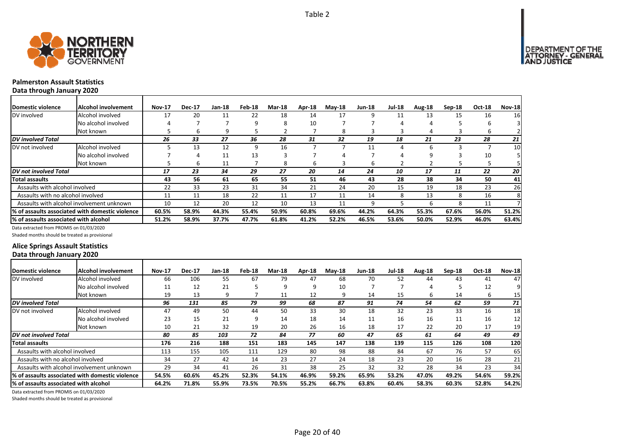

## **Palmerston Assault Statistics**

**Data through January 2020**

| Domestic violence                     | Alcohol involvement                             | <b>Nov-17</b> | <b>Dec-17</b> | Jan-18 | Feb-18 | <b>Mar-18</b> | Apr-18 | $M$ ay-18 | <b>Jun-18</b> | <b>Jul-18</b> | Aug-18 | $Sep-18$ | <b>Oct-18</b> | <b>Nov-18</b> |
|---------------------------------------|-------------------------------------------------|---------------|---------------|--------|--------|---------------|--------|-----------|---------------|---------------|--------|----------|---------------|---------------|
| DV involved                           | Alcohol involved                                | 17            | 20            | 11     | 22     | 18            | 14     | 17        |               | 11            | 13     | 15       | 16            | 16            |
|                                       | No alcohol involved                             |               |               |        | 9      | 8             | 10     |           |               |               | 4      |          |               |               |
|                                       | Not known                                       |               | ь             | 9      |        |               |        | 8         |               |               | 4      |          | b             |               |
| <b>DV</b> involved Total              |                                                 | 26            | 33            | 27     | 36     | 28            | 31     | 32        | 19            | 18            | 21     | 23       | 28            | 21            |
| DV not involved                       | Alcohol involved                                |               | 13            | 12     | 9      | 16            |        |           | 11            |               | 6      |          |               | 10            |
|                                       | No alcohol involved                             |               | 4             | 11     | 13     |               |        |           |               |               | q      |          | 10            |               |
|                                       | Not known                                       |               | ь             | 11     |        | 8             | 6      |           | h             |               |        |          |               |               |
| DV not involved Total                 |                                                 | 17            | 23            | 34     | 29     | 27            | 20     | 14        | 24            | 10            | 17     | 11       | 22            | 20            |
| <b>Total assaults</b>                 |                                                 | 43            | 56            | 61     | 65     | 55            | 51     | 46        | 43            | 28            | 38     | 34       | 50            | 41            |
| Assaults with alcohol involved        |                                                 | 22            | 33            | 23     | 31     | 34            | 21     | 24        | 20            | 15            | 19     | 18       | 23            | 26            |
| Assaults with no alcohol involved     |                                                 | 11            | 11            | 18     | 22     | 11            | 17     | 11        | 14            |               | 13     | 8        | 16            | 8             |
|                                       | Assaults with alcohol involvement unknown       | 10            | 12            | 20     | 12     | 10            | 13     | 11        | 9             |               | h      |          | 11            |               |
|                                       | % of assaults associated with domestic violence | 60.5%         | 58.9%         | 44.3%  | 55.4%  | 50.9%         | 60.8%  | 69.6%     | 44.2%         | 64.3%         | 55.3%  | 67.6%    | 56.0%         | 51.2%         |
| % of assaults associated with alcohol |                                                 | 51.2%         | 58.9%         | 37.7%  | 47.7%  | 61.8%         | 41.2%  | 52.2%     | 46.5%         | 53.6%         | 50.0%  | 52.9%    | 46.0%         | 63.4%         |

Data extracted from PROMIS on 01/03/2020

Shaded months should be treated as provisional

### **Alice Springs Assault Statistics Data through January 2020**

| <b>IDomestic violence</b>              | Alcohol involvement                              | <b>Nov-17</b> | <b>Dec-17</b> | $Jan-18$ | Feb-18 | <b>Mar-18</b> | Apr-18 | $M$ ay-18 | <b>Jun-18</b> | <b>Jul-18</b> | Aug-18 | $Sep-18$ | Oct-18 | <b>Nov-18</b> |
|----------------------------------------|--------------------------------------------------|---------------|---------------|----------|--------|---------------|--------|-----------|---------------|---------------|--------|----------|--------|---------------|
| DV involved                            | Alcohol involved                                 | 66            | 106           | 55       | 67     | 79            | 47     | 68        | 70            | 52            | 44     | 43       | 41     | 47            |
|                                        | No alcohol involved                              | 11            | 12            | 21       |        | q             | 9      | 10        |               |               |        |          | 12     |               |
|                                        | Not known                                        | 19            | 13            | q        |        | 11            | 12     | q         | 14            | 15            | b      | 14       | b      | 15            |
| <b>DV</b> involved Total               |                                                  | 96            | 131           | 85       | 79     | 99            | 68     | 87        | 91            | 74            | 54     | 62       | 59     | 71            |
| DV not involved                        | Alcohol involved                                 | 47            | 49            | 50       | 44     | 50            | 33     | 30        | 18            | 32            | 23     | 33       | 16     | 18            |
|                                        | No alcohol involved                              | 23            | 15            | 21       | q      | 14            | 18     | 14        | 11            | 16            | 16     | 11       | 16     | 12            |
|                                        | Not known                                        | 10            | 21            | 32       | 19     | 20            | 26     | 16        | 18            | 17            | 22     | 20       | 17     | 19            |
| DV not involved Total                  |                                                  | 80            | 85            | 103      | 72     | 84            | 77     | 60        | 47            | 65            | 61     | 64       | 49     | 49            |
| Total assaults                         |                                                  | 176           | 216           | 188      | 151    | 183           | 145    | 147       | 138           | 139           | 115    | 126      | 108    | <b>120</b>    |
| Assaults with alcohol involved         |                                                  | 113           | 155           | 105      | 111    | 129           | 80     | 98        | 88            | 84            | 67     | 76       | 57     | 65            |
| Assaults with no alcohol involved      |                                                  | 34            | 27            | 42       | 14     | 23            | 27     | 24        | 18            | 23            | 20     | 16       | 28     | 21            |
|                                        | Assaults with alcohol involvement unknown        | 29            | 34            | 41       | 26     | 31            | 38     | 25        | 32            | 32            | 28     | 34       | 23     | 34            |
|                                        | I% of assaults associated with domestic violence | 54.5%         | 60.6%         | 45.2%    | 52.3%  | 54.1%         | 46.9%  | 59.2%     | 65.9%         | 53.2%         | 47.0%  | 49.2%    | 54.6%  | 59.2%         |
| l% of assaults associated with alcohol |                                                  | 64.2%         | 71.8%         | 55.9%    | 73.5%  | 70.5%         | 55.2%  | 66.7%     | 63.8%         | 60.4%         | 58.3%  | 60.3%    | 52.8%  | 54.2%         |

Data extracted from PROMIS on 01/03/2020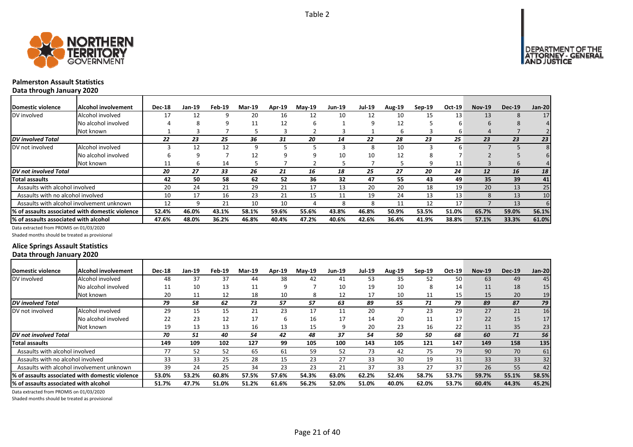



## **Palmerston Assault Statistics**

**Data through January 2020**

| Domestic violence                     | <b>Alcohol involvement</b>                      | <b>Dec-18</b> | Jan-19 | Feb-19 | Mar-19 | Apr-19 | $Mav-19$ | <b>Jun-19</b> | <b>Jul-19</b> | <b>Aug-19</b> | $Sep-19$ | Oct-19 | <b>Nov-19</b> | <b>Dec-19</b>   | Jan-20 |
|---------------------------------------|-------------------------------------------------|---------------|--------|--------|--------|--------|----------|---------------|---------------|---------------|----------|--------|---------------|-----------------|--------|
| DV involved                           | Alcohol involved                                | 17            | 12     |        | 20     | 16     | 12       | 10            | 12            | 10            | 15       | 13     | 13            | $\lambda$       | 17     |
|                                       | No alcohol involved                             |               | 8      | q      | 11     | 12     | b        |               | q             | 12            |          | h      | b             |                 |        |
|                                       | Not known                                       |               |        |        |        |        |          |               |               |               |          | b      |               |                 |        |
| <b>DV</b> involved Total              |                                                 | 22            | 23     | 25     | 36     | 31     | 20       | 14            | 22            | 28            | 23       | 25     | 23            | 23              | 23     |
| DV not involved                       | Alcohol involved                                |               | 12     | 12     | 9      |        |          |               | 8             | 10            |          |        |               |                 |        |
|                                       | No alcohol involved                             |               | 9      |        | 12     |        |          | 10            | 10            | 12            |          |        |               |                 |        |
|                                       | Not known                                       | 11            | 6      | 14     |        |        |          |               |               |               | q        | 11     |               |                 |        |
| <b>DV</b> not involved Total          |                                                 | 20            | 27     | 33     | 26     | 21     | 16       | 18            | 25            | 27            | 20       | 24     | <b>12</b>     | 16              | 18     |
| Total assaults                        |                                                 | 42            | 50     | 58     | 62     | 52     | 36       | 32            | 47            | 55            | 43       | 49     | 35            | 39              | 41     |
| Assaults with alcohol involved        |                                                 | 20            | 24     | 21     | 29     | 21     | 17       | 13            | 20            | 20            | 18       | 19     | 20            | 13              | 25     |
| Assaults with no alcohol involved     |                                                 | 10            | 17     | 16     | 23     | 21     | 15       | 11            | 19            | 24            | 13       | 13     | 8             | 13              | 10     |
|                                       | Assaults with alcohol involvement unknown       | 12            |        | 21     | 10     | 10     | 4        | 8             | Я             | 11            | 12       | 17     |               | 13 <sup>°</sup> | 61     |
|                                       | % of assaults associated with domestic violence | 52.4%         | 46.0%  | 43.1%  | 58.1%  | 59.6%  | 55.6%    | 43.8%         | 46.8%         | 50.9%         | 53.5%    | 51.0%  | 65.7%         | 59.0%           | 56.1%  |
| % of assaults associated with alcohol |                                                 | 47.6%         | 48.0%  | 36.2%  | 46.8%  | 40.4%  | 47.2%    | 40.6%         | 42.6%         | 36.4%         | 41.9%    | 38.8%  | 57.1%         | 33.3%           | 61.0%  |

Data extracted from PROMIS on 01/03/2020

Shaded months should be treated as provisional

### **Alice Springs Assault Statistics Data through January 2020**

| Domestic violence                     | Alcohol involvement                              | <b>Dec-18</b> | Jan-19 | Feb-19 | <b>Mar-19</b> | Apr-19 | $Mav-19$ | <b>Jun-19</b> | Jul-19 | Aug-19 | $Sep-19$ | Oct-19 | <b>Nov-19</b> | <b>Dec-19</b> | Jan-20          |
|---------------------------------------|--------------------------------------------------|---------------|--------|--------|---------------|--------|----------|---------------|--------|--------|----------|--------|---------------|---------------|-----------------|
| DV involved                           | Alcohol involved                                 | 48            | 37     | 37     | 44            | 38     | 42       | 41            | 53     | 35     | 52       | 50     | 63            | 49            | 45              |
|                                       | No alcohol involved                              | 11            | 10     | 13     | 11            | q      |          | 10            | 19     | 10     | 8        | 14     | 11            | 18            | 15 <sub>l</sub> |
|                                       | Not known                                        | 20            | 11     | 12     | 18            | 10     | 8        | 12            | 17     | 10     | 11       | 15     | 15            | 20            | 19              |
| <b>DV</b> involved Total              |                                                  | 79            | 58     | 62     | 73            | 57     | 57       | 63            | 89     | 55     | 71       | 79     | 89            | 87            | 79              |
| DV not involved                       | Alcohol involved                                 | 29            | 15     | 15     | 21            | 23     | 17       | 11            | 20     |        | 23       | 29     | 27            | 21            | 16              |
|                                       | No alcohol involved                              | 22            | 23     | 12     | 17            | h      | 16       | 17            | 14     | 20     | 11       | 17     | 22            | 15            | 17              |
|                                       | Not known                                        | 19            | 13     | 13     | 16            | 13     | 15       | ٩             | 20     | 23     | 16       | 22     | 11            | 35            | 23              |
| <b>DV</b> not involved Total          |                                                  | 70            | 51     | 40     | 54            | 42     | 48       | 37            | 54     | 50     | 50       | 68     | 60            | 71            | 56              |
| <b>Total assaults</b>                 |                                                  | 149           | 109    | 102    | 127           | 99     | 105      | 100           | 143    | 105    | 121      | 147    | 149           | 158           | 135             |
| Assaults with alcohol involved        |                                                  | 77            | 52     | 52     | 65            | 61     | 59       | 52            | 73     | 42     | 75       | 79     | 90            | 70            | 61              |
| Assaults with no alcohol involved     |                                                  | 33            | 33     | 25     | 28            | 15     | 23       | 27            | 33     | 30     | 19       | 31     | 33            | 33            | 32              |
|                                       | Assaults with alcohol involvement unknown        | 39            | 24     | 25     | 34            | 23     | 23       | 21            | 37     | 33     | 27       | 37     | 26            | 55            | 42              |
|                                       | I% of assaults associated with domestic violence | 53.0%         | 53.2%  | 60.8%  | 57.5%         | 57.6%  | 54.3%    | 63.0%         | 62.2%  | 52.4%  | 58.7%    | 53.7%  | 59.7%         | 55.1%         | 58.5%           |
| % of assaults associated with alcohol |                                                  | 51.7%         | 47.7%  | 51.0%  | 51.2%         | 61.6%  | 56.2%    | 52.0%         | 51.0%  | 40.0%  | 62.0%    | 53.7%  | 60.4%         | 44.3%         | 45.2%           |

Data extracted from PROMIS on 01/03/2020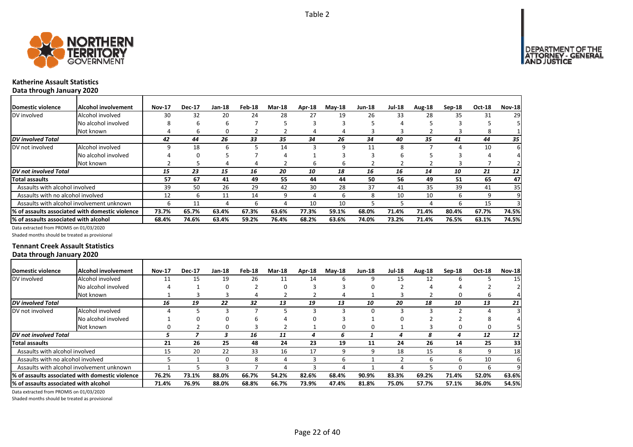

## **Katherine Assault Statistics**

**Data through January 2020**

| <b>IDomestic violence</b>             | Alcohol involvement                              | <b>Nov-17</b> | <b>Dec-17</b> | Jan-18 | Feb-18 | <b>Mar-18</b> | Apr-18 | $M$ ay-18 | Jun-18 | <b>Jul-18</b> | Aug-18 | $Sep-18$ | Oct-18 | <b>Nov-18</b>   |
|---------------------------------------|--------------------------------------------------|---------------|---------------|--------|--------|---------------|--------|-----------|--------|---------------|--------|----------|--------|-----------------|
| DV involved                           | Alcohol involved                                 | 30            | 32            | 20     | 24     | 28            | 27     | 19        | 26     | 33            | 28     | 35       | 31     | 29              |
|                                       | No alcohol involved                              | 8             | 6             | b      |        |               |        |           |        |               |        |          |        |                 |
|                                       | Not known                                        |               | b             |        |        |               | 4      |           |        |               |        |          | 8      |                 |
| DV involved Total                     |                                                  | 42            | 44            | 26     | 33     | 35            | 34     | 26        | 34     | 40            | 35     | 41       | 44     | 35 I            |
| DV not involved                       | Alcohol involved                                 |               | 18            | h      |        | 14            |        | q         | 11     | ጸ             |        | 4        | 10     | 61              |
|                                       | No alcohol involved                              |               |               |        |        |               |        |           |        | h             |        |          |        | 41              |
|                                       | Not known                                        |               |               | 4      |        |               | 6      | b         |        |               |        |          |        |                 |
| <b>IDV</b> not involved Total         |                                                  | 15            | 23            | 15     | 16     | 20            | 10     | 18        | 16     | 16            | 14     | 10       | 21     | 12 <sup>1</sup> |
| <b>Total assaults</b>                 |                                                  | 57            | 67            | 41     | 49     | 55            | 44     | 44        | 50     | 56            | 49     | 51       | 65     | 47              |
| Assaults with alcohol involved        |                                                  | 39            | 50            | 26     | 29     | 42            | 30     | 28        | 37     | 41            | 35     | 39       | 41     | 35              |
| Assaults with no alcohol involved     |                                                  | 12            | ь             | 11     | 14     | 9             | 4      | b         | 8      | 10            | 10     | 6        | 9      | 9               |
|                                       | Assaults with alcohol involvement unknown        | h             | 11            | 4      | h      | 4             | 10     | 10        |        |               | 4      | h        | 15     |                 |
|                                       | 1% of assaults associated with domestic violence | 73.7%         | 65.7%         | 63.4%  | 67.3%  | 63.6%         | 77.3%  | 59.1%     | 68.0%  | 71.4%         | 71.4%  | 80.4%    | 67.7%  | 74.5%           |
| % of assaults associated with alcohol |                                                  | 68.4%         | 74.6%         | 63.4%  | 59.2%  | 76.4%         | 68.2%  | 63.6%     | 74.0%  | 73.2%         | 71.4%  | 76.5%    | 63.1%  | 74.5%           |

Data extracted from PROMIS on 01/03/2020

Shaded months should be treated as provisional

#### **Tennant Creek Assault Statistics Data through January 2020**

| <b>IDomestic violence</b>             | <b>Alcohol involvement</b>                       | <b>Nov-17</b> | <b>Dec-17</b> | <b>Jan-18</b> | Feb-18 | <b>Mar-18</b> | Apr-18 | $M$ ay-18 | <b>Jun-18</b> | <b>Jul-18</b> | Aug-18 | $Sep-18$ | <b>Oct-18</b> | <b>Nov-18</b> |
|---------------------------------------|--------------------------------------------------|---------------|---------------|---------------|--------|---------------|--------|-----------|---------------|---------------|--------|----------|---------------|---------------|
| DV involved                           | Alcohol involved                                 | 11            | 15            | 19            | 26     | 11            | 14     | 6         |               | 15            | 12     | 6        |               | 15            |
|                                       | No alcohol involved                              |               |               |               |        |               |        |           |               |               |        |          |               |               |
|                                       | Not known                                        |               |               |               |        |               |        |           |               |               |        | 0        | ь             |               |
| <b>DV</b> involved Total              |                                                  | 16            | 19            | 22            | 32     | 13            | 19     | 13        | 10            | 20            | 18     | 10       | 13            | 21            |
| DV not involved                       | Alcohol involved                                 |               |               |               |        |               |        |           |               |               |        |          |               |               |
|                                       | No alcohol involved                              |               |               |               |        |               |        |           |               |               |        |          |               |               |
|                                       | Not known                                        |               |               |               |        |               |        |           |               |               |        | 0        |               |               |
| <b>DV</b> not involved Total          |                                                  | ,             |               |               | 16     | 11            | 4      | 6         |               |               | 8      | 4        | 12            | 12            |
| Total assaults                        |                                                  | 21            | 26            | 25            | 48     | 24            | 23     | 19        | 11            | 24            | 26     | 14       | 25            | 33            |
| Assaults with alcohol involved        |                                                  | 15            | 20            | 22            | 33     | 16            | 17     | q         |               | 18            | 15     | 8        | 9             | 18            |
| Assaults with no alcohol involved     |                                                  |               |               | 0             | 8      | 4             |        | b         |               |               | b      | 6        | 10            | -61           |
|                                       | Assaults with alcohol involvement unknown        |               |               |               |        |               |        |           |               |               |        | ŋ        | h             | 9             |
|                                       | I% of assaults associated with domestic violence | 76.2%         | 73.1%         | 88.0%         | 66.7%  | 54.2%         | 82.6%  | 68.4%     | 90.9%         | 83.3%         | 69.2%  | 71.4%    | 52.0%         | 63.6%         |
| % of assaults associated with alcohol |                                                  | 71.4%         | 76.9%         | 88.0%         | 68.8%  | 66.7%         | 73.9%  | 47.4%     | 81.8%         | 75.0%         | 57.7%  | 57.1%    | 36.0%         | 54.5%         |

Data extracted from PROMIS on 01/03/2020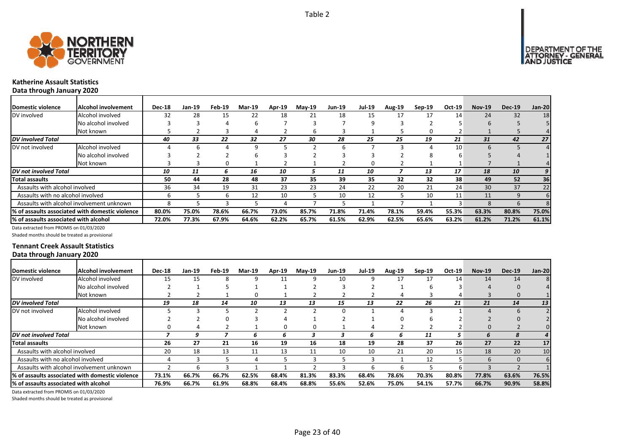



## **Katherine Assault Statistics**

**Data through January 2020**

| Domestic violence                     | Alcohol involvement                             | <b>Dec-18</b> | Jan-19 | Feb-19 | Mar-19 | Apr-19 | <b>May-19</b> | Jun-19 | Jul-19   | <b>Aug-19</b> | $Sep-19$ | Oct-19 | <b>Nov-19</b> | <b>Dec-19</b> | <b>Jan-20</b> |
|---------------------------------------|-------------------------------------------------|---------------|--------|--------|--------|--------|---------------|--------|----------|---------------|----------|--------|---------------|---------------|---------------|
| DV involved                           | Alcohol involved                                | 32            | 28     | 15     | 22     | 18     | 21            | 18     | 15       | 17            | 17       | 14     | 24            | 32            | 18            |
|                                       | No alcohol involved                             |               |        |        |        |        |               |        | q        |               |          |        |               |               |               |
|                                       | Not known                                       |               |        |        |        |        | h             |        |          |               |          |        |               |               |               |
| <b>DV</b> involved Total              |                                                 | 40            | 33     | 22     | 32     | 27     | 30            | 28     | 25       | 25            | 19       | 21     | 31            | 42            | 27            |
| DV not involved                       | Alcohol involved                                |               |        |        | 9      |        |               | h      |          |               |          | 10     |               |               |               |
|                                       | No alcohol involved                             |               |        |        |        |        |               |        |          |               |          |        |               |               |               |
|                                       | Not known                                       |               |        |        |        |        |               |        | $\Omega$ |               |          |        |               |               |               |
| <b>IDV</b> not involved Total         |                                                 | 10            | 11     | h      | 16     | 10     |               | 11     | 10       |               | 13       | 17     | 18            | 10            | 9             |
| Total assaults                        |                                                 | 50            | 44     | 28     | 48     | 37     | 35            | 39     | 35       | 32            | 32       | 38     | 49            | 52            | 36            |
| Assaults with alcohol involved        |                                                 | 36            | 34     | 19     | 31     | 23     | 23            | 24     | 22       | 20            | 21       | 24     | 30            | 37            | 22            |
| Assaults with no alcohol involved     |                                                 |               |        | h      | 12     | 10     |               | 10     | 12       |               | 10       | 11     | 11            | 9             | 61            |
|                                       | Assaults with alcohol involvement unknown       |               |        |        |        |        |               |        |          |               |          |        |               |               |               |
|                                       | % of assaults associated with domestic violence | 80.0%         | 75.0%  | 78.6%  | 66.7%  | 73.0%  | 85.7%         | 71.8%  | 71.4%    | 78.1%         | 59.4%    | 55.3%  | 63.3%         | 80.8%         | 75.0%         |
| % of assaults associated with alcohol |                                                 | 72.0%         | 77.3%  | 67.9%  | 64.6%  | 62.2%  | 65.7%         | 61.5%  | 62.9%    | 62.5%         | 65.6%    | 63.2%  | 61.2%         | 71.2%         | 61.1%         |

Data extracted from PROMIS on 01/03/2020

Shaded months should be treated as provisional

#### **Tennant Creek Assault Statistics Data through January 2020**

| <b>IDomestic violence</b>                 | <b>Alcohol involvement</b>                       | <b>Dec-18</b> | Jan-19 | Feb-19 | <b>Mar-19</b> | Apr-19 | $May-19$ | <b>Jun-19</b> | <b>Jul-19</b> | <b>Aug-19</b> | $Sep-19$ | Oct-19 | <b>Nov-19</b> | <b>Dec-19</b> | Jan-20 |
|-------------------------------------------|--------------------------------------------------|---------------|--------|--------|---------------|--------|----------|---------------|---------------|---------------|----------|--------|---------------|---------------|--------|
| DV involved                               | Alcohol involved                                 | 15            | 15     |        |               |        | a        | 10            | 9             | 17            | 17       | 14     | 14            | 14            |        |
|                                           | No alcohol involved                              |               |        |        |               |        |          |               |               |               |          |        |               | $\Omega$      |        |
|                                           | Not known                                        |               |        |        |               |        |          |               |               |               |          |        |               | 0             |        |
| <b>DV</b> involved Total                  |                                                  | 19            | 18     | 14     | 10            | 13     | 13       | 15            | 13            | 22            | 26       | 21     | 21            | 14            | 13     |
| DV not involved                           | Alcohol involved                                 |               |        |        |               |        |          |               |               |               |          |        |               | $\mathbf b$   |        |
|                                           | No alcohol involved                              |               |        |        |               |        |          |               |               | U             |          |        |               |               |        |
|                                           | Not known                                        |               |        |        |               |        |          |               |               |               |          |        |               |               |        |
| <b>DV</b> not involved Total              |                                                  |               |        |        |               |        |          |               | b.            | h             | 11       | 5.     |               |               |        |
| Total assaults                            |                                                  | 26            | 27     | 21     | 16            | 19     | 16       | 18            | 19            | 28            | 37       | 26     | 27            | 22            | 17     |
| Assaults with alcohol involved            |                                                  | 20            | 18     | 13     | 11            | 13     | 11       | 10            | 10            | 21            | 20       | 15     | 18            | 20            | 10     |
| Assaults with no alcohol involved         |                                                  |               |        |        |               |        |          |               |               |               | 12       |        | 6             | $\Omega$      | 6      |
| Assaults with alcohol involvement unknown |                                                  |               |        |        |               |        |          |               |               |               |          | h      |               |               |        |
|                                           | 1% of assaults associated with domestic violence | 73.1%         | 66.7%  | 66.7%  | 62.5%         | 68.4%  | 81.3%    | 83.3%         | 68.4%         | 78.6%         | 70.3%    | 80.8%  | 77.8%         | 63.6%         | 76.5%  |
| % of assaults associated with alcohol     |                                                  | 76.9%         | 66.7%  | 61.9%  | 68.8%         | 68.4%  | 68.8%    | 55.6%         | 52.6%         | 75.0%         | 54.1%    | 57.7%  | 66.7%         | 90.9%         | 58.8%  |

Data extracted from PROMIS on 01/03/2020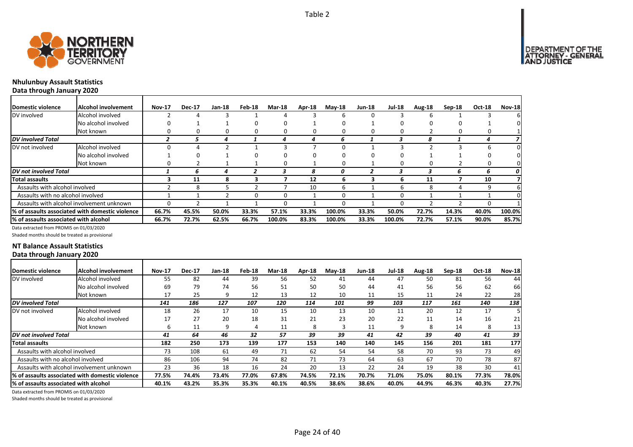

# **Nhulunbuy Assault Statistics**

**Data through January 2020**

| Domestic violence                     | Alcohol involvement                              | <b>Nov-17</b> | <b>Dec-17</b> | Jan-18 | Feb-18 | <b>Mar-18</b> | Apr-18 | $May-18$ | <b>Jun-18</b> | <b>Jul-18</b> | Aug-18 | Sep-18 | Oct-18 | <b>Nov-18</b> |
|---------------------------------------|--------------------------------------------------|---------------|---------------|--------|--------|---------------|--------|----------|---------------|---------------|--------|--------|--------|---------------|
| DV involved                           | Alcohol involved                                 |               | 4             |        |        |               |        |          |               |               |        |        |        |               |
|                                       | No alcohol involved                              |               |               |        |        |               |        |          |               |               |        |        |        |               |
|                                       | Not known                                        |               |               |        |        |               |        |          |               |               |        |        |        |               |
| <b>DV</b> involved Total              |                                                  |               |               |        |        |               | 4      | h        |               |               | 8      |        |        |               |
| DV not involved                       | Alcohol involved                                 |               |               |        |        |               |        |          |               |               |        |        |        |               |
|                                       | No alcohol involved                              |               |               |        |        |               |        |          |               |               |        |        |        |               |
|                                       | Not known                                        |               |               |        |        | n             |        |          |               |               |        |        | O      |               |
| <b>IDV</b> not involved Total         |                                                  |               |               |        |        |               | 8      | 0        |               |               |        | h      | ь      | 0             |
| <b>Total assaults</b>                 |                                                  |               | 11            |        | к.     |               | 12     |          |               |               | 11     |        | 10     |               |
| Assaults with alcohol involved        |                                                  |               | 8             |        |        |               | 10     |          |               | h             | 8      |        | q      |               |
| Assaults with no alcohol involved     |                                                  |               |               |        | O      |               |        |          |               |               |        |        |        |               |
|                                       | Assaults with alcohol involvement unknown        | 0             |               |        |        |               |        |          |               |               |        |        |        |               |
|                                       | 1% of assaults associated with domestic violence | 66.7%         | 45.5%         | 50.0%  | 33.3%  | 57.1%         | 33.3%  | 100.0%   | 33.3%         | 50.0%         | 72.7%  | 14.3%  | 40.0%  | 100.0%        |
| % of assaults associated with alcohol |                                                  | 66.7%         | 72.7%         | 62.5%  | 66.7%  | 100.0%        | 83.3%  | 100.0%   | 33.3%         | 100.0%        | 72.7%  | 57.1%  | 90.0%  | 85.7%         |

Data extracted from PROMIS on 01/03/2020

Shaded months should be treated as provisional

#### **NT Balance Assault Statistics Data through January 2020**

| <b>IDomestic violence</b>              | IAlcohol involvement                             | <b>Nov-17</b> | <b>Dec-17</b> | <b>Jan-18</b> | Feb-18 | <b>Mar-18</b> | Apr-18 | $May-18$ | <b>Jun-18</b> | <b>Jul-18</b> | Aug-18 | Sep-18 | Oct-18 | <b>Nov-18</b> |
|----------------------------------------|--------------------------------------------------|---------------|---------------|---------------|--------|---------------|--------|----------|---------------|---------------|--------|--------|--------|---------------|
| DV involved                            | Alcohol involved                                 | 55            | 82            | 44            | 39     | 56            | 52     | 41       | 44            | 47            | 50     | 81     | 56     | 44            |
|                                        | No alcohol involved                              | 69            | 79            | 74            | 56     | 51            | 50     | 50       | 44            | 41            | 56     | 56     | 62     | 66            |
|                                        | Not known                                        | 17            | 25            | q             | 12     | 13            | 12     | 10       | 11            | 15            | 11     | 24     | 22     | 28            |
| DV involved Total                      |                                                  | 141           | 186           | 127           | 107    | 120           | 114    | 101      | 99            | 103           | 117    | 161    | 140    | 138           |
| DV not involved                        | Alcohol involved                                 | 18            | 26            | 17            | 10     | 15            | 10     | 13       | 10            | 11            | 20     | 12     | 17     |               |
|                                        | No alcohol involved                              | 17            | 27            | 20            | 18     | 31            | 21     | 23       | 20            | 22            | 11     | 14     | 16     | 21            |
|                                        | Not known                                        | h             | 11            | q             | 4      | 11            | 8      |          | 11            | q             | 8      | 14     | 8      | 13            |
| DV not involved Total                  |                                                  | 41            | 64            | 46            | 32     | 57            | 39     | 39       | 41            | 42            | 39     | 40     | 41     | 39            |
| <b>Total assaults</b>                  |                                                  | 182           | 250           | 173           | 139    | 177           | 153    | 140      | 140           | 145           | 156    | 201    | 181    | 177           |
| Assaults with alcohol involved         |                                                  | 73            | 108           | 61            | 49     | 71            | 62     | 54       | 54            | 58            | 70     | 93     | 73     | 49            |
| Assaults with no alcohol involved      |                                                  | 86            | 106           | 94            | 74     | 82            | 71     | 73       | 64            | 63            | 67     | 70     | 78     | 87            |
|                                        | Assaults with alcohol involvement unknown        | 23            | 36            | 18            | 16     | 24            | 20     | 13       | 22            | 24            | 19     | 38     | 30     | 41            |
|                                        | I% of assaults associated with domestic violence | 77.5%         | 74.4%         | 73.4%         | 77.0%  | 67.8%         | 74.5%  | 72.1%    | 70.7%         | 71.0%         | 75.0%  | 80.1%  | 77.3%  | 78.0%         |
| I% of assaults associated with alcohol |                                                  | 40.1%         | 43.2%         | 35.3%         | 35.3%  | 40.1%         | 40.5%  | 38.6%    | 38.6%         | 40.0%         | 44.9%  | 46.3%  | 40.3%  | 27.7%         |

Data extracted from PROMIS on 01/03/2020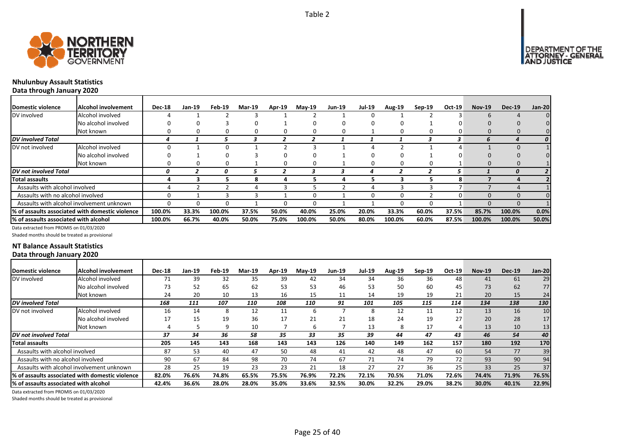

DEPARTMENT OF THE<br>ATTORNEY - GENERAL<br>AND JUSTICE



# **Nhulunbuy Assault Statistics**

**Data through January 2020**

| Domestic violence                     | Alcohol involvement                              | <b>Dec-18</b> | Jan-19 | Feb-19 | <b>Mar-19</b> | Apr-19 | <b>May-19</b> | <b>Jun-19</b> | <b>Jul-19</b> | Aug-19       | $Sep-19$     | Oct-19 | <b>Nov-19</b> | <b>Dec-19</b> | <b>Jan-20</b> |
|---------------------------------------|--------------------------------------------------|---------------|--------|--------|---------------|--------|---------------|---------------|---------------|--------------|--------------|--------|---------------|---------------|---------------|
| DV involved                           | Alcohol involved                                 |               |        |        |               |        |               |               |               |              |              |        |               |               |               |
|                                       | No alcohol involved                              |               |        |        |               |        |               |               |               |              |              |        |               |               |               |
|                                       | Not known                                        |               |        |        |               |        |               |               |               |              | 0            |        |               |               |               |
| DV involved Total                     |                                                  |               |        |        |               |        |               |               |               |              |              | 3      | h             |               |               |
| DV not involved                       | Alcohol involved                                 |               |        | O      |               |        |               |               |               |              |              |        |               |               |               |
|                                       | No alcohol involved                              |               |        |        |               |        |               |               |               |              |              |        |               |               |               |
|                                       | Not known                                        |               |        | n      |               |        | O             |               | $\Omega$      | $\mathbf{U}$ | 0            |        |               |               |               |
| <b>DV</b> not involved Total          |                                                  | 0             |        |        |               |        |               |               |               |              |              |        |               | 0             |               |
| <b>Total assaults</b>                 |                                                  |               |        |        | я             |        |               |               |               |              |              |        |               |               |               |
| Assaults with alcohol involved        |                                                  |               |        |        |               |        |               |               |               |              |              |        |               |               |               |
| Assaults with no alcohol involved     |                                                  | O.            |        |        |               |        |               |               | O             |              |              |        |               |               |               |
|                                       | Assaults with alcohol involvement unknown        | n             |        |        |               |        | O             |               |               |              | <sup>0</sup> |        |               |               |               |
|                                       | 1% of assaults associated with domestic violence | 100.0%        | 33.3%  | 100.0% | 37.5%         | 50.0%  | 40.0%         | 25.0%         | 20.0%         | 33.3%        | 60.0%        | 37.5%  | 85.7%         | 100.0%        | 0.0%          |
| % of assaults associated with alcohol |                                                  | 100.0%        | 66.7%  | 40.0%  | 50.0%         | 75.0%  | 100.0%        | 50.0%         | 80.0%         | 100.0%       | 60.0%        | 87.5%  | 100.0%        | 100.0%        | 50.0%         |

Data extracted from PROMIS on 01/03/2020

Shaded months should be treated as provisional

#### **NT Balance Assault Statistics Data through January 2020**

| Domestic violence                      | Alcohol involvement                             | <b>Dec-18</b> | Jan-19 | Feb-19 | Mar-19            | Apr-19 | $Mav-19$ | Jun-19 | Jul-19 | <b>Aug-19</b> | $Sep-19$ | Oct-19 | <b>Nov-19</b> | <b>Dec-19</b> | <b>Jan-20</b> |
|----------------------------------------|-------------------------------------------------|---------------|--------|--------|-------------------|--------|----------|--------|--------|---------------|----------|--------|---------------|---------------|---------------|
| DV involved                            | Alcohol involved                                | 71            | 39     | 32     | 35                | 39     | 42       | 34     | 34     | 36            | 36       | 48     | 41            | 61            | 29            |
|                                        | No alcohol involved                             | 73            | 52     | 65     | 62                | 53     | 53       | 46     | 53     | 50            | 60       | 45     | 73            | 62            | 77            |
|                                        | Not known                                       | 24            | 20     | 10     | 13                | 16     | 15       | 11     | 14     | 19            | 19       | 21     | 20            | 15            | 24            |
| <b>DV</b> involved Total               |                                                 | 168           | 111    | 107    | <i><b>110</b></i> | 108    | 110      | 91     | 101    | 105           | 115      | 114    | 134           | 138           | 130           |
| DV not involved                        | Alcohol involved                                | 16            | 14     | 8      | 12                | 11     | ь        |        | 8      | 12            | 11       | 12     | 13            | 16            | 10            |
|                                        | No alcohol involved                             | 17            | 15     | 19     | 36                | 17     | 21       | 21     | 18     | 24            | 19       | 27     | 20            | 28            | 17            |
|                                        | Not known                                       |               |        | 9      | 10                |        | 6        |        | 13     | 8             | 17       | 4      | 13            | 10            | 13            |
| DV not involved Total                  |                                                 | 37            | 34     | 36     | 58                | 35     | 33       | 35     | 39     | 44            | 47       | 43     | 46            | 54            | 40            |
| <b>Total assaults</b>                  |                                                 | 205           | 145    | 143    | 168               | 143    | 143      | 126    | 140    | 149           | 162      | 157    | 180           | 192           | 170           |
| Assaults with alcohol involved         |                                                 | 87            | 53     | 40     | 47                | 50     | 48       | 41     | 42     | 48            | 47       | 60     | 54            | 77            | 39            |
| Assaults with no alcohol involved      |                                                 | 90            | 67     | 84     | 98                | 70     | 74       | 67     | 71     | 74            | 79       | 72     | 93            | 90            | 94            |
|                                        | Assaults with alcohol involvement unknown       | 28            | 25     | 19     | 23                | 23     | 21       | 18     | 27     | 27            | 36       | 25     | 33            | 25            | 37            |
|                                        | % of assaults associated with domestic violence | 82.0%         | 76.6%  | 74.8%  | 65.5%             | 75.5%  | 76.9%    | 72.2%  | 72.1%  | 70.5%         | 71.0%    | 72.6%  | 74.4%         | 71.9%         | 76.5%         |
| l% of assaults associated with alcohol |                                                 | 42.4%         | 36.6%  | 28.0%  | 28.0%             | 35.0%  | 33.6%    | 32.5%  | 30.0%  | 32.2%         | 29.0%    | 38.2%  | 30.0%         | 40.1%         | 22.9%         |

Data extracted from PROMIS on 01/03/2020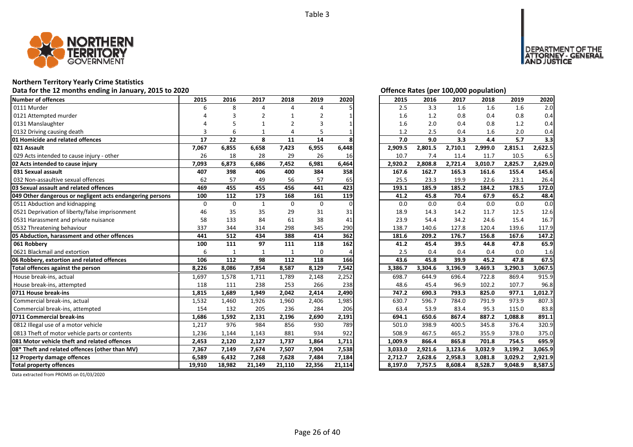

## **Northern Territory Yearly Crime Statistics**

## Data for the 12 months ending in January, 2015 to 2020<br>
Data for the 12 months ending in January, 2015 to 2020

| Number of offences                                        | 2015     | 2016         | 2017           | 2018           | 2019            | 2020     | 2015               | 2016               | 2017               | 2018               | 2019               | 2020               |
|-----------------------------------------------------------|----------|--------------|----------------|----------------|-----------------|----------|--------------------|--------------------|--------------------|--------------------|--------------------|--------------------|
| 0111 Murder                                               | 6        | 8            | $\Delta$       | 4              | 4               |          | 2.5                | 3.3                | 1.6                | 1.6                | 1.6                | 2.0                |
| 0121 Attempted murder                                     |          |              | $\overline{2}$ |                | 2               |          | 1.6                | 1.2                | 0.8                | 0.4                | 0.8                | 0.4                |
| 0131 Manslaughter                                         |          |              |                | $\overline{2}$ |                 |          | 1.6                | 2.0                | 0.4                | 0.8                | 1.2                | 0.4                |
| 0132 Driving causing death                                | 3        | 6            |                | 4              |                 |          | 1.2                | 2.5                | 0.4                | 1.6                | 2.0                | 0.4                |
| 01 Homicide and related offences                          | 17       | 22           | 8              | 11             | 14              |          | 7.0                | 9.0                | 3.3                | 4.4                | 5.7                | 3.3                |
| 021 Assault                                               | 7,067    | 6,855        | 6,658          | 7,423          | 6,955           | 6,448    | 2,909.5            | 2,801.5            | 2,710.1            | 2,999.0            | 2,815.1            | 2,622.5            |
| 029 Acts intended to cause injury - other                 | 26       | 18           | 28             | 29             | 26              | 16       | 10.7               | 7.4                | 11.4               | 11.7               | 10.5               | 6.5                |
| 02 Acts intended to cause injury                          | 7,093    | 6,873        | 6,686          | 7,452          | 6,981           | 6,464    | 2,920.2            | 2,808.8            | 2,721.4            | 3,010.7            | 2,825.7            | 2,629.0            |
| 031 Sexual assault                                        | 407      | 398          | 406            | 400            | 384             | 358      | 167.6              | 162.7              | 165.3              | 161.6              | 155.4              | 145.6              |
| 032 Non-assaultive sexual offences                        | 62       | 57           | 49             | 56             | 57              | 65       | 25.5               | 23.3               | 19.9               | 22.6               | 23.1               | 26.4               |
| 03 Sexual assault and related offences                    | 469      | 455          | 455            | 456            | 441             | 423      | 193.1              | 185.9              | 185.2              | 184.2              | 178.5              | 172.0              |
| 049 Other dangerous or negligent acts endangering persons | 100      | 112          | 173            | 168            | 161             | 119      | 41.2               | 45.8               | 70.4               | 67.9               | 65.2               | 48.4               |
| 0511 Abduction and kidnapping                             | $\Omega$ | $\Omega$     | $\mathbf{1}$   | $\Omega$       | $\mathbf{0}$    | $\Omega$ | 0.0                | 0.0                | 0.4                | 0.0                | 0.0                | 0.0                |
| 0521 Deprivation of liberty/false imprisonment            | 46       | 35           | 35             | 29             | 31              | 31       | 18.9               | 14.3               | 14.2               | 11.7               | 12.5               | 12.6               |
| 0531 Harassment and private nuisance                      | 58       | 133          | 84             | 61             | 38              | 41       | 23.9               | 54.4               | 34.2               | 24.6               | 15.4               | 16.7               |
| 0532 Threatening behaviour                                | 337      | 344          | 314            | 298            | 345             | 290      | 138.7              | 140.6              | 127.8              | 120.4              | 139.6              | 117.9              |
| 05 Abduction, harassment and other offences               | 441      | 512          | 434            | 388            | 414             | 362      | 181.6              | 209.2              | 176.7              | 156.8              | 167.6              | 147.2              |
| 061 Robberv                                               | 100      | 111          | 97             | 111            | 118             | 162      | 41.2               | 45.4               | 39.5               | 44.8               | 47.8               | 65.9               |
| 0621 Blackmail and extortion                              | 6        | $\mathbf{1}$ | 1              | $\mathbf{1}$   | $\Omega$        |          | 2.5                | 0.4                | 0.4                | 0.4                | 0.0                | 1.6                |
| 06 Robbery, extortion and related offences                | 106      | 112          | 98             | 112            | 118             | 166      | 43.6               | 45.8               | 39.9               | 45.2               | 47.8               | 67.5               |
| Total offences against the person                         | 8,226    | 8,086        | 7,854          | 8,587          | 8,129           | 7,542    | 3,386.7            | 3,304.6            | 3,196.9            | 3,469.3            | 3,290.3            | 3,067.5            |
| House break-ins, actual                                   | 1,697    | 1,578        | 1,711          | 1,789          | 2,148           | 2,252    | 698.7              | 644.9              | 696.4              | 722.8              | 869.4              | 915.9              |
| House break-ins, attempted                                | 118      | 111          | 238            | 253            | 266             | 238      | 48.6               | 45.4               | 96.9               | 102.2              | 107.7              | 96.8               |
| 0711 House break-ins                                      | 1,815    | 1,689        | 1,949          | 2,042          | 2,414           | 2,490    | 747.2              | 690.3              | 793.3              | 825.0              | 977.1              | 1,012.7            |
| Commercial break-ins, actual                              | 1,532    | 1,460        | 1,926          | 1,960          | 2,406           | 1,985    | 630.7              | 596.7              | 784.0              | 791.9              | 973.9              | 807.3              |
| Commercial break-ins, attempted                           | 154      | 132          | 205            | 236            | 284             | 206      | 63.4               | 53.9               | 83.4               | 95.3               | 115.0              | 83.8               |
| 0711 Commercial break-ins                                 | 1,686    | 1,592        | 2,131          | 2,196          | 2,690           | 2,191    | 694.1              | 650.6              | 867.4              | 887.2              | 1,088.8            | 891.1              |
| 0812 Illegal use of a motor vehicle                       | 1,217    | 976          | 984            | 856            | 930             | 789      | 501.0              | 398.9              | 400.5              | 345.8              | 376.4              | 320.9              |
| 0813 Theft of motor vehicle parts or contents             | 1,236    | 1,144        | 1,143          | 881            | 934             | 922      | 508.9              | 467.5              | 465.2              | 355.9              | 378.0              | 375.0              |
| 081 Motor vehicle theft and related offences              | 2,453    | 2,120        | 2,127          | 1,737          | 1,864           | 1,711    | 1,009.9            | 866.4              | 865.8              | 701.8              | 754.5              | 695.9              |
| 08* Theft and related offences (other than MV)            | 7,367    | 7,149        | 7,674          | 7,507          | 7,904           | 7,538    | 3,033.0            | 2,921.6            | 3,123.6            | 3,032.9            | 3,199.2            | 3,065.9            |
|                                                           |          |              |                |                |                 |          |                    |                    |                    |                    |                    |                    |
| 12 Property damage offences                               | 6,589    | 6,432        | 7,268          | 7,628          | 7,484<br>22,356 | 7,184    | 2,712.7<br>8,197.0 | 2,628.6<br>7,757.5 | 2,958.3<br>8,608.4 | 3,081.8<br>8,528.7 | 3,029.2<br>9,048.9 | 2,921.9<br>8,587.5 |

DEPARTMENT OF THE<br>ATTORNEY - GENERAL<br>AND JUSTICE

| 2015    | 2016    | 2017    | 2018    | 2019    | 2020               |
|---------|---------|---------|---------|---------|--------------------|
| 2.5     | 3.3     | 1.6     | 1.6     | 1.6     | 2.0                |
| 1.6     | 1.2     | 0.8     | 0.4     | 0.8     | 0.4                |
| 1.6     | 2.0     | 0.4     | 0.8     | 1.2     | 0.4                |
| 1.2     | 2.5     | 0.4     | 1.6     | 2.0     | 0.4                |
| 7.0     | 9.0     | 3.3     | 4.4     | 5.7     | 3.3                |
| 2,909.5 | 2,801.5 | 2,710.1 | 2,999.0 | 2,815.1 | 2,622.5            |
| 10.7    | 7.4     | 11.4    | 11.7    | 10.5    | 6.5                |
| 2,920.2 | 2,808.8 | 2,721.4 | 3,010.7 | 2,825.7 | 2,629.0            |
| 167.6   | 162.7   | 165.3   | 161.6   | 155.4   | 145.6              |
| 25.5    | 23.3    | 19.9    | 22.6    | 23.1    | 26.4               |
| 193.1   | 185.9   | 185.2   | 184.2   | 178.5   | 172.0              |
| 41.2    | 45.8    | 70.4    | 67.9    | 65.2    | 48.4               |
| 0.0     | 0.0     | 0.4     | 0.0     | 0.0     | 0.0                |
| 18.9    | 14.3    | 14.2    | 11.7    | 12.5    | 12.6               |
| 23.9    | 54.4    | 34.2    | 24.6    | 15.4    | 16.7               |
| 138.7   | 140.6   | 127.8   | 120.4   | 139.6   | 117.9              |
| 181.6   | 209.2   | 176.7   | 156.8   | 167.6   | 147.2              |
| 41.2    | 45.4    | 39.5    | 44.8    | 47.8    | 65.9               |
| 2.5     | 0.4     | 0.4     | 0.4     | 0.0     | 1.6                |
| 43.6    | 45.8    | 39.9    | 45.2    | 47.8    | 67.5               |
| 3,386.7 | 3,304.6 | 3,196.9 | 3,469.3 | 3,290.3 | 3,067.5            |
| 698.7   | 644.9   | 696.4   | 722.8   | 869.4   | $915.\overline{9}$ |
| 48.6    |         |         |         |         |                    |
|         | 45.4    | 96.9    | 102.2   | 107.7   | 96.8               |
| 747.2   | 690.3   | 793.3   | 825.0   | 977.1   | 1,012.7            |
| 630.7   | 596.7   | 784.0   | 791.9   | 973.9   | 807.3              |
| 63.4    | 53.9    | 83.4    | 95.3    | 115.0   | 83.8               |
| 694.1   | 650.6   | 867.4   | 887.2   | 1,088.8 | 891.1              |
| 501.0   | 398.9   | 400.5   | 345.8   | 376.4   | 320.9              |
| 508.9   | 467.5   | 465.2   | 355.9   | 378.0   | 375.0              |
| 1,009.9 | 866.4   | 865.8   | 701.8   | 754.5   | 695.9              |
| 3,033.0 | 2,921.6 | 3,123.6 | 3,032.9 | 3,199.2 | 3,065.9            |
| 2,712.7 | 2,628.6 | 2,958.3 | 3,081.8 | 3,029.2 | 2,921.9            |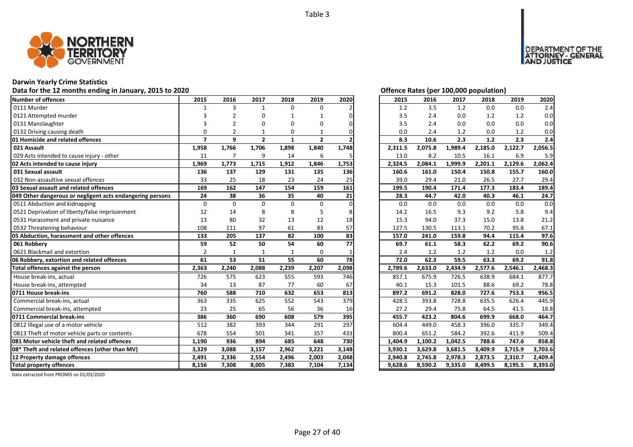

## **Darwin Yearly Crime Statistics**

## Data for the 12 months ending in January, 2015 to 2020<br> **Data for the 12 months ending in January, 2015 to 2020**

| Number of offences                                        | 2015           | 2016           | 2017           | 2018         | 2019           | 2020  | 2015    | 2016    | 2017    | 2018    | 2019    | 2020    |
|-----------------------------------------------------------|----------------|----------------|----------------|--------------|----------------|-------|---------|---------|---------|---------|---------|---------|
| 0111 Murder                                               | $\mathbf{1}$   | 3              | $\mathbf{1}$   | $\Omega$     | $\Omega$       |       | 1.2     | 3.5     | 1.2     | 0.0     | 0.0     | 2.4     |
| 0121 Attempted murder                                     |                | 2              | O              |              |                | ი     | 3.5     | 2.4     | 0.0     | 1.2     | 1.2     | 0.0     |
| 0131 Manslaughter                                         |                |                | O              | 0            | O              |       | 3.5     | 2.4     | 0.0     | 0.0     | 0.0     | 0.0     |
| 0132 Driving causing death                                | $\Omega$       |                | 1              | 0            |                |       | 0.0     | 2.4     | 1.2     | 0.0     | 1.2     | 0.0     |
| <b>01 Homicide and related offences</b>                   | $\overline{7}$ | 9              | $\overline{2}$ | $\mathbf{1}$ | $\overline{2}$ |       | 8.3     | 10.6    | 2.3     | $1.2$   | 2.3     | 2.4     |
| 021 Assault                                               | 1,958          | 1,766          | 1,706          | 1,898        | 1,840          | 1,748 | 2,311.5 | 2,075.8 | 1,989.4 | 2,185.0 | 2,122.7 | 2,056.5 |
| 029 Acts intended to cause injury - other                 | 11             | $\overline{7}$ | 9              | 14           | 6              |       | 13.0    | 8.2     | 10.5    | 16.1    | 6.9     | 5.9     |
| 02 Acts intended to cause injury                          | 1,969          | 1,773          | 1,715          | 1,912        | 1,846          | 1,753 | 2,324.5 | 2,084.1 | 1,999.9 | 2,201.1 | 2,129.6 | 2,062.4 |
| 031 Sexual assault                                        | 136            | 137            | 129            | 131          | 135            | 136   | 160.6   | 161.0   | 150.4   | 150.8   | 155.7   | 160.0   |
| 032 Non-assaultive sexual offences                        | 33             | 25             | 18             | 23           | 24             | 25    | 39.0    | 29.4    | 21.0    | 26.5    | 27.7    | 29.4    |
| 03 Sexual assault and related offences                    | 169            | 162            | 147            | 154          | 159            | 161   | 199.5   | 190.4   | 171.4   | 177.3   | 183.4   | 189.4   |
| 049 Other dangerous or negligent acts endangering persons | 24             | 38             | 36             | 35           | 40             | 21    | 28.3    | 44.7    | 42.0    | 40.3    | 46.1    | 24.7    |
| 0511 Abduction and kidnapping                             | 0              | $\Omega$       | $\Omega$       | $\Omega$     | $\Omega$       | O     | 0.0     | 0.0     | 0.0     | 0.0     | 0.0     | 0.0     |
| 0521 Deprivation of liberty/false imprisonment            | 12             | 14             | 8              | 8            | 5              |       | 14.2    | 16.5    | 9.3     | 9.2     | 5.8     | 9.4     |
| 0531 Harassment and private nuisance                      | 13             | 80             | 32             | 13           | 12             | 18    | 15.3    | 94.0    | 37.3    | 15.0    | 13.8    | 21.2    |
| 0532 Threatening behaviour                                | 108            | 111            | 97             | 61           | 83             | 57    | 127.5   | 130.5   | 113.1   | 70.2    | 95.8    | 67.1    |
| 05 Abduction, harassment and other offences               | 133            | 205            | 137            | 82           | 100            | 83    | 157.0   | 241.0   | 159.8   | 94.4    | 115.4   | 97.6    |
| 061 Robbery                                               | 59             | 52             | 50             | 54           | 60             | 77    | 69.7    | 61.1    | 58.3    | 62.2    | 69.2    | 90.6    |
| 0621 Blackmail and extortion                              | $\overline{2}$ |                | $\mathbf{1}$   | $\mathbf{1}$ | $\Omega$       |       | 2.4     | 1.2     | 1.2     | 1.2     | 0.0     | 1.2     |
| 06 Robbery, extortion and related offences                | 61             | 53             | 51             | 55           | 60             | 78    | 72.0    | 62.3    | 59.5    | 63.3    | 69.2    | 91.8    |
| Total offences against the person                         | 2,363          | 2,240          | 2,088          | 2,239        | 2,207          | 2,098 | 2,789.6 | 2,633.0 | 2,434.9 | 2,577.6 | 2,546.1 | 2,468.3 |
| House break-ins, actual                                   | 726            | 575            | 623            | 555          | 593            | 746   | 857.1   | 675.9   | 726.5   | 638.9   | 684.1   | 877.7   |
| House break-ins, attempted                                | 34             | 13             | 87             | 77           | 60             | 67    | 40.1    | 15.3    | 101.5   | 88.6    | 69.2    | 78.8    |
| 0711 House break-ins                                      | 760            | 588            | 710            | 632          | 653            | 813   | 897.2   | 691.2   | 828.0   | 727.6   | 753.3   | 956.5   |
| Commercial break-ins, actual                              | 363            | 335            | 625            | 552          | 543            | 379   | 428.5   | 393.8   | 728.8   | 635.5   | 626.4   | 445.9   |
| Commercial break-ins, attempted                           | 23             | 25             | 65             | 56           | 36             | 16    | 27.2    | 29.4    | 75.8    | 64.5    | 41.5    | 18.8    |
| 0711 Commercial break-ins                                 | 386            | 360            | 690            | 608          | 579            | 395   | 455.7   | 423.2   | 804.6   | 699.9   | 668.0   | 464.7   |
| 0812 Illegal use of a motor vehicle                       | 512            | 382            | 393            | 344          | 291            | 297   | 604.4   | 449.0   | 458.3   | 396.0   | 335.7   | 349.4   |
| 0813 Theft of motor vehicle parts or contents             | 678            | 554            | 501            | 341          | 357            | 433   | 800.4   | 651.2   | 584.2   | 392.6   | 411.9   | 509.4   |
| <b>1081 Motor vehicle theft and related offences</b>      | 1,190          | 936            | 894            | 685          | 648            | 730   | 1,404.9 | 1,100.2 | 1,042.5 | 788.6   | 747.6   | 858.8   |
| 08* Theft and related offences (other than MV)            | 3,329          | 3,088          | 3,157          | 2,962        | 3,221          | 3,148 | 3,930.1 | 3,629.8 | 3,681.5 | 3,409.9 | 3,715.9 | 3,703.6 |
| 12 Property damage offences                               | 2,491          | 2,336          | 2,554          | 2,496        | 2,003          | 2,048 | 2,940.8 | 2,745.8 | 2,978.3 | 2,873.5 | 2,310.7 | 2,409.4 |
| <b>Total property offences</b>                            | 8,156          | 7,308          | 8,005          | 7,383        | 7,104          | 7,134 | 9,628.6 | 8,590.2 | 9,335.0 | 8,499.5 | 8,195.5 | 8,393.0 |

DEPARTMENT OF THE<br>ATTORNEY - GENERAL ÜŠTICE

| 2015    | 2016    | 2017    | 2018    | 2019    | 2020    |
|---------|---------|---------|---------|---------|---------|
| 1.2     | 3.5     | 1.2     | 0.0     | 0.0     | 2.4     |
| 3.5     | 2.4     | $0.0\,$ | 1.2     | 1.2     | 0.0     |
| 3.5     | 2.4     | 0.0     | 0.0     | 0.0     | 0.0     |
| 0.0     | 2.4     | 1.2     | 0.0     | 1.2     | 0.0     |
| 8.3     | 10.6    | 2.3     | 1.2     | 2.3     | 2.4     |
| 2,311.5 | 2,075.8 | 1,989.4 | 2,185.0 | 2,122.7 | 2,056.5 |
| 13.0    | 8.2     | 10.5    | 16.1    | 6.9     | 5.9     |
| 2,324.5 | 2,084.1 | 1,999.9 | 2,201.1 | 2,129.6 | 2,062.4 |
| 160.6   | 161.0   | 150.4   | 150.8   | 155.7   | 160.0   |
| 39.0    | 29.4    | 21.0    | 26.5    | 27.7    | 29.4    |
| 199.5   | 190.4   | 171.4   | 177.3   | 183.4   | 189.4   |
| 28.3    | 44.7    | 42.0    | 40.3    | 46.1    | 24.7    |
| 0.0     | 0.0     | 0.0     | 0.0     | 0.0     | 0.0     |
| 14.2    | 16.5    | 9.3     | 9.2     | 5.8     | 9.4     |
| 15.3    | 94.0    | 37.3    | 15.0    | 13.8    | 21.2    |
| 127.5   | 130.5   | 113.1   | 70.2    | 95.8    | 67.1    |
| 157.0   | 241.0   | 159.8   | 94.4    | 115.4   | 97.6    |
| 69.7    | 61.1    | 58.3    | 62.2    | 69.2    | 90.6    |
| 2.4     | 1.2     | 1.2     | 1.2     | 0.0     | 1.2     |
| 72.0    | 62.3    | 59.5    | 63.3    | 69.2    | 91.8    |
| 2,789.6 | 2,633.0 | 2,434.9 | 2,577.6 | 2,546.1 | 2,468.3 |
| 857.1   | 675.9   | 726.5   | 638.9   | 684.1   | 877.7   |
| 40.1    | 15.3    | 101.5   | 88.6    | 69.2    | 78.8    |
| 897.2   | 691.2   | 828.0   | 727.6   | 753.3   | 956.5   |
| 428.5   | 393.8   | 728.8   | 635.5   | 626.4   | 445.9   |
| 27.2    | 29.4    | 75.8    | 64.5    | 41.5    | 18.8    |
| 455.7   | 423.2   | 804.6   | 699.9   | 668.0   | 464.7   |
| 604.4   | 449.0   | 458.3   | 396.0   | 335.7   | 349.4   |
| 800.4   | 651.2   | 584.2   | 392.6   | 411.9   | 509.4   |
| 1,404.9 | 1,100.2 | 1,042.5 | 788.6   | 747.6   | 858.8   |
| 3,930.1 | 3,629.8 | 3,681.5 | 3,409.9 | 3,715.9 | 3,703.6 |
| 2,940.8 | 2,745.8 | 2,978.3 | 2,873.5 | 2,310.7 | 2,409.4 |
| 9,628.6 | 8,590.2 | 9,335.0 | 8,499.5 | 8,195.5 | 8,393.0 |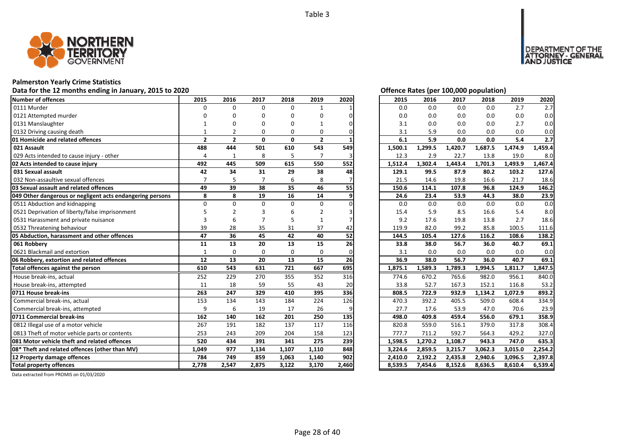

## **Palmerston Yearly Crime Statistics**

## Data for the 12 months ending in January, 2015 to 2020<br>
Data for the 12 months ending in January, 2015 to 2020

| <b>Number of offences</b>                                 | 2015           | 2016           | 2017     | 2018     | 2019           | 2020  | 2015    | 2016    | 2017    | 2018    | 2019    | 2020    |
|-----------------------------------------------------------|----------------|----------------|----------|----------|----------------|-------|---------|---------|---------|---------|---------|---------|
| 0111 Murder                                               | $\Omega$       | $\Omega$       | $\Omega$ | $\Omega$ | $\mathbf{1}$   |       | 0.0     | 0.0     | 0.0     | 0.0     | 2.7     | 2.7     |
| 0121 Attempted murder                                     | ŋ              | n              |          | n        | O              |       | 0.0     | 0.0     | 0.0     | 0.0     | 0.0     | 0.0     |
| 0131 Manslaughter                                         |                |                |          |          |                |       | 3.1     | 0.0     | 0.0     | 0.0     | 2.7     | 0.0     |
| 0132 Driving causing death                                |                |                |          | $\Omega$ | 0              |       | 3.1     | 5.9     | 0.0     | 0.0     | 0.0     | 0.0     |
| 01 Homicide and related offences                          | $\overline{2}$ | $\overline{2}$ | $\Omega$ | 0        | $\overline{2}$ |       | 6.1     | 5.9     | 0.0     | 0.0     | 5.4     | 2.7     |
| 021 Assault                                               | 488            | 444            | 501      | 610      | 543            | 549   | 1,500.1 | 1,299.5 | 1,420.7 | 1,687.5 | 1,474.9 | 1,459.4 |
| 029 Acts intended to cause injury - other                 | 4              | $\mathbf{1}$   | 8        | 5        | $\overline{7}$ |       | 12.3    | 2.9     | 22.7    | 13.8    | 19.0    | 8.0     |
| 02 Acts intended to cause injury                          | 492            | 445            | 509      | 615      | 550            | 552   | 1,512.4 | 1,302.4 | 1,443.4 | 1,701.3 | 1,493.9 | 1,467.4 |
| 031 Sexual assault                                        | 42             | 34             | 31       | 29       | 38             | 48    | 129.1   | 99.5    | 87.9    | 80.2    | 103.2   | 127.6   |
| 032 Non-assaultive sexual offences                        |                | 5              |          | 6        | 8              |       | 21.5    | 14.6    | 19.8    | 16.6    | 21.7    | 18.6    |
| 03 Sexual assault and related offences                    | 49             | 39             | 38       | 35       | 46             | 55    | 150.6   | 114.1   | 107.8   | 96.8    | 124.9   | 146.2   |
| 049 Other dangerous or negligent acts endangering persons | 8              | 8              | 19       | 16       | 14             | 9     | 24.6    | 23.4    | 53.9    | 44.3    | 38.0    | 23.9    |
| 0511 Abduction and kidnapping                             | $\Omega$       | $\Omega$       | $\Omega$ | $\Omega$ | $\Omega$       |       | 0.0     | 0.0     | 0.0     | 0.0     | 0.0     | 0.0     |
| 0521 Deprivation of liberty/false imprisonment            |                |                |          |          | $\overline{2}$ |       | 15.4    | 5.9     | 8.5     | 16.6    | 5.4     | 8.0     |
| 0531 Harassment and private nuisance                      | 3              | 6              |          |          | $\mathbf{1}$   |       | 9.2     | 17.6    | 19.8    | 13.8    | 2.7     | 18.6    |
| 0532 Threatening behaviour                                | 39             | 28             | 35       | 31       | 37             | 42    | 119.9   | 82.0    | 99.2    | 85.8    | 100.5   | 111.6   |
| 05 Abduction, harassment and other offences               | 47             | 36             | 45       | 42       | 40             | 52    | 144.5   | 105.4   | 127.6   | 116.2   | 108.6   | 138.2   |
| 061 Robbery                                               | 11             | 13             | 20       | 13       | 15             | 26    | 33.8    | 38.0    | 56.7    | 36.0    | 40.7    | 69.1    |
| 0621 Blackmail and extortion                              | $\mathbf{1}$   | $\Omega$       | $\Omega$ | $\Omega$ | 0              |       | 3.1     | 0.0     | 0.0     | 0.0     | 0.0     | 0.0     |
| 06 Robbery, extortion and related offences                | 12             | 13             | 20       | 13       | 15             | 26    | 36.9    | 38.0    | 56.7    | 36.0    | 40.7    | 69.1    |
| Total offences against the person                         | 610            | 543            | 631      | 721      | 667            | 695   | 1,875.1 | 1,589.3 | 1,789.3 | 1,994.5 | 1,811.7 | 1,847.5 |
| House break-ins, actual                                   | 252            | 229            | 270      | 355      | 352            | 316   | 774.6   | 670.2   | 765.6   | 982.0   | 956.1   | 840.0   |
| House break-ins, attempted                                | 11             | 18             | 59       | 55       | 43             | 20    | 33.8    | 52.7    | 167.3   | 152.1   | 116.8   | 53.2    |
| 0711 House break-ins                                      | 263            | 247            | 329      | 410      | 395            | 336   | 808.5   | 722.9   | 932.9   | 1,134.2 | 1,072.9 | 893.2   |
| Commercial break-ins, actual                              | 153            | 134            | 143      | 184      | 224            | 126   | 470.3   | 392.2   | 405.5   | 509.0   | 608.4   | 334.9   |
| Commercial break-ins, attempted                           | 9              | 6              | 19       | 17       | 26             | 9     | 27.7    | 17.6    | 53.9    | 47.0    | 70.6    | 23.9    |
| 0711 Commercial break-ins                                 | 162            | 140            | 162      | 201      | 250            | 135   | 498.0   | 409.8   | 459.4   | 556.0   | 679.1   | 358.9   |
| 0812 Illegal use of a motor vehicle                       | 267            | 191            | 182      | 137      | 117            | 116   | 820.8   | 559.0   | 516.1   | 379.0   | 317.8   | 308.4   |
| 0813 Theft of motor vehicle parts or contents             | 253            | 243            | 209      | 204      | 158            | 123   | 777.7   | 711.2   | 592.7   | 564.3   | 429.2   | 327.0   |
| 081 Motor vehicle theft and related offences              | 520            | 434            | 391      | 341      | 275            | 239   | 1,598.5 | 1,270.2 | 1,108.7 | 943.3   | 747.0   | 635.3   |
| 08* Theft and related offences (other than MV)            | 1,049          | 977            | 1,134    | 1,107    | 1,110          | 848   | 3,224.6 | 2,859.5 | 3,215.7 | 3,062.3 | 3,015.0 | 2,254.2 |
| 12 Property damage offences                               | 784            | 749            | 859      | 1,063    | 1,140          | 902   | 2,410.0 | 2,192.2 | 2,435.8 | 2,940.6 | 3,096.5 | 2,397.8 |
| <b>Total property offences</b>                            | 2,778          | 2,547          | 2,875    | 3,122    | 3,170          | 2,460 | 8,539.5 | 7,454.6 | 8,152.6 | 8,636.5 | 8,610.4 | 6,539.4 |

NT OF THE<br>' - GENERAL

**DEPART** 

USTICE

| 2015    |         |         |         |         |         |
|---------|---------|---------|---------|---------|---------|
|         | 2016    | 2017    | 2018    | 2019    | 2020    |
| 0.0     | 0.0     | 0.0     | 0.0     | 2.7     | 2.7     |
| 0.0     | 0.0     | 0.0     | 0.0     | 0.0     | 0.0     |
| 3.1     | 0.0     | 0.0     | 0.0     | 2.7     | 0.0     |
| 3.1     | 5.9     | 0.0     | 0.0     | 0.0     | 0.0     |
| 6.1     | 5.9     | 0.0     | 0.0     | 5.4     | 2.7     |
| 1,500.1 | 1,299.5 | 1,420.7 | 1,687.5 | 1,474.9 | 1,459.4 |
| 12.3    | 2.9     | 22.7    | 13.8    | 19.0    | 8.0     |
| 1,512.4 | 1,302.4 | 1,443.4 | 1,701.3 | 1,493.9 | 1,467.4 |
| 129.1   | 99.5    | 87.9    | 80.2    | 103.2   | 127.6   |
| 21.5    | 14.6    | 19.8    | 16.6    | 21.7    | 18.6    |
| 150.6   | 114.1   | 107.8   | 96.8    | 124.9   | 146.2   |
| 24.6    | 23.4    | 53.9    | 44.3    | 38.0    | 23.9    |
| 0.0     | 0.0     | 0.0     | 0.0     | 0.0     | 0.0     |
| 15.4    | 5.9     | 8.5     | 16.6    | 5.4     | 8.0     |
| 9.2     | 17.6    | 19.8    | 13.8    | 2.7     | 18.6    |
| 119.9   | 82.0    | 99.2    | 85.8    | 100.5   | 111.6   |
| 144.5   | 105.4   | 127.6   | 116.2   | 108.6   | 138.2   |
|         |         |         |         | 40.7    | 69.1    |
| 33.8    | 38.0    | 56.7    | 36.0    |         |         |
| 3.1     | 0.0     | 0.0     | 0.0     | 0.0     | 0.0     |
| 36.9    | 38.0    | 56.7    | 36.0    | 40.7    | 69.1    |
| 1,875.1 | 1,589.3 | 1,789.3 | 1,994.5 | 1,811.7 | 1,847.5 |
| 774.6   | 670.2   | 765.6   | 982.0   | 956.1   | 840.0   |
| 33.8    | 52.7    | 167.3   | 152.1   | 116.8   | 53.2    |
| 808.5   | 722.9   | 932.9   | 1,134.2 | 1,072.9 | 893.2   |
| 470.3   | 392.2   | 405.5   | 509.0   | 608.4   | 334.9   |
| 27.7    | 17.6    | 53.9    | 47.0    | 70.6    | 23.9    |
| 498.0   | 409.8   | 459.4   | 556.0   | 679.1   | 358.9   |
| 820.8   | 559.0   | 516.1   | 379.0   | 317.8   | 308.4   |
| 777.7   | 711.2   | 592.7   | 564.3   | 429.2   | 327.0   |
| 1,598.5 | 1,270.2 | 1,108.7 | 943.3   | 747.0   | 635.3   |
| 3,224.6 | 2,859.5 | 3,215.7 | 3,062.3 | 3,015.0 | 2,254.2 |
| 2,410.0 | 2,192.2 | 2,435.8 | 2,940.6 | 3,096.5 | 2,397.8 |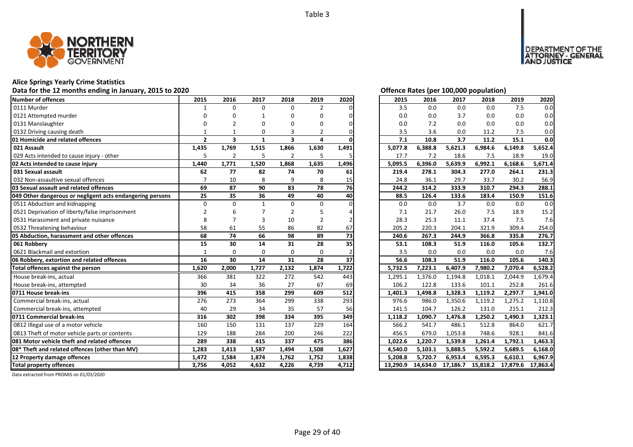

## **Alice Springs Yearly Crime Statistics**

## Data for the 12 months ending in January, 2015 to 2020<br>
Data for the 12 months ending in January, 2015 to 2020

| Number of offences                                        | 2015           | 2016                    | 2017         | 2018                    | 2019           | 2020  | 2015     | 2016     | 2017     | 2018     | 2019     | 2020     |
|-----------------------------------------------------------|----------------|-------------------------|--------------|-------------------------|----------------|-------|----------|----------|----------|----------|----------|----------|
| 0111 Murder                                               |                | $\Omega$                | $\Omega$     | $\Omega$                | $\overline{2}$ |       | 3.5      | 0.0      | 0.0      | 0.0      | 7.5      | 0.0      |
| 0121 Attempted murder                                     |                |                         |              | O                       | U              |       | 0.0      | 0.0      | 3.7      | 0.0      | 0.0      | 0.0      |
| 0131 Manslaughter                                         |                | $\mathfrak z$           | ŋ            | n                       | n              |       | 0.0      | 7.2      | 0.0      | 0.0      | 0.0      | 0.0      |
| 0132 Driving causing death                                |                |                         | O            |                         |                |       | 3.5      | 3.6      | 0.0      | 11.2     | 7.5      | 0.0      |
| 01 Homicide and related offences                          | $\overline{2}$ | $\overline{\mathbf{3}}$ | $\mathbf{1}$ | $\overline{\mathbf{3}}$ | 4              |       | 7.1      | 10.8     | 3.7      | 11.2     | 15.1     | 0.0      |
| 021 Assault                                               | 1,435          | 1,769                   | 1,515        | 1,866                   | 1,630          | 1,491 | 5,077.8  | 6,388.8  | 5,621.3  | 6,984.6  | 6,149.8  | 5,652.4  |
| 029 Acts intended to cause injury - other                 | 5              | 2                       | 5            | $\overline{2}$          | 5              |       | 17.7     | 7.2      | 18.6     | 7.5      | 18.9     | 19.0     |
| 02 Acts intended to cause injury                          | 1,440          | 1,771                   | 1,520        | 1,868                   | 1,635          | 1,496 | 5,095.5  | 6,396.0  | 5,639.9  | 6,992.1  | 6,168.6  | 5,671.4  |
| 031 Sexual assault                                        | 62             | 77                      | 82           | 74                      | 70             | 61    | 219.4    | 278.1    | 304.3    | 277.0    | 264.1    | 231.3    |
| 032 Non-assaultive sexual offences                        |                | 10                      | 8            | 9                       | 8              | 15    | 24.8     | 36.1     | 29.7     | 33.7     | 30.2     | 56.9     |
| 03 Sexual assault and related offences                    | 69             | 87                      | 90           | 83                      | 78             | 76    | 244.2    | 314.2    | 333.9    | 310.7    | 294.3    | 288.1    |
| 049 Other dangerous or negligent acts endangering persons | 25             | 35                      | 36           | 49                      | 40             | 40    | 88.5     | 126.4    | 133.6    | 183.4    | 150.9    | 151.6    |
| 0511 Abduction and kidnapping                             | $\Omega$       | $\Omega$                | $\mathbf{1}$ | $\Omega$                | $\Omega$       |       | 0.0      | 0.0      | 3.7      | 0.0      | 0.0      | 0.0      |
| 0521 Deprivation of liberty/false imprisonment            | $\overline{2}$ |                         |              | $\overline{2}$          |                |       | 7.1      | 21.7     | 26.0     | 7.5      | 18.9     | 15.2     |
| 0531 Harassment and private nuisance                      | 8              |                         |              | 10                      | 2              |       | 28.3     | 25.3     | 11.1     | 37.4     | 7.5      | 7.6      |
| 0532 Threatening behaviour                                | 58             | 61                      | 55           | 86                      | 82             | 67    | 205.2    | 220.3    | 204.1    | 321.9    | 309.4    | 254.0    |
| 05 Abduction, harassment and other offences               | 68             | 74                      | 66           | 98                      | 89             | 73    | 240.6    | 267.3    | 244.9    | 366.8    | 335.8    | 276.7    |
| 061 Robbery                                               | 15             | 30                      | 14           | 31                      | 28             | 35    | 53.1     | 108.3    | 51.9     | 116.0    | 105.6    | 132.7    |
| 0621 Blackmail and extortion                              | $\mathbf{1}$   | $\Omega$                | $\Omega$     | $\Omega$                | $\Omega$       |       | 3.5      | 0.0      | 0.0      | 0.0      | 0.0      | 7.6      |
| 06 Robbery, extortion and related offences                | 16             | 30                      | 14           | 31                      | 28             | 37    | 56.6     | 108.3    | 51.9     | 116.0    | 105.6    | 140.3    |
| Total offences against the person                         | 1,620          | 2,000                   | 1,727        | 2,132                   | 1,874          | 1,722 | 5,732.5  | 7,223.1  | 6,407.9  | 7,980.2  | 7,070.4  | 6,528.2  |
| House break-ins, actual                                   | 366            | 381                     | 322          | 272                     | 542            | 443   | 1,295.1  | 1,376.0  | 1,194.8  | 1,018.1  | 2,044.9  | 1,679.4  |
| House break-ins, attempted                                | 30             | 34                      | 36           | 27                      | 67             | 69    | 106.2    | 122.8    | 133.6    | 101.1    | 252.8    | 261.6    |
| 0711 House break-ins                                      | 396            | 415                     | 358          | 299                     | 609            | 512   | 1,401.3  | 1,498.8  | 1,328.3  | 1,119.2  | 2,297.7  | 1,941.0  |
| Commercial break-ins, actual                              | 276            | 273                     | 364          | 299                     | 338            | 293   | 976.6    | 986.0    | 1,350.6  | 1,119.2  | 1,275.2  | 1,110.8  |
| Commercial break-ins, attempted                           | 40             | 29                      | 34           | 35                      | 57             | 56    | 141.5    | 104.7    | 126.2    | 131.0    | 215.1    | 212.3    |
| 0711 Commercial break-ins                                 | 316            | 302                     | 398          | 334                     | 395            | 349   | 1,118.2  | 1,090.7  | 1,476.8  | 1,250.2  | 1,490.3  | 1,323.1  |
| 0812 Illegal use of a motor vehicle                       | 160            | 150                     | 131          | 137                     | 229            | 164   | 566.2    | 541.7    | 486.1    | 512.8    | 864.0    | 621.7    |
| 0813 Theft of motor vehicle parts or contents             | 129            | 188                     | 284          | 200                     | 246            | 222   | 456.5    | 679.0    | 1,053.8  | 748.6    | 928.1    | 841.6    |
| 081 Motor vehicle theft and related offences              | 289            | 338                     | 415          | 337                     | 475            | 386   | 1,022.6  | 1,220.7  | 1,539.8  | 1,261.4  | 1,792.1  | 1,463.3  |
| 08* Theft and related offences (other than MV)            | 1,283          | 1,413                   | 1,587        | 1,494                   | 1,508          | 1,627 | 4,540.0  | 5,103.1  | 5,888.5  | 5,592.2  | 5,689.5  | 6,168.0  |
| 12 Property damage offences                               | 1,472          | 1,584                   | 1,874        | 1,762                   | 1,752          | 1,838 | 5,208.8  | 5,720.7  | 6,953.4  | 6,595.3  | 6,610.1  | 6.967.9  |
| <b>Total property offences</b>                            | 3,756          | 4,052                   | 4,632        | 4,226                   | 4,739          | 4,712 | 13.290.9 | 14,634.0 | 17,186.7 | 15,818.2 | 17,879.6 | 17,863.4 |

DEPARTMENT OF THE<br>ATTORNEY - GENERAL<br>AND JUSTICE

| 2015     | 2016     | 2017     | 2018     | 2019     | 2020     |
|----------|----------|----------|----------|----------|----------|
| 3.5      | 0.0      | 0.0      | 0.0      | 7.5      | 0.0      |
| 0.0      | 0.0      | 3.7      | 0.0      | 0.0      | 0.0      |
| 0.0      | 7.2      | 0.0      | 0.0      | 0.0      | 0.0      |
| 3.5      | 3.6      | 0.0      | 11.2     | 7.5      | 0.0      |
| 7.1      | 10.8     | 3.7      | 11.2     | 15.1     | 0.0      |
| 5,077.8  | 6,388.8  | 5,621.3  | 6,984.6  | 6,149.8  | 5,652.4  |
| 17.7     | 7.2      | 18.6     | 7.5      | 18.9     | 19.0     |
| 5,095.5  | 6,396.0  | 5,639.9  | 6,992.1  | 6,168.6  | 5,671.4  |
| 219.4    | 278.1    | 304.3    | 277.0    | 264.1    | 231.3    |
| 24.8     | 36.1     | 29.7     | 33.7     | 30.2     | 56.9     |
| 244.2    | 314.2    | 333.9    | 310.7    | 294.3    | 288.1    |
| 88.5     | 126.4    | 133.6    | 183.4    | 150.9    | 151.6    |
| 0.0      | 0.0      | 3.7      | 0.0      | 0.0      | 0.0      |
| 7.1      | 21.7     | 26.0     | 7.5      | 18.9     | 15.2     |
| 28.3     | 25.3     | 11.1     | 37.4     | 7.5      | 7.6      |
| 205.2    | 220.3    | 204.1    | 321.9    | 309.4    | 254.0    |
| 240.6    | 267.3    | 244.9    | 366.8    | 335.8    | 276.7    |
| 53.1     | 108.3    | 51.9     | 116.0    | 105.6    | 132.7    |
| 3.5      | 0.0      | 0.0      | 0.0      | 0.0      | 7.6      |
| 56.6     | 108.3    | 51.9     | 116.0    | 105.6    | 140.3    |
| 5,732.5  | 7,223.1  | 6,407.9  | 7,980.2  | 7,070.4  | 6,528.2  |
| 1,295.1  | 1,376.0  | 1,194.8  | 1,018.1  | 2,044.9  | 1,679.4  |
| 106.2    | 122.8    | 133.6    | 101.1    | 252.8    | 261.6    |
| 1,401.3  | 1,498.8  | 1,328.3  | 1,119.2  | 2,297.7  | 1,941.0  |
| 976.6    | 986.0    | 1,350.6  | 1,119.2  | 1,275.2  | 1,110.8  |
| 141.5    | 104.7    | 126.2    | 131.0    | 215.1    | 212.3    |
| 1,118.2  | 1,090.7  | 1,476.8  | 1,250.2  | 1,490.3  | 1,323.1  |
| 566.2    | 541.7    | 486.1    | 512.8    | 864.0    | 621.7    |
| 456.5    | 679.0    | 1,053.8  | 748.6    | 928.1    | 841.6    |
| 1,022.6  | 1,220.7  | 1,539.8  | 1,261.4  | 1,792.1  | 1,463.3  |
| 4,540.0  | 5,103.1  | 5,888.5  | 5,592.2  | 5,689.5  | 6,168.0  |
| 5,208.8  | 5,720.7  | 6,953.4  | 6,595.3  | 6,610.1  | 6,967.9  |
| 13,290.9 | 14,634.0 | 17,186.7 | 15,818.2 | 17,879.6 | 17,863.4 |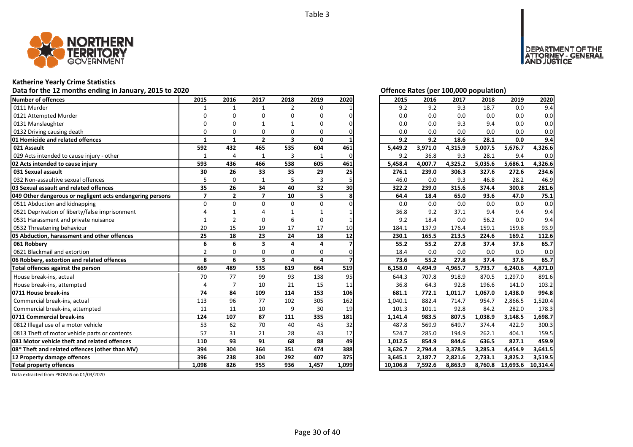

## **Katherine Yearly Crime Statistics**

## Data for the 12 months ending in January, 2015 to 2020<br>
Data for the 12 months ending in January, 2015 to 2020

| Number of offences                                        | 2015           | 2016           | 2017                    | 2018                    | 2019     | 2020  | 2015     | 2016    | 2017    | 2018    | 2019     | 2020     |
|-----------------------------------------------------------|----------------|----------------|-------------------------|-------------------------|----------|-------|----------|---------|---------|---------|----------|----------|
| 0111 Murder                                               |                | 1              | 1                       | $\overline{2}$          | $\Omega$ |       | 9.2      | 9.2     | 9.3     | 18.7    | 0.0      | 9.4      |
| 0121 Attempted Murder                                     |                |                | n                       | n                       | n        |       | 0.0      | 0.0     | 0.0     | 0.0     | 0.0      | 0.0      |
| 0131 Manslaughter                                         |                |                |                         |                         |          |       | 0.0      | 0.0     | 9.3     | 9.4     | 0.0      | 0.0      |
| 0132 Driving causing death                                |                | O              | 0                       | 0                       | 0        |       | 0.0      | 0.0     | 0.0     | 0.0     | 0.0      | 0.0      |
| 01 Homicide and related offences                          | $\mathbf{1}$   | $\mathbf{1}$   | $\overline{2}$          | $\overline{\mathbf{3}}$ | 0        |       | 9.2      | 9.2     | 18.6    | 28.1    | 0.0      | 9.4      |
| 021 Assault                                               | 592            | 432            | 465                     | 535                     | 604      | 461   | 5,449.2  | 3,971.0 | 4,315.9 | 5,007.5 | 5,676.7  | 4,326.6  |
| 029 Acts intended to cause injury - other                 | 1              | 4              | 1                       | $\overline{3}$          | 1        | ი     | 9.2      | 36.8    | 9.3     | 28.1    | 9.4      | 0.0      |
| 02 Acts intended to cause injury                          | 593            | 436            | 466                     | 538                     | 605      | 461   | 5,458.4  | 4,007.7 | 4,325.2 | 5,035.6 | 5,686.1  | 4,326.6  |
| 031 Sexual assault                                        | 30             | 26             | 33                      | 35                      | 29       | 25    | 276.1    | 239.0   | 306.3   | 327.6   | 272.6    | 234.6    |
| 032 Non-assaultive sexual offences                        |                | $\Omega$       | 1                       | 5                       | 3        |       | 46.0     | 0.0     | 9.3     | 46.8    | 28.2     | 46.9     |
| 03 Sexual assault and related offences                    | 35             | 26             | 34                      | 40                      | 32       | 30    | 322.2    | 239.0   | 315.6   | 374.4   | 300.8    | 281.6    |
| 049 Other dangerous or negligent acts endangering persons | $\overline{7}$ | $\overline{2}$ | $\overline{7}$          | 10                      | 5        |       | 64.4     | 18.4    | 65.0    | 93.6    | 47.0     | 75.1     |
| 0511 Abduction and kidnapping                             | $\Omega$       | $\Omega$       | $\Omega$                | $\Omega$                | $\Omega$ |       | 0.0      | 0.0     | 0.0     | 0.0     | 0.0      | 0.0      |
| 0521 Deprivation of liberty/false imprisonment            |                |                |                         |                         |          |       | 36.8     | 9.2     | 37.1    | 9.4     | 9.4      | 9.4      |
| 0531 Harassment and private nuisance                      |                |                | $\Omega$                | 6                       | $\Omega$ |       | 9.2      | 18.4    | 0.0     | 56.2    | 0.0      | 9.4      |
| 0532 Threatening behaviour                                | 20             | 15             | 19                      | 17                      | 17       | 10    | 184.1    | 137.9   | 176.4   | 159.1   | 159.8    | 93.9     |
| 05 Abduction, harassment and other offences               | 25             | 18             | 23                      | 24                      | 18       | 12    | 230.1    | 165.5   | 213.5   | 224.6   | 169.2    | 112.6    |
| 061 Robberv                                               | 6              | 6              | 3                       | $\Delta$                | $\Delta$ |       | 55.2     | 55.2    | 27.8    | 37.4    | 37.6     | 65.7     |
| 0621 Blackmail and extortion                              | $\overline{2}$ | 0              | 0                       | 0                       | 0        |       | 18.4     | 0.0     | 0.0     | 0.0     | 0.0      | 0.0      |
| 06 Robbery, extortion and related offences                | 8              | 6              | $\overline{\mathbf{3}}$ | 4                       | 4        |       | 73.6     | 55.2    | 27.8    | 37.4    | 37.6     | 65.7     |
| Total offences against the person                         | 669            | 489            | 535                     | 619                     | 664      | 519   | 6,158.0  | 4,494.9 | 4,965.7 | 5,793.7 | 6,240.6  | 4,871.0  |
| House break-ins, actual                                   | 70             | 77             | 99                      | 93                      | 138      | 95    | 644.3    | 707.8   | 918.9   | 870.5   | 1,297.0  | 891.6    |
| House break-ins, attempted                                | $\overline{a}$ | $\overline{7}$ | 10                      | 21                      | 15       | 11    | 36.8     | 64.3    | 92.8    | 196.6   | 141.0    | 103.2    |
| 0711 House break-ins                                      | 74             | 84             | 109                     | 114                     | 153      | 106   | 681.1    | 772.1   | 1,011.7 | 1,067.0 | 1,438.0  | 994.8    |
| Commercial break-ins, actual                              | 113            | 96             | 77                      | 102                     | 305      | 162   | 1,040.1  | 882.4   | 714.7   | 954.7   | 2,866.5  | 1,520.4  |
| Commercial break-ins, attempted                           | 11             | 11             | 10                      | 9                       | 30       | 19    | 101.3    | 101.1   | 92.8    | 84.2    | 282.0    | 178.3    |
| 0711 Commercial break-ins                                 | 124            | 107            | $\overline{87}$         | 111                     | 335      | 181   | 1,141.4  | 983.5   | 807.5   | 1,038.9 | 3,148.5  | 1,698.7  |
| 0812 Illegal use of a motor vehicle                       | 53             | 62             | 70                      | 40                      | 45       | 32    | 487.8    | 569.9   | 649.7   | 374.4   | 422.9    | 300.3    |
| 0813 Theft of motor vehicle parts or contents             | 57             | 31             | 21                      | 28                      | 43       | 17    | 524.7    | 285.0   | 194.9   | 262.1   | 404.1    | 159.5    |
| <b>1081 Motor vehicle theft and related offences</b>      | 110            | 93             | 91                      | 68                      | 88       | 49    | 1,012.5  | 854.9   | 844.6   | 636.5   | 827.1    | 459.9    |
| 08* Theft and related offences (other than MV)            | 394            | 304            | 364                     | 351                     | 474      | 388   | 3.626.7  | 2,794.4 | 3,378.5 | 3,285.3 | 4,454.9  | 3,641.5  |
| 12 Property damage offences                               | 396            | 238            | 304                     | 292                     | 407      | 375   | 3,645.1  | 2,187.7 | 2,821.6 | 2,733.1 | 3,825.2  | 3,519.5  |
| <b>Total property offences</b>                            | 1.098          | 826            | 955                     | 936                     | 1,457    | 1,099 | 10,106.8 | 7,592.6 | 8,863.9 | 8,760.8 | 13,693.6 | 10,314.4 |

MENT OF THE<br>NEY - GENERAL

ÜSTICE

**DEPART** 

| 2015     | 2016    | 2017    | 2018    | 2019     | 2020     |
|----------|---------|---------|---------|----------|----------|
| 9.2      | 9.2     | 9.3     | 18.7    | 0.0      | 9.4      |
| 0.0      | 0.0     | 0.0     | 0.0     | 0.0      | 0.0      |
| 0.0      | 0.0     | 9.3     | 9.4     | 0.0      | 0.0      |
| 0.0      | 0.0     | 0.0     | 0.0     | 0.0      | 0.0      |
| 9.2      | 9.2     | 18.6    | 28.1    | 0.0      | 9.4      |
| 5,449.2  | 3,971.0 | 4,315.9 | 5,007.5 | 5,676.7  | 4,326.6  |
| 9.2      | 36.8    | 9.3     | 28.1    | 9.4      | 0.0      |
| 5,458.4  | 4,007.7 | 4,325.2 | 5,035.6 | 5,686.1  | 4,326.6  |
| 276.1    | 239.0   | 306.3   | 327.6   | 272.6    | 234.6    |
| 46.0     | 0.0     | 9.3     | 46.8    | 28.2     | 46.9     |
| 322.2    | 239.0   | 315.6   | 374.4   | 300.8    | 281.6    |
| 64.4     | 18.4    | 65.0    | 93.6    | 47.0     | 75.1     |
| 0.0      | 0.0     | 0.0     | 0.0     | 0.0      | 0.0      |
| 36.8     | 9.2     | 37.1    | 9.4     | 9.4      | 9.4      |
| 9.2      | 18.4    | 0.0     | 56.2    | 0.0      | 9.4      |
| 184.1    | 137.9   | 176.4   | 159.1   | 159.8    | 93.9     |
| 230.1    | 165.5   | 213.5   | 224.6   | 169.2    | 112.6    |
| 55.2     | 55.2    | 27.8    | 37.4    | 37.6     | 65.7     |
| 18.4     | 0.0     | 0.0     | 0.0     | 0.0      | 0.0      |
| 73.6     | 55.2    | 27.8    | 37.4    | 37.6     | 65.7     |
| 6,158.0  | 4,494.9 | 4,965.7 | 5,793.7 | 6,240.6  | 4,871.0  |
| 644.3    | 707.8   | 918.9   | 870.5   | 1,297.0  | 891.6    |
| 36.8     | 64.3    | 92.8    | 196.6   | 141.0    | 103.2    |
| 681.1    | 772.1   | 1,011.7 | 1,067.0 | 1,438.0  | 994.8    |
| 1,040.1  | 882.4   | 714.7   | 954.7   | 2,866.5  | 1,520.4  |
| 101.3    | 101.1   | 92.8    | 84.2    | 282.0    | 178.3    |
| 1,141.4  | 983.5   | 807.5   | 1,038.9 | 3,148.5  | 1,698.7  |
| 487.8    | 569.9   | 649.7   | 374.4   | 422.9    | 300.3    |
| 524.7    | 285.0   | 194.9   | 262.1   | 404.1    | 159.5    |
| 1,012.5  | 854.9   | 844.6   | 636.5   | 827.1    | 459.9    |
| 3,626.7  | 2,794.4 | 3,378.5 | 3,285.3 | 4,454.9  | 3,641.5  |
| 3,645.1  | 2,187.7 | 2,821.6 | 2,733.1 | 3,825.2  | 3,519.5  |
| 10,106.8 | 7,592.6 | 8,863.9 | 8,760.8 | 13,693.6 | 10,314.4 |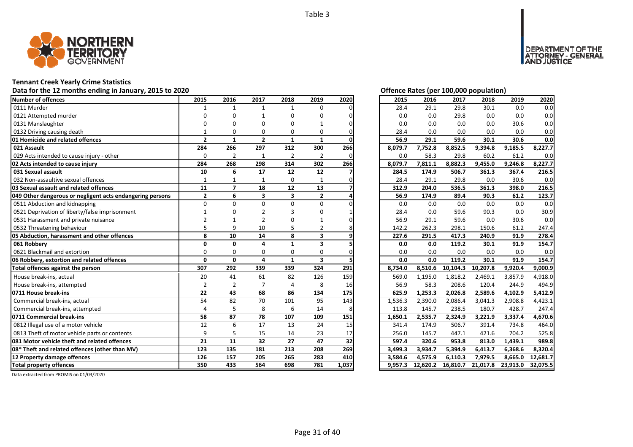

## **Tennant Creek Yearly Crime Statistics**

# Data for the 12 months ending in January, 2015 to 2020<br> **Data for the 12 months ending in January, 2015 to 2020**

| Number of offences                                        | 2015           | 2016                     | 2017           | 2018           | 2019                    | 2020  | 2015    | 2016     | 2017     | 2018     | 2019     | 2020     |
|-----------------------------------------------------------|----------------|--------------------------|----------------|----------------|-------------------------|-------|---------|----------|----------|----------|----------|----------|
| 0111 Murder                                               |                | 1                        | $\mathbf{1}$   | $\mathbf{1}$   | 0                       |       | 28.4    | 29.1     | 29.8     | 30.1     | 0.0      | 0.0      |
| 0121 Attempted murder                                     |                |                          |                |                | በ                       |       | 0.0     | 0.0      | 29.8     | 0.0      | 0.0      | 0.0      |
| 0131 Manslaughter                                         |                |                          |                | n              |                         |       | 0.0     | 0.0      | 0.0      | 0.0      | 30.6     | 0.0      |
| 0132 Driving causing death                                |                |                          | O              | 0              | O                       |       | 28.4    | 0.0      | 0.0      | 0.0      | 0.0      | 0.0      |
| 01 Homicide and related offences                          | $\overline{2}$ | $\mathbf{1}$             | $\overline{2}$ | $\mathbf{1}$   | $\mathbf{1}$            |       | 56.9    | 29.1     | 59.6     | 30.1     | 30.6     | 0.0      |
| 021 Assault                                               | 284            | 266                      | 297            | 312            | 300                     | 266   | 8,079.7 | 7,752.8  | 8,852.5  | 9,394.8  | 9,185.5  | 8,227.7  |
| 029 Acts intended to cause injury - other                 | 0              | $\overline{2}$           | 1              | $\overline{2}$ | $\overline{2}$          | ი     | 0.0     | 58.3     | 29.8     | 60.2     | 61.2     | 0.0      |
| 02 Acts intended to cause injury                          | 284            | 268                      | 298            | 314            | 302                     | 266   | 8,079.7 | 7,811.1  | 8,882.3  | 9,455.0  | 9,246.8  | 8,227.7  |
| 031 Sexual assault                                        | 10             | 6                        | 17             | 12             | 12                      |       | 284.5   | 174.9    | 506.7    | 361.3    | 367.4    | 216.5    |
| 032 Non-assaultive sexual offences                        |                |                          |                | 0              |                         |       | 28.4    | 29.1     | 29.8     | 0.0      | 30.6     | 0.0      |
| 03 Sexual assault and related offences                    | 11             | $\overline{\phantom{a}}$ | 18             | 12             | 13                      |       | 312.9   | 204.0    | 536.5    | 361.3    | 398.0    | 216.5    |
| 049 Other dangerous or negligent acts endangering persons | $\mathbf{2}$   | 6                        | 3              | 3              | $\overline{2}$          |       | 56.9    | 174.9    | 89.4     | 90.3     | 61.2     | 123.7    |
| 0511 Abduction and kidnapping                             | $\Omega$       | $\Omega$                 | $\Omega$       | $\Omega$       | $\Omega$                |       | 0.0     | 0.0      | 0.0      | 0.0      | 0.0      | 0.0      |
| 0521 Deprivation of liberty/false imprisonment            |                |                          |                |                | n                       |       | 28.4    | 0.0      | 59.6     | 90.3     | 0.0      | 30.9     |
| 0531 Harassment and private nuisance                      |                |                          |                |                |                         |       | 56.9    | 29.1     | 59.6     | 0.0      | 30.6     | 0.0      |
| 0532 Threatening behaviour                                |                | q                        | 10             |                | 2                       |       | 142.2   | 262.3    | 298.1    | 150.6    | 61.2     | 247.4    |
| 05 Abduction, harassment and other offences               | 8              | 10                       | 14             | 8              | 3                       |       | 227.6   | 291.5    | 417.3    | 240.9    | 91.9     | 278.4    |
| 061 Robbery                                               | $\Omega$       | $\mathbf{0}$             | 4              | $\mathbf{1}$   | 3                       |       | 0.0     | 0.0      | 119.2    | 30.1     | 91.9     | 154.7    |
| 0621 Blackmail and extortion                              | $\Omega$       | $\Omega$                 | $\Omega$       | $\Omega$       | $\Omega$                | n     | 0.0     | 0.0      | 0.0      | 0.0      | 0.0      | 0.0      |
| 06 Robbery, extortion and related offences                | $\Omega$       | 0                        | 4              | $\mathbf{1}$   | $\overline{\mathbf{3}}$ |       | 0.0     | 0.0      | 119.2    | 30.1     | 91.9     | 154.7    |
| Total offences against the person                         | 307            | 292                      | 339            | 339            | 324                     | 291   | 8,734.0 | 8,510.6  | 10,104.3 | 10,207.8 | 9,920.4  | 9,000.9  |
| House break-ins, actual                                   | 20             | 41                       | 61             | 82             | 126                     | 159   | 569.0   | 1,195.0  | 1,818.2  | 2,469.1  | 3,857.9  | 4,918.0  |
| House break-ins, attempted                                | $\overline{2}$ | $\overline{2}$           | $\overline{7}$ | 4              | 8                       | 16    | 56.9    | 58.3     | 208.6    | 120.4    | 244.9    | 494.9    |
| 0711 House break-ins                                      | 22             | 43                       | 68             | 86             | 134                     | 175   | 625.9   | 1,253.3  | 2,026.8  | 2,589.6  | 4,102.9  | 5,412.9  |
| Commercial break-ins, actual                              | 54             | 82                       | 70             | 101            | 95                      | 143   | 1,536.3 | 2,390.0  | 2,086.4  | 3,041.3  | 2,908.8  | 4,423.1  |
| Commercial break-ins, attempted                           | $\Delta$       |                          | 8              | 6              | 14                      |       | 113.8   | 145.7    | 238.5    | 180.7    | 428.7    | 247.4    |
| 0711 Commercial break-ins                                 | 58             | 87                       | 78             | 107            | 109                     | 151   | 1,650.1 | 2,535.7  | 2,324.9  | 3,221.9  | 3,337.4  | 4,670.6  |
| 0812 Illegal use of a motor vehicle                       | 12             | 6                        | 17             | 13             | 24                      | 15    | 341.4   | 174.9    | 506.7    | 391.4    | 734.8    | 464.0    |
| 0813 Theft of motor vehicle parts or contents             | q              | 5                        | 15             | 14             | 23                      | 17    | 256.0   | 145.7    | 447.1    | 421.6    | 704.2    | 525.8    |
| 081 Motor vehicle theft and related offences              | 21             | 11                       | 32             | 27             | 47                      | 32    | 597.4   | 320.6    | 953.8    | 813.0    | 1,439.1  | 989.8    |
| 08* Theft and related offences (other than MV)            | 123            | 135                      | 181            | 213            | 208                     | 269   | 3,499.3 | 3,934.7  | 5,394.9  | 6,413.7  | 6,368.6  | 8,320.4  |
| 12 Property damage offences                               | 126            | 157                      | 205            | 265            | 283                     | 410   | 3,584.6 | 4,575.9  | 6,110.3  | 7,979.5  | 8.665.0  | 12,681.7 |
| <b>Total property offences</b>                            | 350            | 433                      | 564            | 698            | 781                     | 1,037 | 9,957.3 | 12,620.2 | 16,810.7 | 21,017.8 | 23,913.0 | 32,075.5 |

DEPARTMENT OF THE<br>ATTORNEY - GENERAL ÜŠTICE

| 2015    | 2016     | 2017     | 2018     | 2019     | 2020     |
|---------|----------|----------|----------|----------|----------|
| 28.4    | 29.1     | 29.8     | 30.1     | 0.0      | 0.0      |
| 0.0     | 0.0      | 29.8     | 0.0      | 0.0      | 0.0      |
| 0.0     | 0.0      | 0.0      | 0.0      | 30.6     | 0.0      |
| 28.4    | 0.0      | 0.0      | 0.0      | 0.0      | 0.0      |
| 56.9    | 29.1     | 59.6     | 30.1     | 30.6     | 0.0      |
| 8,079.7 | 7,752.8  | 8,852.5  | 9,394.8  | 9,185.5  | 8,227.7  |
| 0.0     | 58.3     | 29.8     | 60.2     | 61.2     | 0.0      |
| 8,079.7 | 7,811.1  | 8,882.3  | 9,455.0  | 9,246.8  | 8,227.7  |
| 284.5   | 174.9    | 506.7    | 361.3    | 367.4    | 216.5    |
| 28.4    | 29.1     | 29.8     | 0.0      | 30.6     | 0.0      |
| 312.9   | 204.0    | 536.5    | 361.3    | 398.0    | 216.5    |
| 56.9    | 174.9    | 89.4     | 90.3     | 61.2     | 123.7    |
| 0.0     | 0.0      | 0.0      | 0.0      | 0.0      | 0.0      |
| 28.4    | 0.0      | 59.6     | 90.3     | 0.0      | 30.9     |
| 56.9    | 29.1     | 59.6     | 0.0      | 30.6     | 0.0      |
| 142.2   | 262.3    | 298.1    | 150.6    | 61.2     | 247.4    |
| 227.6   | 291.5    | 417.3    | 240.9    | 91.9     | 278.4    |
| 0.0     | 0.0      | 119.2    | 30.1     | 91.9     | 154.7    |
| 0.0     | 0.0      | 0.0      | 0.0      | 0.0      | 0.0      |
| 0.0     | 0.0      | 119.2    | 30.1     | 91.9     | 154.7    |
| 8,734.0 | 8,510.6  | 10,104.3 | 10,207.8 | 9,920.4  | 9,000.9  |
| 569.0   | 1,195.0  | 1,818.2  | 2,469.1  | 3,857.9  | 4,918.0  |
| 56.9    | 58.3     | 208.6    | 120.4    | 244.9    | 494.9    |
| 625.9   | 1,253.3  | 2,026.8  | 2,589.6  | 4,102.9  | 5,412.9  |
| 1,536.3 | 2,390.0  | 2,086.4  | 3,041.3  | 2,908.8  | 4,423.1  |
| 113.8   | 145.7    | 238.5    | 180.7    | 428.7    | 247.4    |
| 1,650.1 | 2,535.7  | 2,324.9  | 3,221.9  | 3,337.4  | 4,670.6  |
| 341.4   | 174.9    | 506.7    | 391.4    | 734.8    | 464.0    |
| 256.0   | 145.7    | 447.1    | 421.6    | 704.2    | 525.8    |
| 597.4   | 320.6    | 953.8    | 813.0    | 1,439.1  | 989.8    |
| 3,499.3 | 3,934.7  | 5,394.9  | 6,413.7  | 6,368.6  | 8,320.4  |
| 3,584.6 | 4,575.9  | 6,110.3  | 7,979.5  | 8,665.0  | 12,681.7 |
| 9,957.3 | 12,620.2 | 16,810.7 | 21,017.8 | 23,913.0 | 32,075.5 |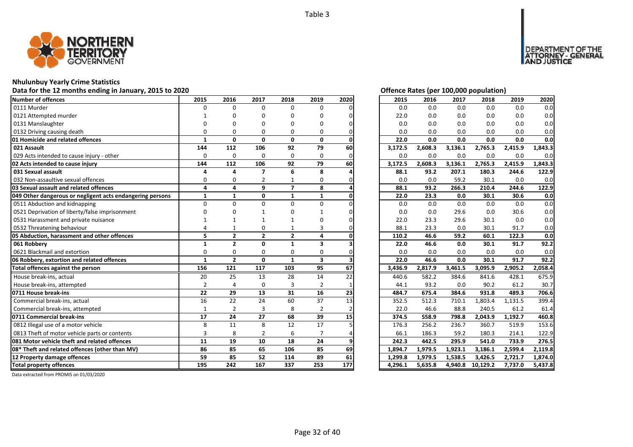

## **Nhulunbuy Yearly Crime Statistics**

## Data for the 12 months ending in January, 2015 to 2020<br>
Data for the 12 months ending in January, 2015 to 2020

| Number of offences                                        | 2015           | 2016           | 2017           | 2018           | 2019                    | 2020 | 2015    | 2016    | 2017    | 2018     | 2019    | 2020    |
|-----------------------------------------------------------|----------------|----------------|----------------|----------------|-------------------------|------|---------|---------|---------|----------|---------|---------|
| 0111 Murder                                               | $\Omega$       | $\Omega$       | $\Omega$       | $\Omega$       | $\Omega$                |      | 0.0     | 0.0     | 0.0     | 0.0      | 0.0     | 0.0     |
| 0121 Attempted murder                                     |                |                | n              | n              | n                       |      | 22.0    | 0.0     | 0.0     | 0.0      | 0.0     | 0.0     |
| 0131 Manslaughter                                         |                |                |                |                | በ                       |      | 0.0     | 0.0     | 0.0     | 0.0      | 0.0     | 0.0     |
| 0132 Driving causing death                                |                | ŋ              | O              | $\Omega$       | O                       |      | 0.0     | 0.0     | 0.0     | 0.0      | 0.0     | 0.0     |
| 01 Homicide and related offences                          | 1              | $\mathbf{0}$   | $\mathbf{0}$   | $\mathbf{0}$   | 0                       |      | 22.0    | 0.0     | 0.0     | 0.0      | 0.0     | 0.0     |
| 021 Assault                                               | 144            | 112            | 106            | 92             | 79                      | 60   | 3,172.5 | 2,608.3 | 3,136.1 | 2,765.3  | 2,415.9 | 1,843.3 |
| 029 Acts intended to cause injury - other                 | 0              | $\mathbf 0$    | $\Omega$       | 0              | 0                       | ი    | 0.0     | 0.0     | 0.0     | 0.0      | 0.0     | 0.0     |
| 02 Acts intended to cause injury                          | 144            | 112            | 106            | 92             | 79                      | 60   | 3,172.5 | 2,608.3 | 3,136.1 | 2,765.3  | 2,415.9 | 1,843.3 |
| 031 Sexual assault                                        | Δ              | $\Delta$       | 7              | 6              | 8                       |      | 88.1    | 93.2    | 207.1   | 180.3    | 244.6   | 122.9   |
| 032 Non-assaultive sexual offences                        | $\Omega$       | $\Omega$       |                |                | 0                       |      | 0.0     | 0.0     | 59.2    | 30.1     | 0.0     | 0.0     |
| 03 Sexual assault and related offences                    | 4              | 4              | 9              | $\overline{ }$ | 8                       |      | 88.1    | 93.2    | 266.3   | 210.4    | 244.6   | 122.9   |
| 049 Other dangerous or negligent acts endangering persons | $\mathbf{1}$   | $\mathbf{1}$   | $\mathbf{0}$   | $\mathbf{1}$   | $\mathbf{1}$            |      | 22.0    | 23.3    | 0.0     | 30.1     | 30.6    | 0.0     |
| 0511 Abduction and kidnapping                             | $\Omega$       | $\Omega$       | U              | $\Omega$       | $\Omega$                |      | 0.0     | 0.0     | 0.0     | 0.0      | 0.0     | 0.0     |
| 0521 Deprivation of liberty/false imprisonment            |                |                |                |                |                         |      | 0.0     | 0.0     | 29.6    | 0.0      | 30.6    | 0.0     |
| 0531 Harassment and private nuisance                      |                |                |                |                |                         |      | 22.0    | 23.3    | 29.6    | 30.1     | 0.0     | 0.0     |
| 0532 Threatening behaviour                                |                |                | 0              |                | 3                       |      | 88.1    | 23.3    | 0.0     | 30.1     | 91.7    | 0.0     |
| 05 Abduction, harassment and other offences               | 5              | $\overline{2}$ | $\overline{2}$ | $\overline{2}$ | 4                       |      | 110.2   | 46.6    | 59.2    | 60.1     | 122.3   | 0.0     |
| 061 Robbery                                               | $\mathbf 1$    | $\overline{2}$ | $\Omega$       | $\mathbf{1}$   | 3                       |      | 22.0    | 46.6    | 0.0     | 30.1     | 91.7    | 92.2    |
| 0621 Blackmail and extortion                              | O              | $\Omega$       | $\Omega$       | $\Omega$       | $\Omega$                |      | 0.0     | 0.0     | 0.0     | 0.0      | 0.0     | 0.0     |
| 06 Robbery, extortion and related offences                | $\mathbf{1}$   | $\overline{2}$ | $\mathbf{0}$   | $\mathbf{1}$   | $\overline{\mathbf{3}}$ |      | 22.0    | 46.6    | 0.0     | 30.1     | 91.7    | 92.2    |
| Total offences against the person                         | 156            | 121            | 117            | 103            | 95                      | 67   | 3,436.9 | 2,817.9 | 3,461.5 | 3,095.9  | 2,905.2 | 2,058.4 |
| House break-ins, actual                                   | 20             | 25             | 13             | 28             | 14                      | 22   | 440.6   | 582.2   | 384.6   | 841.6    | 428.1   | 675.9   |
| House break-ins, attempted                                | $\overline{2}$ |                | $\Omega$       | 3              | $\overline{2}$          |      | 44.1    | 93.2    | 0.0     | 90.2     | 61.2    | 30.7    |
| 0711 House break-ins                                      | 22             | 29             | 13             | 31             | 16                      | 23   | 484.7   | 675.4   | 384.6   | 931.8    | 489.3   | 706.6   |
| Commercial break-ins, actual                              | 16             | 22             | 24             | 60             | 37                      | 13   | 352.5   | 512.3   | 710.1   | 1,803.4  | 1,131.5 | 399.4   |
| Commercial break-ins, attempted                           | $\mathbf{1}$   | $\overline{2}$ | 3              | 8              | $\overline{2}$          |      | 22.0    | 46.6    | 88.8    | 240.5    | 61.2    | 61.4    |
| 0711 Commercial break-ins                                 | 17             | 24             | 27             | 68             | 39                      | 15   | 374.5   | 558.9   | 798.8   | 2,043.9  | 1,192.7 | 460.8   |
| 0812 Illegal use of a motor vehicle                       | 8              | 11             | 8              | 12             | 17                      |      | 176.3   | 256.2   | 236.7   | 360.7    | 519.9   | 153.6   |
| 0813 Theft of motor vehicle parts or contents             | 3              | 8              | $\overline{2}$ | 6              | $\overline{7}$          |      | 66.1    | 186.3   | 59.2    | 180.3    | 214.1   | 122.9   |
| 081 Motor vehicle theft and related offences              | 11             | 19             | 10             | 18             | 24                      |      | 242.3   | 442.5   | 295.9   | 541.0    | 733.9   | 276.5   |
| 08* Theft and related offences (other than MV)            | 86             | 85             | 65             | 106            | 85                      | 69   | 1,894.7 | 1,979.5 | 1,923.1 | 3,186.1  | 2,599.4 | 2,119.8 |
| 12 Property damage offences                               | 59             | 85             | 52             | 114            | 89                      | 61   | 1,299.8 | 1,979.5 | 1,538.5 | 3,426.5  | 2,721.7 | 1,874.0 |
| <b>Total property offences</b>                            | 195            | 242            | 167            | 337            | 253                     | 177  | 4,296.1 | 5,635.8 | 4,940.8 | 10,129.2 | 7,737.0 | 5,437.8 |

DEPARTMENT OF THE<br>ATTORNEY - GENERAL ÜSTICE

| 2015    | 2016    | 2017    | 2018     | 2019    | 2020    |
|---------|---------|---------|----------|---------|---------|
| 0.0     | 0.0     | 0.0     | 0.0      | 0.0     | 0.0     |
| 22.0    | 0.0     | 0.0     | 0.0      | 0.0     | 0.0     |
| 0.0     | 0.0     | 0.0     | 0.0      | 0.0     | 0.0     |
| 0.0     | 0.0     | 0.0     | 0.0      | 0.0     | 0.0     |
| 22.0    | 0.0     | 0.0     | 0.0      | 0.0     | 0.0     |
| 3,172.5 | 2,608.3 | 3,136.1 | 2,765.3  | 2,415.9 | 1,843.3 |
| 0.0     | 0.0     | 0.0     | 0.0      | 0.0     | 0.0     |
| 3,172.5 | 2,608.3 | 3,136.1 | 2,765.3  | 2,415.9 | 1,843.3 |
| 88.1    | 93.2    | 207.1   | 180.3    | 244.6   | 122.9   |
| 0.0     | 0.0     | 59.2    | 30.1     | 0.0     | 0.0     |
| 88.1    | 93.2    | 266.3   | 210.4    | 244.6   | 122.9   |
| 22.0    | 23.3    | 0.0     | 30.1     | 30.6    | 0.0     |
| 0.0     | 0.0     | 0.0     | 0.0      | 0.0     | 0.0     |
| 0.0     | 0.0     | 29.6    | 0.0      | 30.6    | 0.0     |
| 22.0    | 23.3    | 29.6    | 30.1     | 0.0     | 0.0     |
| 88.1    | 23.3    | 0.0     | 30.1     | 91.7    | 0.0     |
| 110.2   | 46.6    | 59.2    | 60.1     | 122.3   | 0.0     |
| 22.0    | 46.6    | 0.0     | 30.1     | 91.7    | 92.2    |
| 0.0     | 0.0     | 0.0     | 0.0      | 0.0     | 0.0     |
| 22.0    | 46.6    | 0.0     | 30.1     | 91.7    | 92.2    |
| 3,436.9 | 2,817.9 | 3,461.5 | 3,095.9  | 2,905.2 | 2,058.4 |
| 440.6   | 582.2   | 384.6   | 841.6    | 428.1   | 675.9   |
| 44.1    | 93.2    | 0.0     | 90.2     | 61.2    | 30.7    |
| 484.7   | 675.4   | 384.6   | 931.8    | 489.3   | 706.6   |
| 352.5   | 512.3   | 710.1   | 1,803.4  | 1,131.5 | 399.4   |
| 22.0    | 46.6    | 88.8    | 240.5    | 61.2    | 61.4    |
| 374.5   | 558.9   | 798.8   | 2,043.9  | 1,192.7 | 460.8   |
| 176.3   | 256.2   | 236.7   | 360.7    | 519.9   | 153.6   |
| 66.1    | 186.3   | 59.2    | 180.3    | 214.1   | 122.9   |
| 242.3   | 442.5   | 295.9   | 541.0    | 733.9   | 276.5   |
| 1,894.7 | 1,979.5 | 1,923.1 | 3,186.1  | 2,599.4 | 2,119.8 |
| 1,299.8 | 1,979.5 | 1,538.5 | 3,426.5  | 2,721.7 | 1,874.0 |
| 4,296.1 | 5,635.8 | 4,940.8 | 10,129.2 | 7,737.0 | 5,437.8 |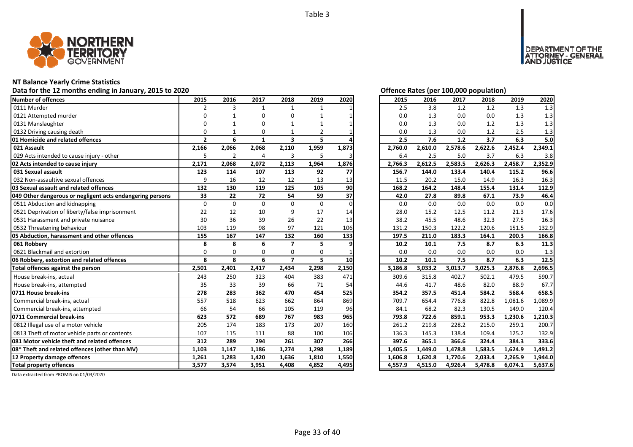

## **NT Balance Yearly Crime Statistics**

## Data for the 12 months ending in January, 2015 to 2020<br> **Data for the 12 months ending in January, 2015 to 2020**

| Number of offences                                        | 2015           | 2016           | 2017         | 2018                    | 2019         | 2020     | 2015    | 2016    | 2017    | 2018    | 2019    | 2020    |
|-----------------------------------------------------------|----------------|----------------|--------------|-------------------------|--------------|----------|---------|---------|---------|---------|---------|---------|
| 0111 Murder                                               | 2              | 3              | $\mathbf{1}$ | $\mathbf{1}$            | $\mathbf{1}$ |          | 2.5     | 3.8     | 1.2     | 1.2     | 1.3     | 1.3     |
| 0121 Attempted murder                                     | $\Omega$       |                | n            | U                       |              |          | 0.0     | 1.3     | 0.0     | 0.0     | 1.3     | 1.3     |
| 0131 Manslaughter                                         |                |                |              |                         |              |          | 0.0     | 1.3     | 0.0     | 1.2     | 1.3     | 1.3     |
| 0132 Driving causing death                                | 0              |                | $\Omega$     |                         | 2            |          | 0.0     | 1.3     | 0.0     | 1.2     | 2.5     | 1.3     |
| 01 Homicide and related offences                          | $\overline{2}$ | 6              | $\mathbf{1}$ | $\overline{\mathbf{3}}$ | 5            |          | 2.5     | 7.6     | 1.2     | 3.7     | 6.3     | 5.0     |
| 021 Assault                                               | 2,166          | 2,066          | 2,068        | 2,110                   | 1,959        | 1,873    | 2,760.0 | 2,610.0 | 2,578.6 | 2,622.6 | 2,452.4 | 2,349.1 |
| 029 Acts intended to cause injury - other                 | 5              | $\overline{2}$ | 4            | 3                       | 5            |          | 6.4     | 2.5     | 5.0     | 3.7     | 6.3     | 3.8     |
| 02 Acts intended to cause injury                          | 2,171          | 2,068          | 2,072        | 2,113                   | 1,964        | 1,876    | 2,766.3 | 2,612.5 | 2,583.5 | 2,626.3 | 2,458.7 | 2,352.9 |
| 031 Sexual assault                                        | 123            | 114            | 107          | 113                     | 92           | 77       | 156.7   | 144.0   | 133.4   | 140.4   | 115.2   | 96.6    |
| 032 Non-assaultive sexual offences                        | 9              | 16             | 12           | 12                      | 13           | 13       | 11.5    | 20.2    | 15.0    | 14.9    | 16.3    | 16.3    |
| 03 Sexual assault and related offences                    | 132            | 130            | 119          | 125                     | 105          | 90       | 168.2   | 164.2   | 148.4   | 155.4   | 131.4   | 112.9   |
| 049 Other dangerous or negligent acts endangering persons | 33             | 22             | 72           | 54                      | 59           | 37       | 42.0    | 27.8    | 89.8    | 67.1    | 73.9    | 46.4    |
| 0511 Abduction and kidnapping                             | $\Omega$       | $\Omega$       | $\Omega$     | $\Omega$                | $\mathbf{0}$ | $\Omega$ | 0.0     | 0.0     | 0.0     | 0.0     | 0.0     | 0.0     |
| 0521 Deprivation of liberty/false imprisonment            | 22             | 12             | 10           | 9                       | 17           | 14       | 28.0    | 15.2    | 12.5    | 11.2    | 21.3    | 17.6    |
| 0531 Harassment and private nuisance                      | 30             | 36             | 39           | 26                      | 22           | 13       | 38.2    | 45.5    | 48.6    | 32.3    | 27.5    | 16.3    |
| 0532 Threatening behaviour                                | 103            | 119            | 98           | 97                      | 121          | 106      | 131.2   | 150.3   | 122.2   | 120.6   | 151.5   | 132.9   |
| 05 Abduction, harassment and other offences               | 155            | 167            | 147          | 132                     | 160          | 133      | 197.5   | 211.0   | 183.3   | 164.1   | 200.3   | 166.8   |
| 061 Robberv                                               | 8              | 8              | 6            | $\overline{ }$          | 5            | ٩        | 10.2    | 10.1    | 7.5     | 8.7     | 6.3     | 11.3    |
| 0621 Blackmail and extortion                              | $\Omega$       | $\Omega$       | $\Omega$     | $\Omega$                | $\Omega$     |          | 0.0     | 0.0     | 0.0     | 0.0     | 0.0     | 1.3     |
| 06 Robbery, extortion and related offences                | 8              | 8              | 6            | $\overline{ }$          | 5            | 10       | 10.2    | 10.1    | 7.5     | 8.7     | 6.3     | 12.5    |
| Total offences against the person                         | 2,501          | 2,401          | 2,417        | 2,434                   | 2,298        | 2,150    | 3,186.8 | 3,033.2 | 3,013.7 | 3,025.3 | 2,876.8 | 2,696.5 |
| House break-ins, actual                                   | 243            | 250            | 323          | 404                     | 383          | 471      | 309.6   | 315.8   | 402.7   | 502.1   | 479.5   | 590.7   |
| House break-ins, attempted                                | 35             | 33             | 39           | 66                      | 71           | 54       | 44.6    | 41.7    | 48.6    | 82.0    | 88.9    | 67.7    |
| 0711 House break-ins                                      | 278            | 283            | 362          | 470                     | 454          | 525      | 354.2   | 357.5   | 451.4   | 584.2   | 568.4   | 658.5   |
| Commercial break-ins, actual                              | 557            | 518            | 623          | 662                     | 864          | 869      | 709.7   | 654.4   | 776.8   | 822.8   | 1,081.6 | 1,089.9 |
| Commercial break-ins, attempted                           | 66             | 54             | 66           | 105                     | 119          | 96       | 84.1    | 68.2    | 82.3    | 130.5   | 149.0   | 120.4   |
| 0711 Commercial break-ins                                 | 623            | 572            | 689          | 767                     | 983          | 965      | 793.8   | 722.6   | 859.1   | 953.3   | 1,230.6 | 1,210.3 |
| 0812 Illegal use of a motor vehicle                       | 205            | 174            | 183          | 173                     | 207          | 160      | 261.2   | 219.8   | 228.2   | 215.0   | 259.1   | 200.7   |
| 0813 Theft of motor vehicle parts or contents             | 107            | 115            | 111          | 88                      | 100          | 106      | 136.3   | 145.3   | 138.4   | 109.4   | 125.2   | 132.9   |
| 081 Motor vehicle theft and related offences              | 312            | 289            | 294          | 261                     | 307          | 266      | 397.6   | 365.1   | 366.6   | 324.4   | 384.3   | 333.6   |
| 08* Theft and related offences (other than MV)            | 1,103          | 1,147          | 1,186        | 1,274                   | 1,298        | 1,189    | 1,405.5 | 1,449.0 | 1,478.8 | 1,583.5 | 1,624.9 | 1,491.2 |
| 12 Property damage offences                               | 1,261          | 1,283          | 1,420        | 1,636                   | 1,810        | 1,550    | 1,606.8 | 1,620.8 | 1,770.6 | 2,033.4 | 2,265.9 | 1,944.0 |
|                                                           | 3,577          | 3,574          | 3,951        | 4,408                   | 4,852        | 4,495    | 4,557.9 | 4,515.0 | 4,926.4 | 5,478.8 | 6,074.1 | 5,637.6 |

DEPARTMENT OF THE<br>ATTORNEY - GENERAL<br>AND JUSTICE

| 2015    | 2016    | 2017    | 2018    | 2019    | 2020    |
|---------|---------|---------|---------|---------|---------|
| 2.5     | 3.8     | 1.2     | 1.2     | 1.3     | 1.3     |
| 0.0     | 1.3     | 0.0     | 0.0     | 1.3     | 1.3     |
| 0.0     | 1.3     | 0.0     | 1.2     | 1.3     | 1.3     |
| 0.0     | 1.3     | 0.0     | 1.2     | 2.5     | 1.3     |
| 2.5     | 7.6     | 1.2     | 3.7     | 6.3     | 5.0     |
| 2,760.0 | 2,610.0 | 2,578.6 | 2,622.6 | 2,452.4 | 2,349.1 |
| 6.4     | 2.5     | 5.0     | 3.7     | 6.3     | 3.8     |
| 2,766.3 | 2,612.5 | 2,583.5 | 2,626.3 | 2,458.7 | 2,352.9 |
| 156.7   | 144.0   | 133.4   | 140.4   | 115.2   | 96.6    |
| 11.5    | 20.2    | 15.0    | 14.9    | 16.3    | 16.3    |
| 168.2   | 164.2   | 148.4   | 155.4   | 131.4   | 112.9   |
| 42.0    | 27.8    | 89.8    | 67.1    | 73.9    | 46.4    |
| 0.0     | 0.0     | 0.0     | 0.0     | 0.0     | 0.0     |
| 28.0    | 15.2    | 12.5    | 11.2    | 21.3    | 17.6    |
| 38.2    | 45.5    | 48.6    | 32.3    | 27.5    | 16.3    |
| 131.2   | 150.3   | 122.2   | 120.6   | 151.5   | 132.9   |
| 197.5   | 211.0   | 183.3   | 164.1   | 200.3   | 166.8   |
| 10.2    | 10.1    | 7.5     | 8.7     | 6.3     | 11.3    |
| 0.0     | 0.0     | 0.0     | 0.0     | 0.0     | 1.3     |
| 10.2    | 10.1    | 7.5     | 8.7     | 6.3     | 12.5    |
| 3,186.8 | 3,033.2 | 3,013.7 | 3,025.3 | 2,876.8 | 2,696.5 |
| 309.6   | 315.8   | 402.7   | 502.1   | 479.5   | 590.7   |
| 44.6    | 41.7    | 48.6    | 82.0    | 88.9    | 67.7    |
| 354.2   | 357.5   | 451.4   | 584.2   | 568.4   | 658.5   |
| 709.7   | 654.4   | 776.8   | 822.8   | 1,081.6 | 1,089.9 |
| 84.1    | 68.2    | 82.3    | 130.5   | 149.0   | 120.4   |
| 793.8   | 722.6   | 859.1   | 953.3   | 1,230.6 | 1,210.3 |
| 261.2   | 219.8   | 228.2   | 215.0   | 259.1   | 200.7   |
| 136.3   | 145.3   | 138.4   | 109.4   | 125.2   | 132.9   |
| 397.6   | 365.1   | 366.6   | 324.4   | 384.3   | 333.6   |
| 1,405.5 | 1,449.0 | 1,478.8 | 1,583.5 | 1,624.9 | 1,491.2 |
| 1,606.8 |         |         |         |         |         |
|         | 1,620.8 | 1,770.6 | 2,033.4 | 2,265.9 | 1,944.0 |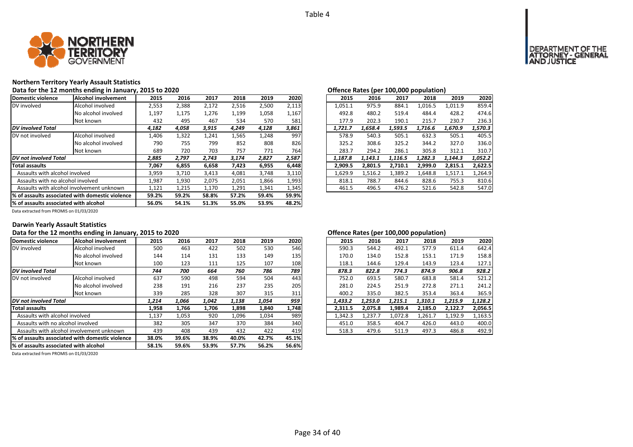

## **Northern Territory Yearly Assault Statistics**

Data for the 12 months ending in January, 2015 to 2020<br> **Data for the 12 months ending in January, 2015 to 2020** 

| Domestic violence                     | Alcohol involvement                              | 2015  | 2016  | 2017  | 2018  | 2019  | 2020  | 2015    | 2016    | 2017    | 2018    | 2019    | 2020    |
|---------------------------------------|--------------------------------------------------|-------|-------|-------|-------|-------|-------|---------|---------|---------|---------|---------|---------|
| DV involved                           | Alcohol involved                                 | 2,553 | 2,388 | 2,172 | 2,516 | 2,500 | 2,113 | 1,051.1 | 975.9   | 884.1   | 1,016.5 | 1,011.9 | 859.4   |
|                                       | No alcohol involved                              | 1,197 | 1,175 | 1,276 | 1,199 | 1,058 | 1,167 | 492.8   | 480.2   | 519.4   | 484.4   | 428.2   | 474.6   |
|                                       | Not known                                        | 432   | 495   | 467   | 534   | 570   | 581   | 177.9   | 202.3   | 190.1   | 215.7   | 230.7   | 236.3   |
| <b>DV</b> involved Total              |                                                  | 4,182 | 4,058 | 3,915 | 4,249 | 4,128 | 3,861 | 1,721.7 | 1,658.4 | 1,593.5 | 1,716.6 | 1,670.9 | 1,570.3 |
| DV not involved                       | Alcohol involved                                 | 1,406 | 1,322 | 1,241 | 1,565 | 1,248 | 997   | 578.9   | 540.3   | 505.1   | 632.3   | 505.1   | 405.5   |
|                                       | No alcohol involved                              | 790   | 755   | 799   | 852   | 808   | 826   | 325.2   | 308.6   | 325.2   | 344.2   | 327.0   | 336.0   |
|                                       | Not known                                        | 689   | 720   | 703   | 757   | 771   | 764   | 283.7   | 294.2   | 286.1   | 305.8   | 312.1   | 310.7   |
| <b>DV</b> not involved Total          |                                                  | 2,885 | 2,797 | 2,743 | 3,174 | 2,827 | 2,587 | 1,187.8 | 1,143.1 | 1,116.5 | 1,282.3 | 1,144.3 | 1,052.2 |
| Total assaults                        |                                                  | 7,067 | 6,855 | 6,658 | 7,423 | 6,955 | 6,448 | 2,909.5 | 2,801.5 | 2,710.1 | 2,999.0 | 2,815.1 | 2,622.5 |
| Assaults with alcohol involved        |                                                  | 3,959 | 3,710 | 3,413 | 4,081 | 3,748 | 3,110 | 1,629.9 | 1,516.2 | 1,389.2 | 1,648.8 | 1,517.1 | 1,264.9 |
| Assaults with no alcohol involved     |                                                  | 1,987 | 1,930 | 2,075 | 2,051 | 1,866 | 1,993 | 818.1   | 788.7   | 844.6   | 828.6   | 755.3   | 810.6   |
|                                       | Assaults with alcohol involvement unknown        | 1,121 | 1,215 | 1,170 | 1,291 | 1,341 | 1,345 | 461.5   | 496.5   | 476.2   | 521.6   | 542.8   | 547.0   |
|                                       | 1% of assaults associated with domestic violence | 59.2% | 59.2% | 58.8% | 57.2% | 59.4% | 59.9% |         |         |         |         |         |         |
| % of assaults associated with alcohol |                                                  | 56.0% | 54.1% | 51.3% | 55.0% | 53.9% | 48.2% |         |         |         |         |         |         |

| 2015    | 2016    | 2017    | 2018    | 2019    | 2020    |
|---------|---------|---------|---------|---------|---------|
| 1.051.1 | 975.9   | 884.1   | 1.016.5 | 1,011.9 | 859.4   |
| 492.8   | 480.2   | 519.4   | 484.4   | 428.2   | 474.6   |
| 177.9   | 202.3   | 190.1   | 215.7   | 230.7   | 236.3   |
| 1,721.7 | 1.658.4 | 1.593.5 | 1.716.6 | 1.670.9 | 1.570.3 |
| 578.9   | 540.3   | 505.1   | 632.3   | 505.1   | 405.5   |
| 325.2   | 308.6   | 325.2   | 344.2   | 327.0   | 336.0   |
| 283.7   | 294.2   | 286.1   | 305.8   | 312.1   | 310.7   |
| 1.187.8 | 1.143.1 | 1.116.5 | 1.282.3 | 1.144.3 | 1.052.2 |
| 2,909.5 | 2,801.5 | 2,710.1 | 2,999.0 | 2,815.1 | 2,622.5 |
| 1.629.9 | 1,516.2 | 1,389.2 | 1.648.8 | 1,517.1 | 1,264.9 |
| 818.1   | 788.7   | 844.6   | 828.6   | 755.3   | 810.6   |
| 461.5   | 496.5   | 476.2   | 521.6   | 542.8   | 547.0   |

Data extracted from PROMIS on 01/03/2020

#### **Darwin Yearly Assault Statistics**

### Data for the 12 months ending in January, 2015 to 2020<br> **Data for the 12 months ending in January, 2015 to 2020**

| Domestic violence                     | Alcohol involvement                              | 2015  | 2016  | 2017  | 2018  | 2019  | 2020  | 2015    | 2016    | 2017    | 2018    | 2019    | 2020    |
|---------------------------------------|--------------------------------------------------|-------|-------|-------|-------|-------|-------|---------|---------|---------|---------|---------|---------|
| DV involved                           | Alcohol involved                                 | 500   | 463   | 422   | 502   | 530   | 546   | 590.3   | 544.2   | 492.1   | 577.9   | 611.4   | 642.4   |
|                                       | No alcohol involved                              | 144   | 114   | 131   | 133   | 149   | 135   | 170.0   | 134.0   | 152.8   | 153.1   | 171.9   | 158.8   |
|                                       | Not known                                        | 100   | 123   | 111   | 125   | 107   | 108   | 118.1   | 144.6   | 129.4   | 143.9   | 123.4   | 127.1   |
| DV involved Total                     |                                                  | 744   | 700   | 664   | 760   | 786   | 789   | 878.3   | 822.8   | 774.3   | 874.9   | 906.8   | 928.2   |
| DV not involved                       | Alcohol involved                                 | 637   | 590   | 498   | 594   | 504   | 443   | 752.0   | 693.5   | 580.7   | 683.8   | 581.4   | 521.2   |
|                                       | No alcohol involved                              | 238   | 191   | 216   | 237   | 235   | 205   | 281.0   | 224.5   | 251.9   | 272.8   | 271.1   | 241.2   |
|                                       | Not known                                        | 339   | 285   | 328   | 307   | 315   | 311   | 400.2   | 335.0   | 382.5   | 353.4   | 363.4   | 365.9   |
| DV not involved Total                 |                                                  | 1,214 | 1,066 | 1,042 | 1,138 | 1,054 | 959   | 1,433.2 | 1,253.0 | 1.215.1 | 1,310.1 | 1,215.9 | 1,128.2 |
| <b>Total assaults</b>                 |                                                  | 1,958 | 1,766 | 1,706 | 1,898 | 1,840 | 1,748 | 2,311.5 | 2,075.8 | 1.989.4 | 2,185.0 | 2.122.7 | 2,056.5 |
| Assaults with alcohol involved        |                                                  | 1,137 | 1,053 | 920   | 1,096 | 1,034 | 989   | 1,342.3 | 1,237.7 | 1,072.8 | 1,261.7 | 1,192.9 | 1,163.5 |
| Assaults with no alcohol involved     |                                                  | 382   | 305   | 347   | 370   | 384   | 340   | 451.0   | 358.5   | 404.7   | 426.0   | 443.0   | 400.0   |
|                                       | Assaults with alcohol involvement unknown        | 439   | 408   | 439   | 432   | 422   | 419   | 518.3   | 479.6   | 511.9   | 497.3   | 486.8   | 492.9   |
|                                       | 1% of assaults associated with domestic violence | 38.0% | 39.6% | 38.9% | 40.0% | 42.7% | 45.1% |         |         |         |         |         |         |
| % of assaults associated with alcohol |                                                  | 58.1% | 59.6% | 53.9% | 57.7% | 56.2% | 56.6% |         |         |         |         |         |         |
|                                       |                                                  |       |       |       |       |       |       |         |         |         |         |         |         |

| 2015    | 2016    | 2017    | 2018    | 2019    | 2020    |
|---------|---------|---------|---------|---------|---------|
| 590.3   | 544.2   | 492.1   | 577.9   | 611.4   | 642.4   |
| 170.0   | 134.0   | 152.8   | 153.1   | 171.9   | 158.8   |
| 118.1   | 144.6   | 129.4   | 143.9   | 123.4   | 127.1   |
| 878.3   | 822.8   | 774.3   | 874.9   | 906.8   | 928.2   |
| 752.0   | 693.5   | 580.7   | 683.8   | 581.4   | 521.2   |
| 281.0   | 224.5   | 251.9   | 272.8   | 271.1   | 241.2   |
| 400.2   | 335.0   | 382.5   | 353.4   | 363.4   | 365.9   |
| 1.433.2 | 1.253.0 | 1.215.1 | 1.310.1 | 1.215.9 | 1.128.2 |
| 2,311.5 | 2,075.8 | 1,989.4 | 2,185.0 | 2,122.7 | 2,056.5 |
| 1,342.3 | 1,237.7 | 1,072.8 | 1,261.7 | 1,192.9 | 1,163.5 |
| 451.0   | 358.5   | 404.7   | 426.0   | 443.0   | 400.0   |
| 518.3   | 479.6   | 511.9   | 497.3   | 486.8   | 492.9   |
|         |         |         |         |         |         |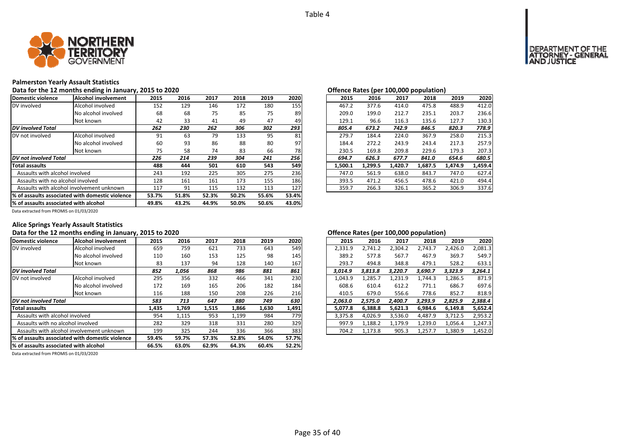

#### **Palmerston Yearly Assault Statistics**

#### Data for the 12 months ending in January, 2015 to 2020<br> **Data for the 12 months ending in January, 2015 to 2020**

| Domestic violence                     | <b>Alcohol involvement</b>                                                                                             | 2015  | 2016  | 2017  | 2018  | 2019  | 2020  | 2015    | 2016    | 2017    | 2018    | 2019    | 2020    |
|---------------------------------------|------------------------------------------------------------------------------------------------------------------------|-------|-------|-------|-------|-------|-------|---------|---------|---------|---------|---------|---------|
| DV involved                           | Alcohol involved                                                                                                       | 152   | 129   | 146   | 172   | 180   | 155   | 467.2   | 377.6   | 414.0   | 475.8   | 488.9   | 412.0   |
|                                       | No alcohol involved                                                                                                    | 68    | 68    | 75    | 85    | 75    | 89    | 209.0   | 199.0   | 212.7   | 235.1   | 203.7   | 236.6   |
|                                       | Not known                                                                                                              | 42    | 33    | 41    | 49    | 47    | 49    | 129.1   | 96.6    | 116.3   | 135.6   | 127.7   | 130.3   |
| <b>DV</b> involved Total              |                                                                                                                        | 262   | 230   | 262   | 306   | 302   | 293   | 805.4   | 673.2   | 742.9   | 846.5   | 820.3   | 778.9   |
| DV not involved                       | Alcohol involved                                                                                                       | 91    | 63    | 79    | 133   | 95    | 81    | 279.7   | 184.4   | 224.0   | 367.9   | 258.0   | 215.3   |
|                                       | No alcohol involved                                                                                                    | 60    | 93    | 86    | 88    | 80    | 97    | 184.4   | 272.2   | 243.9   | 243.4   | 217.3   | 257.9   |
|                                       | Not known                                                                                                              | 75    | 58    | 74    | 83    | 66    | 78    | 230.5   | 169.8   | 209.8   | 229.6   | 179.3   | 207.3   |
| DV not involved Total                 |                                                                                                                        | 226   | 214   | 239   | 304   | 241   | 256   | 694.7   | 626.3   | 677.7   | 841.0   | 654.6   | 680.5   |
| <b>Total assaults</b>                 |                                                                                                                        | 488   | 444   | 501   | 610   | 543   | 549   | 1,500.1 | 1,299.5 | 1,420.7 | 1,687.5 | 1,474.9 | 1,459.4 |
| Assaults with alcohol involved        |                                                                                                                        | 243   | 192   | 225   | 305   | 275   | 236   | 747.0   | 561.9   | 638.0   | 843.7   | 747.0   | 627.4   |
| Assaults with no alcohol involved     |                                                                                                                        | 128   | 161   | 161   | 173   | 155   | 186   | 393.5   | 471.2   | 456.5   | 478.6   | 421.0   | 494.4   |
|                                       | 132<br>127<br>91<br>113<br>359.7<br>266.3<br>Assaults with alcohol involvement unknown<br>117<br>115<br>326.1<br>365.2 |       | 306.9 | 337.6 |       |       |       |         |         |         |         |         |         |
|                                       | % of assaults associated with domestic violence                                                                        | 53.7% | 51.8% | 52.3% | 50.2% | 55.6% | 53.4% |         |         |         |         |         |         |
| % of assaults associated with alcohol |                                                                                                                        | 49.8% | 43.2% | 44.9% | 50.0% | 50.6% | 43.0% |         |         |         |         |         |         |

|                |      |      |      |      |      |  |         | $\mathbf{r}$ |         | .       |         |         |
|----------------|------|------|------|------|------|--|---------|--------------|---------|---------|---------|---------|
| .5             | 2016 | 2017 | 2018 | 2019 | 2020 |  | 2015    | 2016         | 2017    | 2018    | 2019    | 2020    |
| 52             | 129  | 146  | 172  | 180  | 155  |  | 467.2   | 377.6        | 414.0   | 475.8   | 488.9   | 412.0   |
| 58             | 68   | 75   | 85   | 75   | 89   |  | 209.0   | 199.0        | 212.7   | 235.1   | 203.7   | 236.6   |
| 12             | 33   | 41   | 49   | 47   | 49   |  | 129.1   | 96.6         | 116.3   | 135.6   | 127.7   | 130.3   |
| 2              | 230  | 262  | 306  | 302  | 293  |  | 805.4   | 673.2        | 742.9   | 846.5   | 820.3   | 778.9   |
| $\overline{1}$ | 63   | 79   | 133  | 95   | 81   |  | 279.7   | 184.4        | 224.0   | 367.9   | 258.0   | 215.3   |
| òб             | 93   | 86   | 88   | 80   | 97   |  | 184.4   | 272.2        | 243.9   | 243.4   | 217.3   | 257.9   |
| '5             | 58   | 74   | 83   | 66   | 78   |  | 230.5   | 169.8        | 209.8   | 229.6   | 179.3   | 207.3   |
| 6              | 214  | 239  | 304  | 241  | 256  |  | 694.7   | 626.3        | 677.7   | 841.0   | 654.6   | 680.5   |
| 8              | 444  | 501  | 610  | 543  | 549  |  | 1.500.1 | 1,299.5      | 1,420.7 | 1,687.5 | 1,474.9 | 1,459.4 |
| IЗ             | 192  | 225  | 305  | 275  | 236  |  | 747.0   | 561.9        | 638.0   | 843.7   | 747.0   | 627.4   |
| 28             | 161  | 161  | 173  | 155  | 186  |  | 393.5   | 471.2        | 456.5   | 478.6   | 421.0   | 494.4   |
|                | 91   | 115  | 132  | 113  | 127  |  | 359.7   | 266.3        | 326.1   | 365.2   | 306.9   | 337.6   |
|                |      |      |      |      |      |  |         |              |         |         |         |         |

Data extracted from PROMIS on 01/03/2020

### **Alice Springs Yearly Assault Statistics**

## Data for the 12 months ending in January, 2015 to 2020<br> **Data for the 12 months ending in January, 2015 to 2020**

| Domestic violence                     | Alcohol involvement                             | 2015  | 2016  | 2017  | 2018  | 2019  | 2020  | 2015    | 2016    | 2017    | 2018    | 2019    | 2020    |
|---------------------------------------|-------------------------------------------------|-------|-------|-------|-------|-------|-------|---------|---------|---------|---------|---------|---------|
| DV involved                           | Alcohol involved                                | 659   | 759   | 621   | 733   | 643   | 549   | 2,331.9 | 2.741.2 | 2,304.2 | 2.743.7 | 2,426.0 | 2,081.3 |
|                                       | No alcohol involved                             | 110   | 160   | 153   | 125   | 98    | 145   | 389.2   | 577.8   | 567.7   | 467.9   | 369.7   | 549.7   |
|                                       | Not known                                       | 83    | 137   | 94    | 128   | 140   | 167   | 293.7   | 494.8   | 348.8   | 479.1   | 528.2   | 633.1   |
| <b>DV</b> involved Total              |                                                 | 852   | 1,056 | 868   | 986   | 881   | 861   | 3.014.9 | 3.813.8 | 3.220.7 | 3.690.7 | 3,323.9 | 3,264.1 |
| DV not involved                       | Alcohol involved                                | 295   | 356   | 332   | 466   | 341   | 230   | 1,043.9 | 1,285.7 | 1,231.9 | 1.744.3 | 1,286.5 | 871.9   |
|                                       | No alcohol involved                             | 172   | 169   | 165   | 206   | 182   | 184   | 608.6   | 610.4   | 612.2   | 771.1   | 686.7   | 697.6   |
|                                       | Not known                                       | 116   | 188   | 150   | 208   | 226   | 216   | 410.5   | 679.0   | 556.6   | 778.6   | 852.7   | 818.9   |
| DV not involved Total                 |                                                 | 583   | 713   | 647   | 880   | 749   | 630   | 2.063.0 | 2.575.0 | 2.400.7 | 3.293.9 | 2,825.9 |         |
| <b>Total assaults</b>                 |                                                 | 1,435 | 1,769 | 1,515 | 1,866 | 1,630 | 1,491 | 5,077.8 | 6.388.8 | 5.621.3 | 6,984.6 | 6,149.8 | 5,652.4 |
| Assaults with alcohol involved        |                                                 | 954   | 1,115 | 953   | 1,199 | 984   | 779   | 3,375.8 | 4,026.9 | 3,536.0 | 4,487.9 | 3,712.5 | 2,953.2 |
| Assaults with no alcohol involved     |                                                 | 282   | 329   | 318   | 331   | 280   | 329   | 997.9   | 1,188.2 | 1,179.9 | 1,239.0 | 1,056.4 | 1,247.3 |
|                                       | Assaults with alcohol involvement unknown       |       | 325   | 244   | 336   | 366   | 383   | 704.2   | 1,173.8 | 905.3   | 1,257.7 | 1,380.9 | 1,452.0 |
|                                       | % of assaults associated with domestic violence | 59.4% | 59.7% | 57.3% | 52.8% | 54.0% | 57.7% |         |         |         |         |         |         |
| % of assaults associated with alcohol |                                                 | 66.5% | 63.0% | 62.9% | 64.3% | 60.4% | 52.2% |         |         |         |         |         |         |

| 2015    | 2016    | 2017    | 2018    | 2019    | 2020    |
|---------|---------|---------|---------|---------|---------|
| 2,331.9 | 2,741.2 | 2,304.2 | 2,743.7 | 2,426.0 | 2,081.3 |
| 389.2   | 577.8   | 567.7   | 467.9   | 369.7   | 549.7   |
| 293.7   | 494.8   | 348.8   | 479.1   | 528.2   | 633.1   |
| 3.014.9 | 3,813.8 | 3,220.7 | 3,690.7 | 3,323.9 | 3.264.1 |
| 1,043.9 | 1,285.7 | 1,231.9 | 1,744.3 | 1,286.5 | 871.9   |
| 608.6   | 610.4   | 612.2   | 771.1   | 686.7   | 697.6   |
| 410.5   | 679.0   | 556.6   | 778.6   | 852.7   | 818.9   |
| 2,063.0 | 2,575.0 | 2,400.7 | 3,293.9 | 2,825.9 | 2,388.4 |
| 5,077.8 | 6,388.8 | 5,621.3 | 6,984.6 | 6,149.8 | 5,652.4 |
| 3,375.8 | 4,026.9 | 3,536.0 | 4,487.9 | 3,712.5 | 2,953.2 |
| 997.9   | 1,188.2 | 1.179.9 | 1,239.0 | 1,056.4 | 1,247.3 |
| 704.2   | 1,173.8 | 905.3   | 1,257.7 | 1,380.9 | 1,452.0 |
|         |         |         |         |         |         |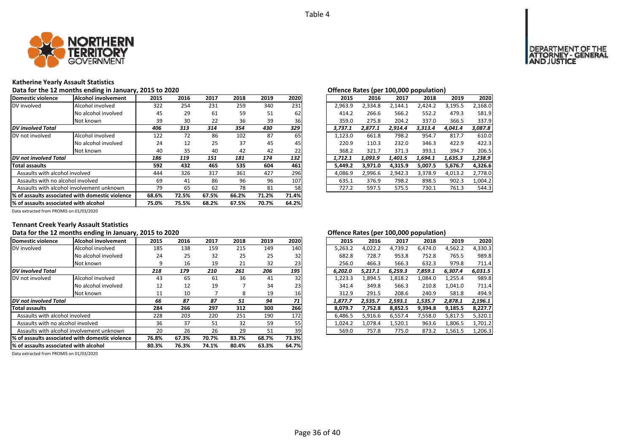

#### **Katherine Yearly Assault Statistics**

Data for the 12 months ending in January, 2015 to 2020<br> **Data for the 12 months ending in January, 2015 to 2020** 

| Domestic violence                 | Alcohol involvement                                                                          | 2015  | 2016  | 2017  | 2018  | 2019  | 2020  | 2015    | 2016    | 2017    | 2018    | 2019    | 2020    |
|-----------------------------------|----------------------------------------------------------------------------------------------|-------|-------|-------|-------|-------|-------|---------|---------|---------|---------|---------|---------|
| DV involved                       | Alcohol involved                                                                             | 322   | 254   | 231   | 259   | 340   | 231   | 2,963.9 | 2,334.8 | 2,144.1 | 2,424.2 | 3,195.5 | 2,168.0 |
|                                   | No alcohol involved                                                                          | 45    | 29    | 61    | 59    | 51    | 62    | 414.2   | 266.6   | 566.2   | 552.2   | 479.3   | 581.9   |
|                                   | Not known                                                                                    | 39    | 30    | 22    | 36    | 39    | 36    | 359.0   | 275.8   | 204.2   | 337.0   | 366.5   | 337.9   |
| <b>DV</b> involved Total          |                                                                                              | 406   | 313   | 314   | 354   | 430   | 329   | 3,737.1 | 2,877.1 | 2,914.4 | 3,313.4 | 4,041.4 | 3,087.8 |
| DV not involved                   | Alcohol involved                                                                             | 122   | 72    | 86    | 102   | 87    | 65    | 1,123.0 | 661.8   | 798.2   | 954.7   | 817.7   | 610.0   |
|                                   | No alcohol involved                                                                          | 24    | 12    | 25    | 37    | 45    | 45    | 220.9   | 110.3   | 232.0   | 346.3   | 422.9   | 422.3   |
|                                   | Not known                                                                                    | 40    | 35    | 40    | 42    | 42    | 22    | 368.2   | 321.7   | 371.3   | 393.1   | 394.7   | 206.5   |
| <b>DV</b> not involved Total      |                                                                                              | 186   | 119   | 151   | 181   | 174   | 132   | 1,712.1 | 1,093.9 | 1,401.5 | 1,694.1 | 1,635.3 | 1,238.9 |
| <b>Total assaults</b>             |                                                                                              | 592   | 432   | 465   | 535   | 604   | 461   | 5,449.2 | 3,971.0 | 4,315.9 | 5,007.5 | 5,676.7 | 4,326.6 |
| Assaults with alcohol involved    |                                                                                              | 444   | 326   | 317   | 361   | 427   | 296   | 4,086.9 | 2,996.6 | 2,942.3 | 3,378.9 | 4,013.2 | 2,778.0 |
| Assaults with no alcohol involved |                                                                                              | 69    | 41    | 86    | 96    | 96    | 107   | 635.1   | 376.9   | 798.2   | 898.5   | 902.3   | 1,004.2 |
|                                   | Assaults with alcohol involvement unknown                                                    | 79    | 65    | 62    | 78    | 81    | 58    | 727.2   | 597.5   | 575.5   | 730.1   | 761.3   | 544.3   |
|                                   | 1% of assaults associated with domestic violence                                             | 68.6% | 72.5% | 67.5% | 66.2% | 71.2% | 71.4% |         |         |         |         |         |         |
|                                   | 64.2%<br>68.2%<br>67.5%<br>70.7%<br>1% of assaults associated with alcohol<br>75.0%<br>75.5% |       |       |       |       |       |       |         |         |         |         |         |         |

|                |      |      |      |      |      | œ<br>r - r - - |         |         |         |         |         |         |
|----------------|------|------|------|------|------|----------------|---------|---------|---------|---------|---------|---------|
| .5             | 2016 | 2017 | 2018 | 2019 | 2020 |                | 2015    | 2016    | 2017    | 2018    | 2019    | 2020    |
| $\overline{2}$ | 254  | 231  | 259  | 340  | 231  |                | 2.963.9 | 2.334.8 | 2.144.1 | 2.424.2 | 3.195.5 | 2,168.0 |
| 15             | 29   | 61   | 59   | 51   | 62   |                | 414.2   | 266.6   | 566.2   | 552.2   | 479.3   | 581.9   |
| 9؛             | 30   | 22   | 36   | 39   | 36   |                | 359.0   | 275.8   | 204.2   | 337.0   | 366.5   | 337.9   |
| 6              | 313  | 314  | 354  | 430  | 329  |                | 3.737.1 | 2,877.1 | 2.914.4 | 3,313.4 | 4.041.4 | 3,087.8 |
| $\overline{2}$ | 72   | 86   | 102  | 87   | 65   |                | 1,123.0 | 661.8   | 798.2   | 954.7   | 817.7   | 610.0   |
| 24             | 12   | 25   | 37   | 45   | 45   |                | 220.9   | 110.3   | 232.0   | 346.3   | 422.9   | 422.3   |
| ŀO             | 35   | 40   | 42   | 42   | 22   |                | 368.2   | 321.7   | 371.3   | 393.1   | 394.7   | 206.5   |
| 6              | 119  | 151  | 181  | 174  | 132  |                | 1.712.1 | 1.093.9 | 1.401.5 | 1.694.1 | 1.635.3 | 1,238.9 |
| 12             | 432  | 465  | 535  | 604  | 461  |                | 5.449.2 | 3,971.0 | 4.315.9 | 5,007.5 | 5,676.7 | 4,326.6 |
| 14             | 326  | 317  | 361  | 427  | 296  |                | 4.086.9 | 2,996.6 | 2.942.3 | 3,378.9 | 4.013.2 | 2,778.0 |
| 59             | 41   | 86   | 96   | 96   | 107  |                | 635.1   | 376.9   | 798.2   | 898.5   | 902.3   | 1.004.2 |
| و،             | 65   | 62   | 78   | 81   | 58   |                | 727.2   | 597.5   | 575.5   | 730.1   | 761.3   | 544.3   |
|                |      |      |      |      |      |                |         |         |         |         |         |         |

Data extracted from PROMIS on 01/03/2020

### **Tennant Creek Yearly Assault Statistics**

## Data for the 12 months ending in January, 2015 to 2020<br> **Data for the 12 months ending in January, 2015 to 2020**

| Domestic violence                     | <b>Alcohol involvement</b>                      | 2015  | 2016  | 2017  | 2018  | 2019  | 2020  | 2015    | 2016    | 2017    | 2018    | 2019    | 2020    |
|---------------------------------------|-------------------------------------------------|-------|-------|-------|-------|-------|-------|---------|---------|---------|---------|---------|---------|
| DV involved                           | Alcohol involved                                | 185   | 138   | 159   | 215   | 149   | 140   | 5,263.2 | 4.022.2 | 4,739.2 | 6.474.0 | 4,562.2 | 4,330.3 |
|                                       | No alcohol involved                             | 24    | 25    | 32    | 25    | 25    | 32    | 682.8   | 728.7   | 953.8   | 752.8   | 765.5   | 989.8   |
|                                       | Not known                                       | q     | 16    | 19    | 21    | 32    | 23    | 256.0   | 466.3   | 566.3   | 632.3   | 979.8   | 711.4   |
| <b>DV</b> involved Total              |                                                 | 218   | 179   | 210   | 261   | 206   | 195   | 6.202.0 | 5.217.1 | 6.259.3 | 7,859.1 | 6,307.4 | 6,031.5 |
| DV not involved                       | Alcohol involved                                | 43    | 65    | 61    | 36    | 41    | 32    | 1,223.3 | 1,894.5 | 1,818.2 | 1,084.0 | 1,255.4 | 989.8   |
|                                       | No alcohol involved                             | 12    | 12    | 19    |       | 34    | 23    | 341.4   | 349.8   | 566.3   | 210.8   | 1.041.0 | 711.4   |
|                                       | Not known                                       | 11    | 10    |       | 8     | 19    | 16    | 312.9   | 291.5   | 208.6   | 240.9   | 581.8   | 494.9   |
| DV not involved Total                 |                                                 | 66    | 87    | 87    | 51    | 94    | 71    | 1,877.7 | 2,535.7 | 2,593.1 | 1,535.7 | 2,878.1 | 2,196.1 |
| <b>Total assaults</b>                 |                                                 | 284   | 266   | 297   | 312   | 300   | 266   | 8,079.7 | 7,752.8 | 8,852.5 | 9,394.8 | 9,185.5 | 8,227.7 |
| Assaults with alcohol involved        |                                                 | 228   | 203   | 220   | 251   | 190   | 172   | 6,486.5 | 5,916.6 | 6,557.4 | 7,558.0 | 5,817.5 | 5,320.1 |
| Assaults with no alcohol involved     |                                                 | 36    | 37    | 51    | 32    | 59    | 55    | 1,024.2 | 1.078.4 | 1,520.1 | 963.6   | 1,806.5 | 1,701.2 |
|                                       | Assaults with alcohol involvement unknown       |       | 26    | 26    | 29    | 51    | 39    | 569.0   | 757.8   | 775.0   | 873.2   | 1,561.5 | 1,206.3 |
|                                       | % of assaults associated with domestic violence | 76.8% | 67.3% | 70.7% | 83.7% | 68.7% | 73.3% |         |         |         |         |         |         |
| % of assaults associated with alcohol |                                                 | 80.3% | 76.3% | 74.1% | 80.4% | 63.3% | 64.7% |         |         |         |         |         |         |

|                |      |      |      |      |                 |         |         |         | . .     |         |         |
|----------------|------|------|------|------|-----------------|---------|---------|---------|---------|---------|---------|
| .5             | 2016 | 2017 | 2018 | 2019 | 2020            | 2015    | 2016    | 2017    | 2018    | 2019    | 2020    |
| 35             | 138  | 159  | 215  | 149  | 140             | 5.263.2 | 4.022.2 | 4,739.2 | 6.474.0 | 4,562.2 | 4,330.3 |
| ؛4             | 25   | 32   | 25   | 25   | 32              | 682.8   | 728.7   | 953.8   | 752.8   | 765.5   | 989.8   |
| 9              | 16   | 19   | 21   | 32   | 23              | 256.0   | 466.3   | 566.3   | 632.3   | 979.8   | 711.4   |
| 8              | 179  | 210  | 261  | 206  | 195             | 6.202.0 | 5.217.1 | 6.259.3 | 7.859.1 | 6.307.4 | 6.031.5 |
| ŀЗ             | 65   | 61   | 36   | 41   | 32 <sub>l</sub> | 1,223.3 | 1.894.5 | 1,818.2 | 1.084.0 | 1,255.4 | 989.8   |
| $\overline{2}$ | 12   | 19   |      | 34   | 23              | 341.4   | 349.8   | 566.3   | 210.8   | 1,041.0 | 711.4   |
| .1             | 10   |      | 8    | 19   | 16              | 312.9   | 291.5   | 208.6   | 240.9   | 581.8   | 494.9   |
| 6              | 87   | 87   | 51   | 94   | 71              | 1.877.7 | 2.535.7 | 2.593.1 | 1,535.7 | 2.878.1 | 2.196.1 |
| 14             | 266  | 297  | 312  | 300  | 266             | 8.079.7 | 7.752.8 | 8,852.5 | 9.394.8 | 9,185.5 | 8.227.7 |
| 28             | 203  | 220  | 251  | 190  | 172             | 6.486.5 | 5.916.6 | 6,557.4 | 7.558.0 | 5.817.5 | 5,320.1 |
| 6              | 37   | 51   | 32   | 59   | 55              | 1.024.2 | 1.078.4 | 1.520.1 | 963.6   | 1.806.5 | 1,701.2 |
| 0              | 26   | 26   | 29   | 51   | 39              | 569.0   | 757.8   | 775.0   | 873.2   | 1,561.5 | 1,206.3 |
|                |      |      |      |      |                 |         |         |         |         |         |         |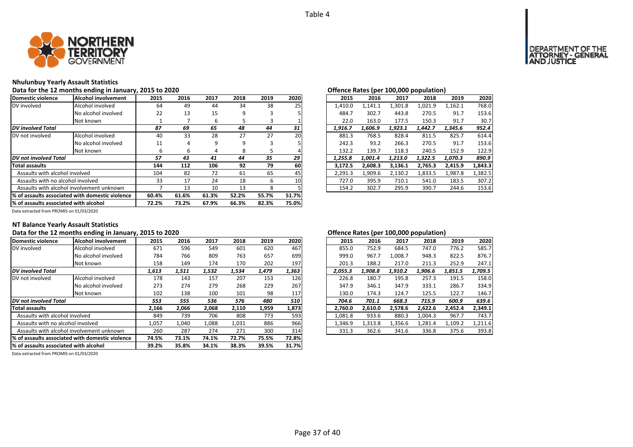

#### **Nhulunbuy Yearly Assault Statistics**

### Data for the 12 months ending in January, 2015 to 2020<br> **Data for the 12 months ending in January, 2015 to 2020**

| Domestic violence                                | Alcohol involvement | 2015  | 2016  | 2017  | 2018  | 2019  | 2020  | 2015    | 2016    | 2017    | 2018    | 2019    | 2020    |
|--------------------------------------------------|---------------------|-------|-------|-------|-------|-------|-------|---------|---------|---------|---------|---------|---------|
| DV involved                                      | Alcohol involved    | 64    | 49    | 44    | 34    | 38    | 25    | 1,410.0 | 1.141.1 | 1,301.8 | 1.021.9 | 1.162.1 | 768.0   |
|                                                  | No alcohol involved | 22    | 13    | 15    | 9     |       |       | 484.7   | 302.7   | 443.8   | 270.5   | 91.7    | 153.6   |
|                                                  | Not known           |       |       | ь     |       | з     |       | 22.0    | 163.0   | 177.5   | 150.3   | 91.7    | 30.7    |
| <b>DV</b> involved Total                         |                     | 87    | 69    | 65    | 48    | 44    | 31    | 1,916.7 | 1,606.9 | 1,923.1 | 1,442.7 | 1.345.6 | 952.4   |
| DV not involved                                  | Alcohol involved    | 40    | 33    | 28    | 27    | 27    | 20    | 881.3   | 768.5   | 828.4   | 811.5   | 825.7   | 614.4   |
|                                                  | No alcohol involved | 11    | 4     | 9     | 9     |       |       | 242.3   | 93.2    | 266.3   | 270.5   | 91.7    | 153.6   |
|                                                  | Not known           | ь     | 6     | 4     | 8     |       |       | 132.2   | 139.7   | 118.3   | 240.5   | 152.9   | 122.9   |
| DV not involved Total                            |                     | 57    | 43    | 41    | 44    | 35    | 29    | 1,255.8 | 1,001.4 | 1,213.0 | 1,322.5 | 1,070.3 | 890.9   |
| <b>Total assaults</b>                            |                     | 144   | 112   | 106   | 92    | 79    | 60    | 3,172.5 | 2.608.3 | 3,136.1 | 2,765.3 | 2,415.9 | 1,843.3 |
| Assaults with alcohol involved                   |                     | 104   | 82    | 72    | 61    | 65    | 45    | 2,291.3 | 1,909.6 | 2,130.2 | 1,833.5 | 1,987.8 | 1,382.5 |
| Assaults with no alcohol involved                |                     | 33    | 17    | 24    | 18    | 6     | 10    | 727.0   | 395.9   | 710.1   | 541.0   | 183.5   | 307.2   |
| Assaults with alcohol involvement unknown        |                     |       | 13    | 10    | 13    | 8     |       | 154.2   | 302.7   | 295.9   | 390.7   | 244.6   | 153.6   |
| 1% of assaults associated with domestic violence |                     | 60.4% | 61.6% | 61.3% | 52.2% | 55.7% | 51.7% |         |         |         |         |         |         |
| % of assaults associated with alcohol            |                     | 72.2% | 73.2% | 67.9% | 66.3% | 82.3% | 75.0% |         |         |         |         |         |         |

|    |      |      |      |      |                 |         |         |         | . .     |         |         |
|----|------|------|------|------|-----------------|---------|---------|---------|---------|---------|---------|
| 5  | 2016 | 2017 | 2018 | 2019 | 2020            | 2015    | 2016    | 2017    | 2018    | 2019    | 2020    |
| 54 | 49   | 44   | 34   | 38   | 25              | 1.410.0 | 1.141.1 | 1,301.8 | 1.021.9 | 1,162.1 | 768.0   |
| :2 | 13   | 15   | 9    | 3    |                 | 484.7   | 302.7   | 443.8   | 270.5   | 91.7    | 153.6   |
| 1  |      | 6    | 5    | 3    |                 | 22.0    | 163.0   | 177.5   | 150.3   | 91.7    | 30.7    |
| 7  | 69   | 65   | 48   | 44   | 31              | 1.916.7 | 1.606.9 | 1,923.1 | 1.442.7 | 1.345.6 | 952.4   |
| ١O | 33   | 28   | 27   | 27   | <b>20</b>       | 881.3   | 768.5   | 828.4   | 811.5   | 825.7   | 614.4   |
| .1 | 4    | 9    | 9    |      |                 | 242.3   | 93.2    | 266.3   | 270.5   | 91.7    | 153.6   |
| 6  | 6    | 4    | 8    | 5    | 4               | 132.2   | 139.7   | 118.3   | 240.5   | 152.9   | 122.9   |
|    | 43   | 41   | 44   | 35   | 29              | 1.255.8 | 1.001.4 | 1.213.0 | 1,322.5 | 1.070.3 | 890.9   |
| 14 | 112  | 106  | 92   | 79   | 60              | 3.172.5 | 2.608.3 | 3,136.1 | 2,765.3 | 2,415.9 | 1,843.3 |
| 14 | 82   | 72   | 61   | 65   | 45              | 2.291.3 | 1.909.6 | 2.130.2 | 1,833.5 | 1.987.8 | 1,382.5 |
| ١З | 17   | 24   | 18   | 6    | 10 <sup>1</sup> | 727.0   | 395.9   | 710.1   | 541.0   | 183.5   | 307.2   |
| 7  | 13   | 10   | 13   | 8    |                 | 154.2   | 302.7   | 295.9   | 390.7   | 244.6   | 153.6   |
|    |      |      |      |      |                 |         |         |         |         |         |         |

Data extracted from PROMIS on 01/03/2020

### **NT Balance Yearly Assault Statistics**

### Data for the 12 months ending in January, 2015 to 2020<br> **Data for the 12 months ending in January, 2015 to 2020**

| Domestic violence                                | Alcohol involvement | 2015  | 2016  | 2017  | 2018  | 2019  | 2020  | 2015    | 2016    | 2017    | 2018    | 2019    | 2020    |
|--------------------------------------------------|---------------------|-------|-------|-------|-------|-------|-------|---------|---------|---------|---------|---------|---------|
| DV involved                                      | Alcohol involved    | 671   | 596   | 549   | 601   | 620   | 467   | 855.0   | 752.9   | 684.5   | 747.0   | 776.2   | 585.7   |
|                                                  | No alcohol involved | 784   | 766   | 809   | 763   | 657   | 699   | 999.0   | 967.7   | 1,008.7 | 948.3   | 822.5   | 876.7   |
|                                                  | Not known           | 158   | 149   | 174   | 170   | 202   | 197   | 201.3   | 188.2   | 217.0   | 211.3   | 252.9   | 247.1   |
| <b>DV</b> involved Total                         |                     | 1,613 | 1,511 | 1,532 | 1,534 | 1,479 | 1,363 | 2,055.3 | 1.908.8 | 1,910.2 | 1,906.6 | 1,851.5 | 1,709.5 |
| DV not involved                                  | Alcohol involved    | 178   | 143   | 157   | 207   | 153   | 126   | 226.8   | 180.7   | 195.8   | 257.3   | 191.5   | 158.0   |
|                                                  | No alcohol involved | 273   | 274   | 279   | 268   | 229   | 267   | 347.9   | 346.1   | 347.9   | 333.1   | 286.7   | 334.9   |
|                                                  | Not known           | 102   | 138   | 100   | 101   | 98    | 117   | 130.0   | 174.3   | 124.7   | 125.5   | 122.7   | 146.7   |
| DV not involved Total                            |                     | 553   | 555   | 536   | 576   | 480   | 510   | 704.6   | 701.1   | 668.3   | 715.9   | 600.9   | 639.6   |
| <b>Total assaults</b>                            |                     | 2,166 | 2,066 | 2,068 | 2,110 | 1,959 | 1,873 | 2,760.0 | 2,610.0 | 2,578.6 | 2,622.6 | 2,452.4 | 2,349.1 |
| Assaults with alcohol involved                   |                     | 849   | 739   | 706   | 808   | 773   | 593   | 1,081.8 | 933.6   | 880.3   | 1,004.3 | 967.7   | 743.7   |
| Assaults with no alcohol involved                |                     | 1,057 | 1,040 | 1,088 | 1,031 | 886   | 966   | 1,346.9 | 1,313.8 | 1,356.6 | 1,281.4 | 1,109.2 | 1,211.6 |
| Assaults with alcohol involvement unknown        |                     | 260   | 287   | 274   | 271   | 300   | 314   | 331.3   | 362.6   | 341.6   | 336.8   | 375.6   | 393.8   |
| 1% of assaults associated with domestic violence |                     | 74.5% | 73.1% | 74.1% | 72.7% | 75.5% | 72.8% |         |         |         |         |         |         |
| % of assaults associated with alcohol            |                     | 39.2% | 35.8% | 34.1% | 38.3% | 39.5% | 31.7% |         |         |         |         |         |         |

| 2016    | 2017    | 2018    | 2019    | 2020    |
|---------|---------|---------|---------|---------|
| 752.9   | 684.5   | 747.0   | 776.2   | 585.7   |
| 967.7   | 1,008.7 | 948.3   | 822.5   | 876.7   |
| 188.2   | 217.0   | 211.3   | 252.9   | 247.1   |
| 1,908.8 | 1,910.2 | 1,906.6 | 1,851.5 | 1,709.5 |
| 180.7   | 195.8   | 257.3   | 191.5   | 158.0   |
| 346.1   | 347.9   | 333.1   | 286.7   | 334.9   |
| 174.3   | 124.7   | 125.5   | 122.7   | 146.7   |
| 701.1   | 668.3   | 715.9   | 600.9   | 639.6   |
| 2,610.0 | 2,578.6 | 2,622.6 | 2,452.4 | 2.349.1 |
| 933.6   | 880.3   | 1,004.3 | 967.7   | 743.7   |
| 1,313.8 | 1,356.6 | 1,281.4 | 1,109.2 | 1,211.6 |
| 362.6   | 341.6   | 336.8   | 375.6   | 393.8   |
|         |         |         |         |         |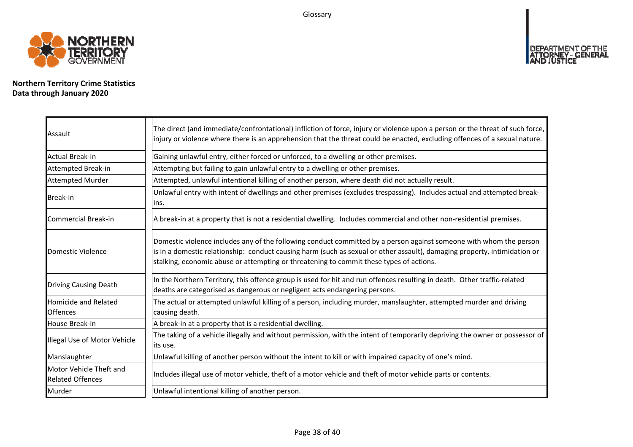Glossary



**Northern Territory Crime Statistics Data through January 2020**

| Assault                                            | The direct (and immediate/confrontational) infliction of force, injury or violence upon a person or the threat of such force,<br>injury or violence where there is an apprehension that the threat could be enacted, excluding offences of a sexual nature.                                                                                |
|----------------------------------------------------|--------------------------------------------------------------------------------------------------------------------------------------------------------------------------------------------------------------------------------------------------------------------------------------------------------------------------------------------|
| <b>Actual Break-in</b>                             | Gaining unlawful entry, either forced or unforced, to a dwelling or other premises.                                                                                                                                                                                                                                                        |
| Attempted Break-in                                 | Attempting but failing to gain unlawful entry to a dwelling or other premises.                                                                                                                                                                                                                                                             |
| <b>Attempted Murder</b>                            | Attempted, unlawful intentional killing of another person, where death did not actually result.                                                                                                                                                                                                                                            |
| <b>Break-in</b>                                    | Unlawful entry with intent of dwellings and other premises (excludes trespassing). Includes actual and attempted break-<br>lins.                                                                                                                                                                                                           |
| Commercial Break-in                                | A break-in at a property that is not a residential dwelling. Includes commercial and other non-residential premises.                                                                                                                                                                                                                       |
| Domestic Violence                                  | Domestic violence includes any of the following conduct committed by a person against someone with whom the person<br>is in a domestic relationship: conduct causing harm (such as sexual or other assault), damaging property, intimidation or<br>stalking, economic abuse or attempting or threatening to commit these types of actions. |
| <b>Driving Causing Death</b>                       | In the Northern Territory, this offence group is used for hit and run offences resulting in death. Other traffic-related<br>deaths are categorised as dangerous or negligent acts endangering persons.                                                                                                                                     |
| <b>Homicide and Related</b><br><b>Offences</b>     | The actual or attempted unlawful killing of a person, including murder, manslaughter, attempted murder and driving<br>causing death.                                                                                                                                                                                                       |
| House Break-in                                     | A break-in at a property that is a residential dwelling.                                                                                                                                                                                                                                                                                   |
| Illegal Use of Motor Vehicle                       | The taking of a vehicle illegally and without permission, with the intent of temporarily depriving the owner or possessor of<br>its use.                                                                                                                                                                                                   |
| Manslaughter                                       | Unlawful killing of another person without the intent to kill or with impaired capacity of one's mind.                                                                                                                                                                                                                                     |
| Motor Vehicle Theft and<br><b>Related Offences</b> | Includes illegal use of motor vehicle, theft of a motor vehicle and theft of motor vehicle parts or contents.                                                                                                                                                                                                                              |
| Murder                                             | Unlawful intentional killing of another person.                                                                                                                                                                                                                                                                                            |

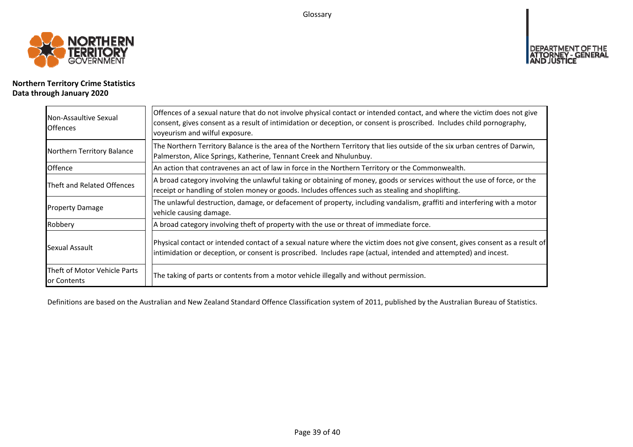Glossary



## **Northern Territory Crime Statistics Data through January 2020**

| Non-Assaultive Sexual<br><b>Offences</b>    | Offences of a sexual nature that do not involve physical contact or intended contact, and where the victim does not give<br>consent, gives consent as a result of intimidation or deception, or consent is proscribed. Includes child pornography,<br>voyeurism and wilful exposure. |
|---------------------------------------------|--------------------------------------------------------------------------------------------------------------------------------------------------------------------------------------------------------------------------------------------------------------------------------------|
| Northern Territory Balance                  | The Northern Territory Balance is the area of the Northern Territory that lies outside of the six urban centres of Darwin,<br>Palmerston, Alice Springs, Katherine, Tennant Creek and Nhulunbuy.                                                                                     |
| Offence                                     | An action that contravenes an act of law in force in the Northern Territory or the Commonwealth.                                                                                                                                                                                     |
| Theft and Related Offences                  | A broad category involving the unlawful taking or obtaining of money, goods or services without the use of force, or the<br>receipt or handling of stolen money or goods. Includes offences such as stealing and shoplifting.                                                        |
| <b>Property Damage</b>                      | The unlawful destruction, damage, or defacement of property, including vandalism, graffiti and interfering with a motor<br>vehicle causing damage.                                                                                                                                   |
| Robbery                                     | A broad category involving theft of property with the use or threat of immediate force.                                                                                                                                                                                              |
| Sexual Assault                              | Physical contact or intended contact of a sexual nature where the victim does not give consent, gives consent as a result of<br>intimidation or deception, or consent is proscribed. Includes rape (actual, intended and attempted) and incest.                                      |
| Theft of Motor Vehicle Parts<br>or Contents | The taking of parts or contents from a motor vehicle illegally and without permission.                                                                                                                                                                                               |

Definitions are based on the Australian and New Zealand Standard Offence Classification system of 2011, published by the Australian Bureau of Statistics.